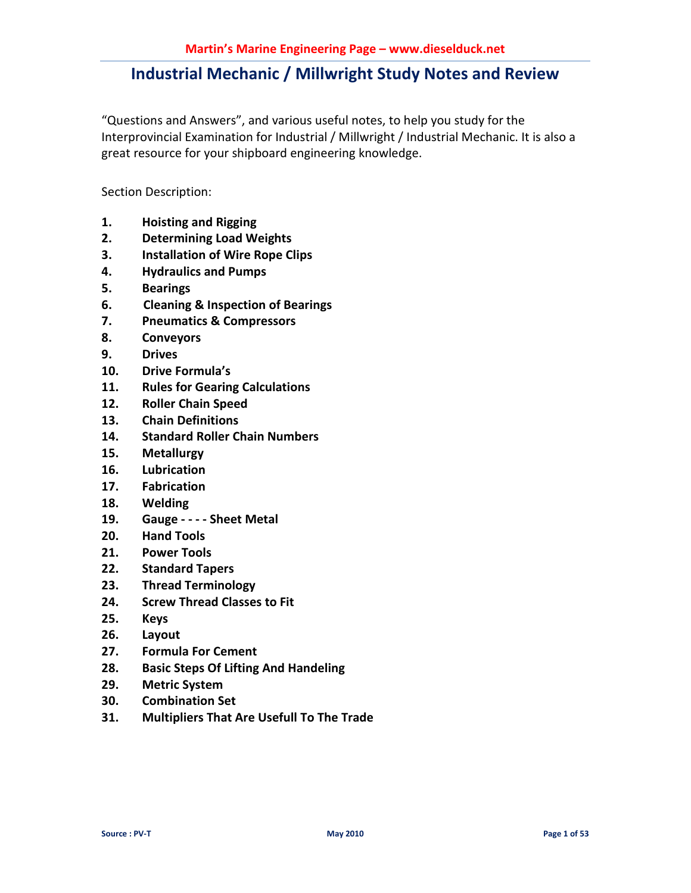"Questions and Answers", and various useful notes, to help you study for the Interprovincial Examination for Industrial / Millwright / Industrial Mechanic. It is also a great resource for your shipboard engineering knowledge.

Section Description:

- **1. Hoisting and Rigging**
- **2. Determining Load Weights**
- **3. Installation of Wire Rope Clips**
- **4. Hydraulics and Pumps**
- **5. Bearings**
- **6. Cleaning & Inspection of Bearings**
- **7. Pneumatics & Compressors**
- **8. Conveyors**
- **9. Drives**
- **10. Drive Formula's**
- **11. Rules for Gearing Calculations**
- **12. Roller Chain Speed**
- **13. Chain Definitions**
- **14. Standard Roller Chain Numbers**
- **15. Metallurgy**
- **16. Lubrication**
- **17. Fabrication**
- **18. Welding**
- **19. Gauge - - Sheet Metal**
- **20. Hand Tools**
- **21. Power Tools**
- **22. Standard Tapers**
- **23. Thread Terminology**
- **24. Screw Thread Classes to Fit**
- **25. Keys**
- **26. Layout**
- **27. Formula For Cement**
- **28. Basic Steps Of Lifting And Handeling**
- **29. Metric System**
- **30. Combination Set**
- **31. Multipliers That Are Usefull To The Trade**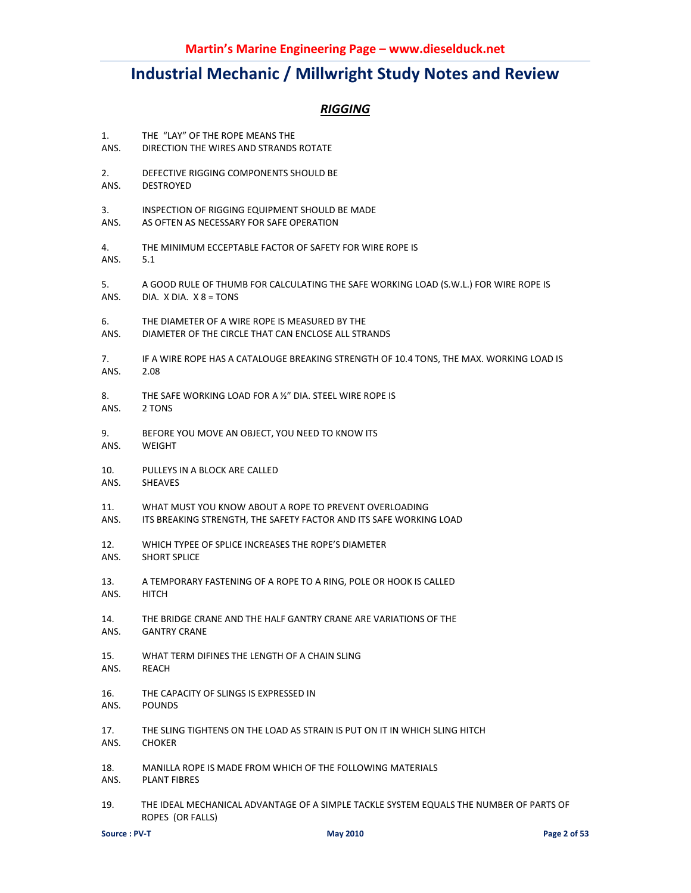### *RIGGING*

| 1.   | THE "LAY" OF THE ROPE MEANS THE                                                                            |
|------|------------------------------------------------------------------------------------------------------------|
| ANS. | DIRECTION THE WIRES AND STRANDS ROTATE                                                                     |
| 2.   | DEFECTIVE RIGGING COMPONENTS SHOULD BE                                                                     |
| ANS. | <b>DESTROYED</b>                                                                                           |
| 3.   | INSPECTION OF RIGGING EQUIPMENT SHOULD BE MADE                                                             |
| ANS. | AS OFTEN AS NECESSARY FOR SAFE OPERATION                                                                   |
| 4.   | THE MINIMUM ECCEPTABLE FACTOR OF SAFETY FOR WIRE ROPE IS                                                   |
| ANS. | 5.1                                                                                                        |
| 5.   | A GOOD RULE OF THUMB FOR CALCULATING THE SAFE WORKING LOAD (S.W.L.) FOR WIRE ROPE IS                       |
| ANS. | DIA. X DIA. $X$ $8 = TONS$                                                                                 |
| 6.   | THE DIAMETER OF A WIRE ROPE IS MEASURED BY THE                                                             |
| ANS. | DIAMETER OF THE CIRCLE THAT CAN ENCLOSE ALL STRANDS                                                        |
| 7.   | IF A WIRE ROPE HAS A CATALOUGE BREAKING STRENGTH OF 10.4 TONS, THE MAX. WORKING LOAD IS                    |
| ANS. | 2.08                                                                                                       |
| 8.   | THE SAFE WORKING LOAD FOR A 1/2" DIA. STEEL WIRE ROPE IS                                                   |
| ANS. | 2 TONS                                                                                                     |
| 9.   | BEFORE YOU MOVE AN OBJECT, YOU NEED TO KNOW ITS                                                            |
| ANS. | <b>WEIGHT</b>                                                                                              |
| 10.  | PULLEYS IN A BLOCK ARE CALLED                                                                              |
| ANS. | <b>SHEAVES</b>                                                                                             |
| 11.  | WHAT MUST YOU KNOW ABOUT A ROPE TO PREVENT OVERLOADING                                                     |
| ANS. | ITS BREAKING STRENGTH, THE SAFETY FACTOR AND ITS SAFE WORKING LOAD                                         |
| 12.  | WHICH TYPEE OF SPLICE INCREASES THE ROPE'S DIAMETER                                                        |
| ANS. | <b>SHORT SPLICE</b>                                                                                        |
| 13.  | A TEMPORARY FASTENING OF A ROPE TO A RING, POLE OR HOOK IS CALLED                                          |
| ANS. | <b>HITCH</b>                                                                                               |
| 14.  | THE BRIDGE CRANE AND THE HALF GANTRY CRANE ARE VARIATIONS OF THE                                           |
| ANS. | <b>GANTRY CRANE</b>                                                                                        |
| 15.  | WHAT TERM DIFINES THE LENGTH OF A CHAIN SLING                                                              |
| ANS. | REACH                                                                                                      |
| 16.  | THE CAPACITY OF SLINGS IS EXPRESSED IN                                                                     |
| ANS. | <b>POUNDS</b>                                                                                              |
| 17.  | THE SLING TIGHTENS ON THE LOAD AS STRAIN IS PUT ON IT IN WHICH SLING HITCH                                 |
| ANS. | <b>CHOKER</b>                                                                                              |
| 18.  | MANILLA ROPE IS MADE FROM WHICH OF THE FOLLOWING MATERIALS                                                 |
| ANS. | <b>PLANT FIBRES</b>                                                                                        |
| 19.  | THE IDEAL MECHANICAL ADVANTAGE OF A SIMPLE TACKLE SYSTEM EQUALS THE NUMBER OF PARTS OF<br>ROPES (OR FALLS) |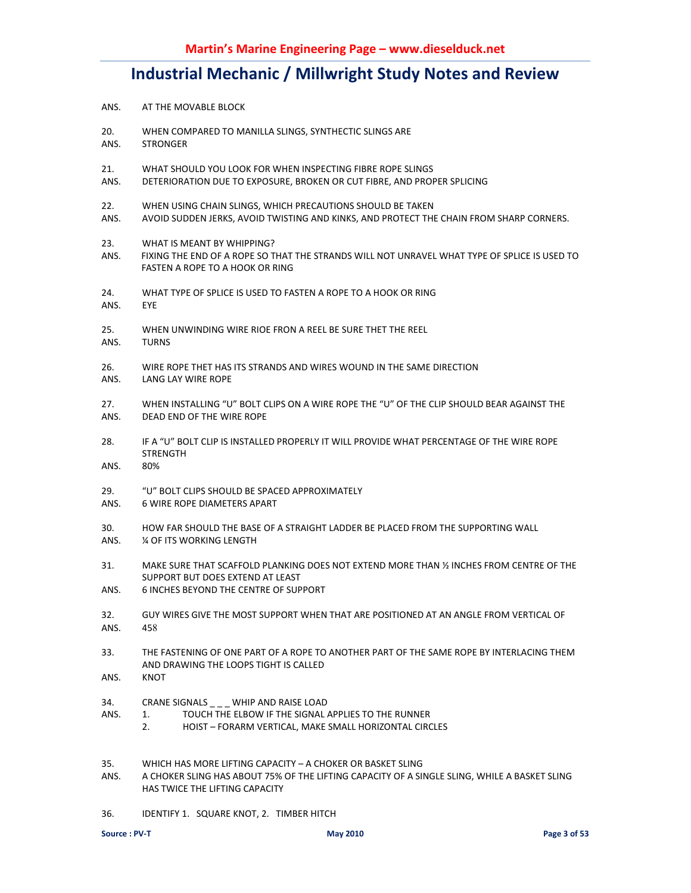- ANS. AT THE MOVABLE BLOCK
- 20. WHEN COMPARED TO MANILLA SLINGS, SYNTHECTIC SLINGS ARE
- ANS. STRONGER
- 21. WHAT SHOULD YOU LOOK FOR WHEN INSPECTING FIBRE ROPE SLINGS
- ANS. DETERIORATION DUE TO EXPOSURE, BROKEN OR CUT FIBRE, AND PROPER SPLICING
- 22. WHEN USING CHAIN SLINGS, WHICH PRECAUTIONS SHOULD BE TAKEN
- ANS. AVOID SUDDEN JERKS, AVOID TWISTING AND KINKS, AND PROTECT THE CHAIN FROM SHARP CORNERS.
- 23. WHAT IS MEANT BY WHIPPING?
- ANS. FIXING THE END OF A ROPE SO THAT THE STRANDS WILL NOT UNRAVEL WHAT TYPE OF SPLICE IS USED TO FASTEN A ROPE TO A HOOK OR RING
- 24. WHAT TYPE OF SPLICE IS USED TO FASTEN A ROPE TO A HOOK OR RING
- ANS. EYE
- 25. WHEN UNWINDING WIRE RIOE FRON A REEL BE SURE THET THE REEL
- ANS. TURNS
- 26. WIRE ROPE THET HAS ITS STRANDS AND WIRES WOUND IN THE SAME DIRECTION
- ANS. LANG LAY WIRE ROPE
- 27. WHEN INSTALLING "U" BOLT CLIPS ON A WIRE ROPE THE "U" OF THE CLIP SHOULD BEAR AGAINST THE ANS. DEAD END OF THE WIRE ROPE
- 28. IF A "U" BOLT CLIP IS INSTALLED PROPERLY IT WILL PROVIDE WHAT PERCENTAGE OF THE WIRE ROPE STRENGTH
- ANS.
- 29. "U" BOLT CLIPS SHOULD BE SPACED APPROXIMATELY
- ANS. 6 WIRE ROPE DIAMETERS APART
- 30. HOW FAR SHOULD THE BASE OF A STRAIGHT LADDER BE PLACED FROM THE SUPPORTING WALL
- ANS. ¼ OF ITS WORKING LENGTH
- 31. MAKE SURE THAT SCAFFOLD PLANKING DOES NOT EXTEND MORE THAN ½ INCHES FROM CENTRE OF THE SUPPORT BUT DOES EXTEND AT LEAST
- ANS. 6 INCHES BEYOND THE CENTRE OF SUPPORT
- 32. GUY WIRES GIVE THE MOST SUPPORT WHEN THAT ARE POSITIONED AT AN ANGLE FROM VERTICAL OF ANS. 458
- 33. THE FASTENING OF ONE PART OF A ROPE TO ANOTHER PART OF THE SAME ROPE BY INTERLACING THEM AND DRAWING THE LOOPS TIGHT IS CALLED
- ANS. KNOT
- 34. CRANE SIGNALS \_ \_ \_ WHIP AND RAISE LOAD
- ANS. 1. TOUCH THE ELBOW IF THE SIGNAL APPLIES TO THE RUNNER
	- 2. HOIST FORARM VERTICAL, MAKE SMALL HORIZONTAL CIRCLES
- 35. WHICH HAS MORE LIFTING CAPACITY A CHOKER OR BASKET SLING
- ANS. A CHOKER SLING HAS ABOUT 75% OF THE LIFTING CAPACITY OF A SINGLE SLING, WHILE A BASKET SLING HAS TWICE THE LIFTING CAPACITY
- 36. IDENTIFY 1. SQUARE KNOT, 2. TIMBER HITCH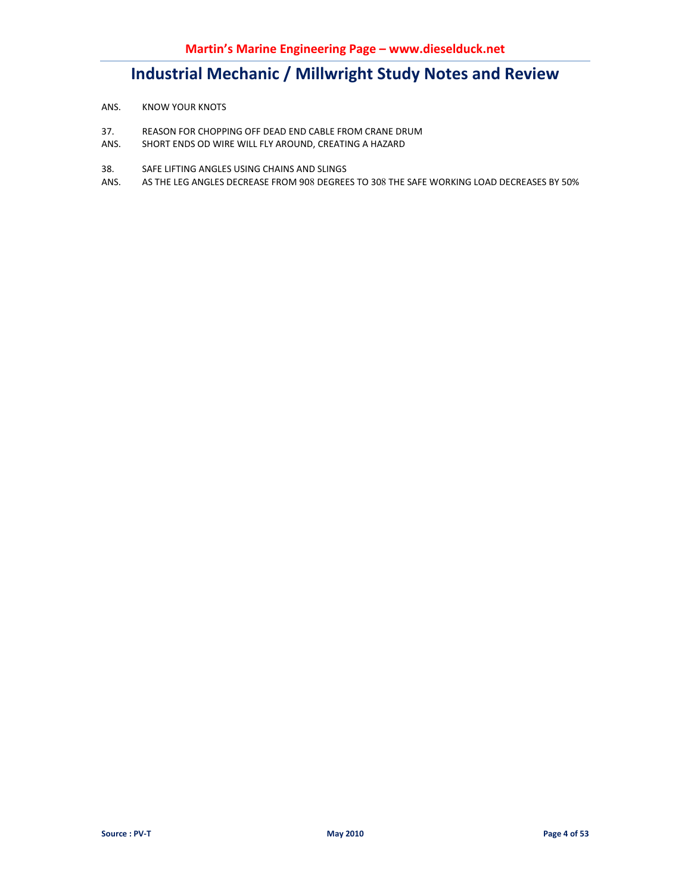- ANS. KNOW YOUR KNOTS
- 37. REASON FOR CHOPPING OFF DEAD END CABLE FROM CRANE DRUM<br>ANS. SHORT ENDS OD WIRE WILL FLY AROUND, CREATING A HAZARD
- SHORT ENDS OD WIRE WILL FLY AROUND, CREATING A HAZARD
- 38. SAFE LIFTING ANGLES USING CHAINS AND SLINGS
- ANS. AS THE LEG ANGLES DECREASE FROM 908 DEGREES TO 308 THE SAFE WORKING LOAD DECREASES BY 50%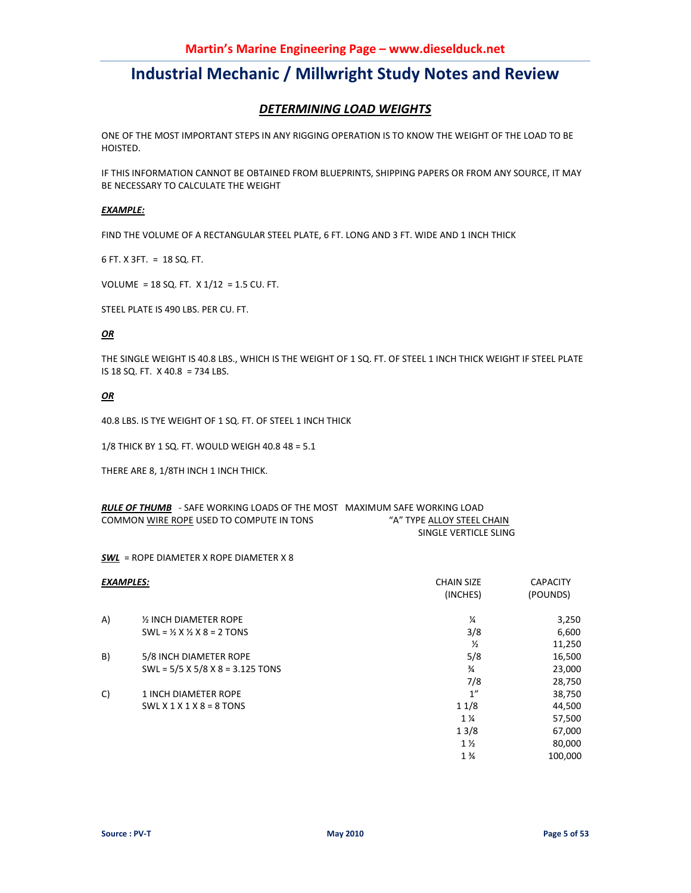### *DETERMINING LOAD WEIGHTS*

ONE OF THE MOST IMPORTANT STEPS IN ANY RIGGING OPERATION IS TO KNOW THE WEIGHT OF THE LOAD TO BE HOISTED.

IF THIS INFORMATION CANNOT BE OBTAINED FROM BLUEPRINTS, SHIPPING PAPERS OR FROM ANY SOURCE, IT MAY BE NECESSARY TO CALCULATE THE WEIGHT

### *EXAMPLE:*

FIND THE VOLUME OF A RECTANGULAR STEEL PLATE, 6 FT. LONG AND 3 FT. WIDE AND 1 INCH THICK

6 FT. X 3FT. = 18 SQ. FT.

VOLUME = 18 SQ. FT. X 1/12 = 1.5 CU. FT.

STEEL PLATE IS 490 LBS. PER CU. FT.

#### *OR*

THE SINGLE WEIGHT IS 40.8 LBS., WHICH IS THE WEIGHT OF 1 SQ. FT. OF STEEL 1 INCH THICK WEIGHT IF STEEL PLATE IS 18 SQ. FT. X 40.8 = 734 LBS.

#### *OR*

40.8 LBS. IS TYE WEIGHT OF 1 SQ. FT. OF STEEL 1 INCH THICK

1/8 THICK BY 1 SQ. FT. WOULD WEIGH 40.8 48 = 5.1

THERE ARE 8, 1/8TH INCH 1 INCH THICK.

| <b>RULE OF THUMB</b> - SAFE WORKING LOADS OF THE MOST MAXIMUM SAFE WORKING LOAD |                            |
|---------------------------------------------------------------------------------|----------------------------|
| COMMON WIRE ROPE USED TO COMPUTE IN TONS                                        | "A" TYPE ALLOY STEEL CHAIN |
|                                                                                 | SINGLE VERTICLE SLING      |

*SWL* = ROPE DIAMETER X ROPE DIAMETER X 8

| <b>EXAMPLES:</b> |                                                  | <b>CHAIN SIZE</b><br>(INCHES) | <b>CAPACITY</b><br>(POUNDS) |
|------------------|--------------------------------------------------|-------------------------------|-----------------------------|
| A)               | 1/2 INCH DIAMETER ROPE                           | $\frac{1}{4}$                 | 3,250                       |
|                  | $SWL = \frac{1}{2}$ X $\frac{1}{2}$ X 8 = 2 TONS | 3/8                           | 6,600                       |
|                  |                                                  | $\frac{1}{2}$                 | 11,250                      |
| B)               | 5/8 INCH DIAMETER ROPE                           | 5/8                           | 16,500                      |
|                  | SWL = $5/5$ X $5/8$ X $8$ = 3.125 TONS           | $\frac{3}{4}$                 | 23,000                      |
|                  |                                                  | 7/8                           | 28,750                      |
| C)               | 1 INCH DIAMETER ROPE                             | 1''                           | 38,750                      |
|                  | $SWL X 1 X 1 X 8 = 8 TONS$                       | 11/8                          | 44,500                      |
|                  |                                                  | $1\frac{1}{4}$                | 57,500                      |
|                  |                                                  | 13/8                          | 67,000                      |
|                  |                                                  | $1\frac{1}{2}$                | 80,000                      |
|                  |                                                  | $1\frac{3}{4}$                | 100,000                     |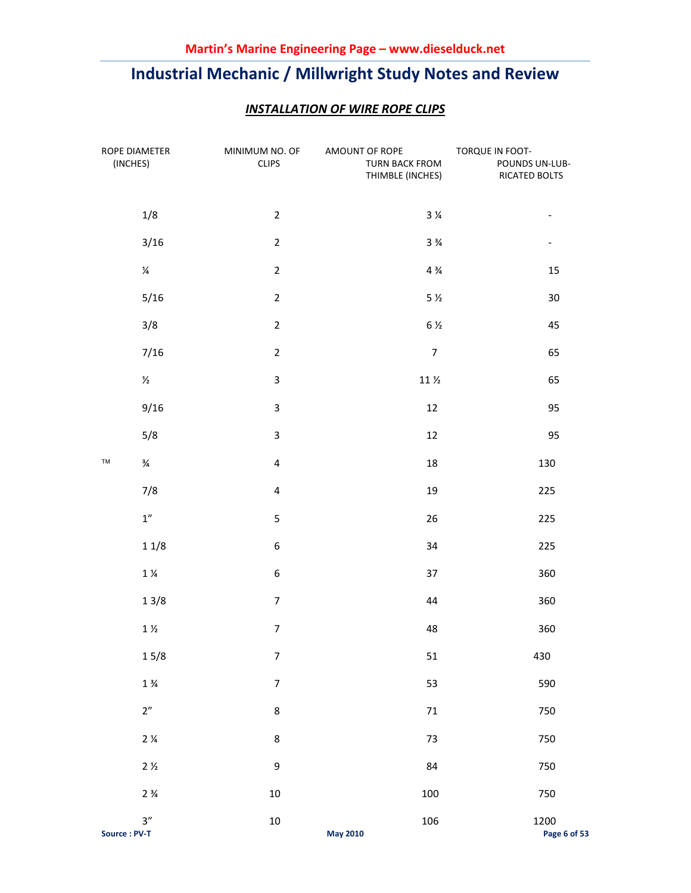| ROPE DIAMETER<br>(INCHES) |                    | MINIMUM NO. OF<br><b>CLIPS</b> | AMOUNT OF ROPE<br>TURN BACK FROM<br>THIMBLE (INCHES) | TORQUE IN FOOT-<br>POUNDS UN-LUB-<br>RICATED BOLTS |
|---------------------------|--------------------|--------------------------------|------------------------------------------------------|----------------------------------------------------|
|                           | 1/8                | $\overline{2}$                 | $3\,\mathrm{\%}$                                     | $\qquad \qquad -$                                  |
|                           | 3/16               | $\overline{2}$                 | $3\frac{3}{4}$                                       | $\overline{\phantom{0}}$                           |
|                           | $\frac{1}{4}$      | $\overline{2}$                 | $4\frac{3}{4}$                                       | 15                                                 |
|                           | 5/16               | $\overline{2}$                 | $5\,\mathrm{\%}$                                     | 30                                                 |
|                           | 3/8                | $\overline{2}$                 | $6\frac{1}{2}$                                       | 45                                                 |
|                           | 7/16               | $\overline{2}$                 | $\overline{7}$                                       | 65                                                 |
|                           | $\frac{1}{2}$      | 3                              | $11\,\mathrm{\AA}$                                   | 65                                                 |
|                           | 9/16               | $\ensuremath{\mathsf{3}}$      | 12                                                   | 95                                                 |
|                           | 5/8                | $\mathsf 3$                    | 12                                                   | 95                                                 |
| TM                        | $\frac{3}{4}$      | $\overline{\mathbf{4}}$        | 18                                                   | 130                                                |
|                           | 7/8                | $\overline{\mathbf{4}}$        | 19                                                   | 225                                                |
|                           | $1^{\prime\prime}$ | $\mathsf S$                    | 26                                                   | 225                                                |
|                           | 11/8               | $\boldsymbol{6}$               | 34                                                   | 225                                                |
|                           | $1\,\%$            | 6                              | 37                                                   | 360                                                |
|                           | 13/8               | $\boldsymbol{7}$               | 44                                                   | 360                                                |
|                           | $1\,\%$            | $\overline{7}$                 | 48                                                   | 360                                                |
|                           | $15/8$             | $\boldsymbol{7}$               | 51                                                   | 430                                                |
|                           | $1\frac{3}{4}$     | $\boldsymbol{7}$               | 53                                                   | 590                                                |
|                           | 2"                 | $\bf 8$                        | $71\,$                                               | 750                                                |
|                           | $2\frac{1}{4}$     | $\bf 8$                        | 73                                                   | 750                                                |
|                           | $2 \frac{1}{2}$    | 9                              | 84                                                   | 750                                                |
|                           | $2\frac{3}{4}$     | $10\,$                         | 100                                                  | 750                                                |
| Source: PV-T              | 3''                | $10\,$                         | 106<br><b>May 2010</b>                               | 1200<br>Page 6 of 53                               |

### *INSTALLATION OF WIRE ROPE CLIPS*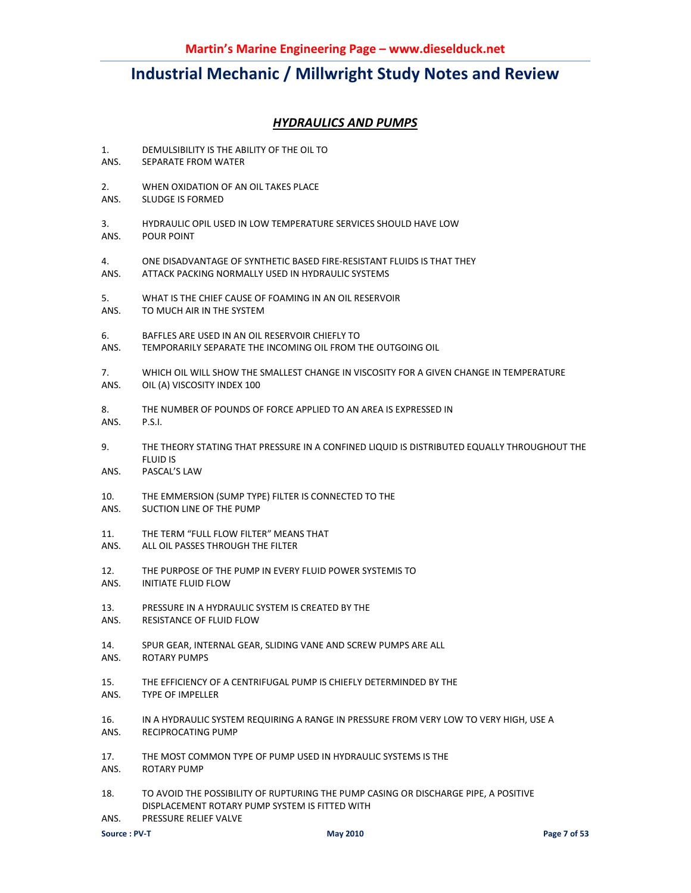### *HYDRAULICS AND PUMPS*

- 1. DEMULSIBILITY IS THE ABILITY OF THE OIL TO
- ANS. SEPARATE FROM WATER
- 2. WHEN OXIDATION OF AN OIL TAKES PLACE
- ANS. SLUDGE IS FORMED
- 3. HYDRAULIC OPIL USED IN LOW TEMPERATURE SERVICES SHOULD HAVE LOW ANS. POUR POINT
- 4. ONE DISADVANTAGE OF SYNTHETIC BASED FIRE-RESISTANT FLUIDS IS THAT THEY ANS. ATTACK PACKING NORMALLY USED IN HYDRAULIC SYSTEMS
- 5. WHAT IS THE CHIEF CAUSE OF FOAMING IN AN OIL RESERVOIR<br>ANS. TO MUCH AIR IN THE SYSTEM
- TO MUCH AIR IN THE SYSTEM
- 6. BAFFLES ARE USED IN AN OIL RESERVOIR CHIEFLY TO
- ANS. TEMPORARILY SEPARATE THE INCOMING OIL FROM THE OUTGOING OIL
- 7. WHICH OIL WILL SHOW THE SMALLEST CHANGE IN VISCOSITY FOR A GIVEN CHANGE IN TEMPERATURE ANS. OIL (A) VISCOSITY INDEX 100
- 8. THE NUMBER OF POUNDS OF FORCE APPLIED TO AN AREA IS EXPRESSED IN
- ANS. P.S.I.
- 9. THE THEORY STATING THAT PRESSURE IN A CONFINED LIQUID IS DISTRIBUTED EQUALLY THROUGHOUT THE FLUID IS
- ANS. PASCAL'S LAW
- 10. THE EMMERSION (SUMP TYPE) FILTER IS CONNECTED TO THE
- ANS. SUCTION LINE OF THE PUMP
- 11. THE TERM "FULL FLOW FILTER" MEANS THAT
- ANS. ALL OIL PASSES THROUGH THE FILTER
- 12. THE PURPOSE OF THE PUMP IN EVERY FLUID POWER SYSTEMIS TO
- ANS. INITIATE FLUID FLOW
- 13. PRESSURE IN A HYDRAULIC SYSTEM IS CREATED BY THE
- ANS. RESISTANCE OF FLUID FLOW
- 14. SPUR GEAR, INTERNAL GEAR, SLIDING VANE AND SCREW PUMPS ARE ALL
- ANS. ROTARY PUMPS
- 15. THE EFFICIENCY OF A CENTRIFUGAL PUMP IS CHIEFLY DETERMINDED BY THE
- ANS. TYPE OF IMPELLER
- 16. IN A HYDRAULIC SYSTEM REQUIRING A RANGE IN PRESSURE FROM VERY LOW TO VERY HIGH, USE A
- ANS. RECIPROCATING PUMP
- 17. THE MOST COMMON TYPE OF PUMP USED IN HYDRAULIC SYSTEMS IS THE
- ANS. ROTARY PUMP
- 18. TO AVOID THE POSSIBILITY OF RUPTURING THE PUMP CASING OR DISCHARGE PIPE, A POSITIVE DISPLACEMENT ROTARY PUMP SYSTEM IS FITTED WITH
- ANS. PRESSURE RELIEF VALVE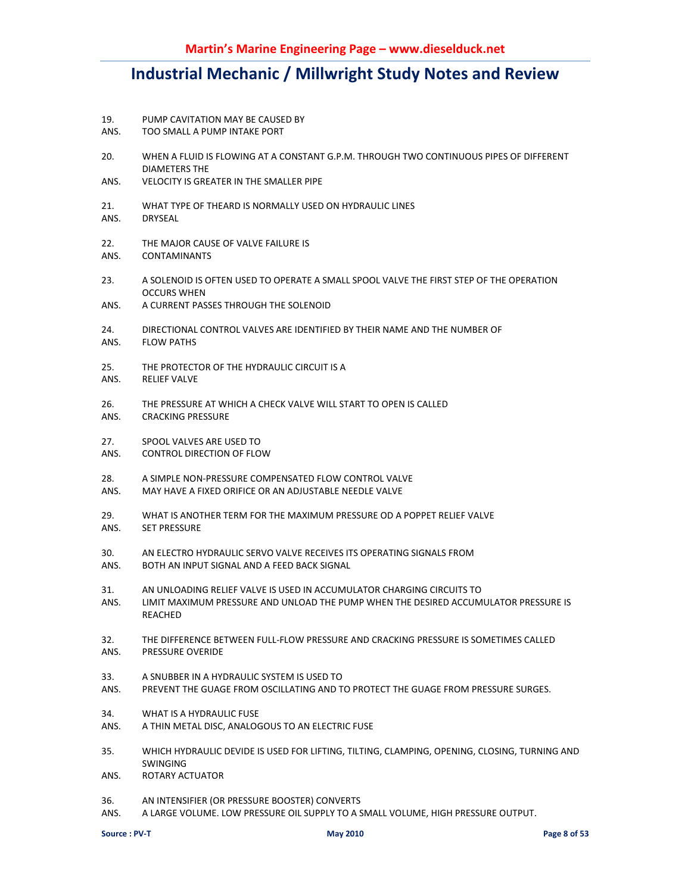- 19. PUMP CAVITATION MAY BE CAUSED BY
- ANS. TOO SMALL A PUMP INTAKE PORT
- 20. WHEN A FLUID IS FLOWING AT A CONSTANT G.P.M. THROUGH TWO CONTINUOUS PIPES OF DIFFERENT DIAMETERS THE
- ANS. VELOCITY IS GREATER IN THE SMALLER PIPE
- 21. WHAT TYPE OF THEARD IS NORMALLY USED ON HYDRAULIC LINES
- ANS. DRYSEAL
- 22. THE MAJOR CAUSE OF VALVE FAILURE IS
- ANS. CONTAMINANTS
- 23. A SOLENOID IS OFTEN USED TO OPERATE A SMALL SPOOL VALVE THE FIRST STEP OF THE OPERATION OCCURS WHEN
- ANS. A CURRENT PASSES THROUGH THE SOLENOID
- 24. DIRECTIONAL CONTROL VALVES ARE IDENTIFIED BY THEIR NAME AND THE NUMBER OF
- ANS. FLOW PATHS
- 25. THE PROTECTOR OF THE HYDRAULIC CIRCUIT IS A
- ANS. RELIEF VALVE
- 26. THE PRESSURE AT WHICH A CHECK VALVE WILL START TO OPEN IS CALLED
- ANS. CRACKING PRESSURE
- 27. SPOOL VALVES ARE USED TO
- ANS. CONTROL DIRECTION OF FLOW
- 28. A SIMPLE NON-PRESSURE COMPENSATED FLOW CONTROL VALVE
- ANS. MAY HAVE A FIXED ORIFICE OR AN ADJUSTABLE NEEDLE VALVE
- 29. WHAT IS ANOTHER TERM FOR THE MAXIMUM PRESSURE OD A POPPET RELIEF VALVE ANS. SET PRESSURE
- 30. AN ELECTRO HYDRAULIC SERVO VALVE RECEIVES ITS OPERATING SIGNALS FROM
- ANS. BOTH AN INPUT SIGNAL AND A FEED BACK SIGNAL
- 31. AN UNLOADING RELIEF VALVE IS USED IN ACCUMULATOR CHARGING CIRCUITS TO
- ANS. LIMIT MAXIMUM PRESSURE AND UNLOAD THE PUMP WHEN THE DESIRED ACCUMULATOR PRESSURE IS REACHED
- 32. THE DIFFERENCE BETWEEN FULL-FLOW PRESSURE AND CRACKING PRESSURE IS SOMETIMES CALLED ANS. PRESSURE OVERIDE
- 33. A SNUBBER IN A HYDRAULIC SYSTEM IS USED TO
- ANS. PREVENT THE GUAGE FROM OSCILLATING AND TO PROTECT THE GUAGE FROM PRESSURE SURGES.
- 34. WHAT IS A HYDRAULIC FUSE
- ANS. A THIN METAL DISC, ANALOGOUS TO AN ELECTRIC FUSE
- 35. WHICH HYDRAULIC DEVIDE IS USED FOR LIFTING, TILTING, CLAMPING, OPENING, CLOSING, TURNING AND SWINGING
- ANS. ROTARY ACTUATOR
- 36. AN INTENSIFIER (OR PRESSURE BOOSTER) CONVERTS
- ANS. A LARGE VOLUME. LOW PRESSURE OIL SUPPLY TO A SMALL VOLUME, HIGH PRESSURE OUTPUT.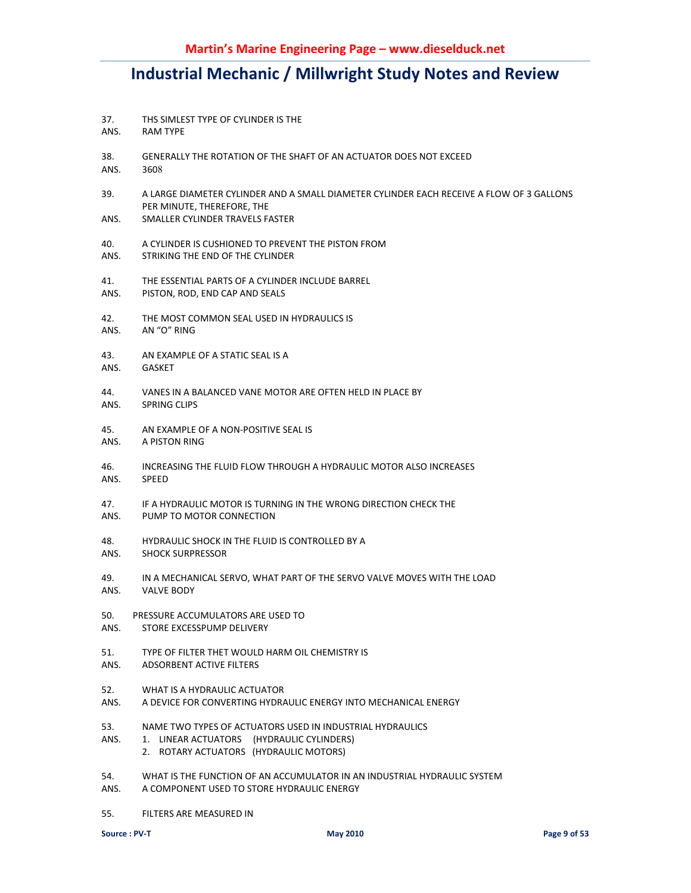- 37. THS SIMLEST TYPE OF CYLINDER IS THE ANS. RAM TYPE 38. GENERALLY THE ROTATION OF THE SHAFT OF AN ACTUATOR DOES NOT EXCEED ANS. 3608 39. A LARGE DIAMETER CYLINDER AND A SMALL DIAMETER CYLINDER EACH RECEIVE A FLOW OF 3 GALLONS PER MINUTE, THEREFORE, THE ANS. SMALLER CYLINDER TRAVELS FASTER 40. A CYLINDER IS CUSHIONED TO PREVENT THE PISTON FROM ANS. STRIKING THE END OF THE CYLINDER 41. THE ESSENTIAL PARTS OF A CYLINDER INCLUDE BARREL ANS. PISTON, ROD, END CAP AND SEALS 42. THE MOST COMMON SEAL USED IN HYDRAULICS IS ANS. AN "O" RING 43. AN EXAMPLE OF A STATIC SEAL IS A ANS. GASKET 44. VANES IN A BALANCED VANE MOTOR ARE OFTEN HELD IN PLACE BY ANS. SPRING CLIPS 45. AN EXAMPLE OF A NON-POSITIVE SEAL IS ANS. A PISTON RING 46. INCREASING THE FLUID FLOW THROUGH A HYDRAULIC MOTOR ALSO INCREASES ANS. SPEED 47. IF A HYDRAULIC MOTOR IS TURNING IN THE WRONG DIRECTION CHECK THE ANS. PUMP TO MOTOR CONNECTION 48. HYDRAULIC SHOCK IN THE FLUID IS CONTROLLED BY A ANS. SHOCK SURPRESSOR 49. IN A MECHANICAL SERVO, WHAT PART OF THE SERVO VALVE MOVES WITH THE LOAD ANS. VALVE BODY 50. PRESSURE ACCUMULATORS ARE USED TO ANS. STORE EXCESSPUMP DELIVERY 51. TYPE OF FILTER THET WOULD HARM OIL CHEMISTRY IS ANS. ADSORBENT ACTIVE FILTERS 52. WHAT IS A HYDRAULIC ACTUATOR ANS. A DEVICE FOR CONVERTING HYDRAULIC ENERGY INTO MECHANICAL ENERGY 53. NAME TWO TYPES OF ACTUATORS USED IN INDUSTRIAL HYDRAULICS ANS. 1. LINEAR ACTUATORS (HYDRAULIC CYLINDERS) 2. ROTARY ACTUATORS (HYDRAULIC MOTORS) 54. WHAT IS THE FUNCTION OF AN ACCUMULATOR IN AN INDUSTRIAL HYDRAULIC SYSTEM ANS. A COMPONENT USED TO STORE HYDRAULIC ENERGY
- 55. FILTERS ARE MEASURED IN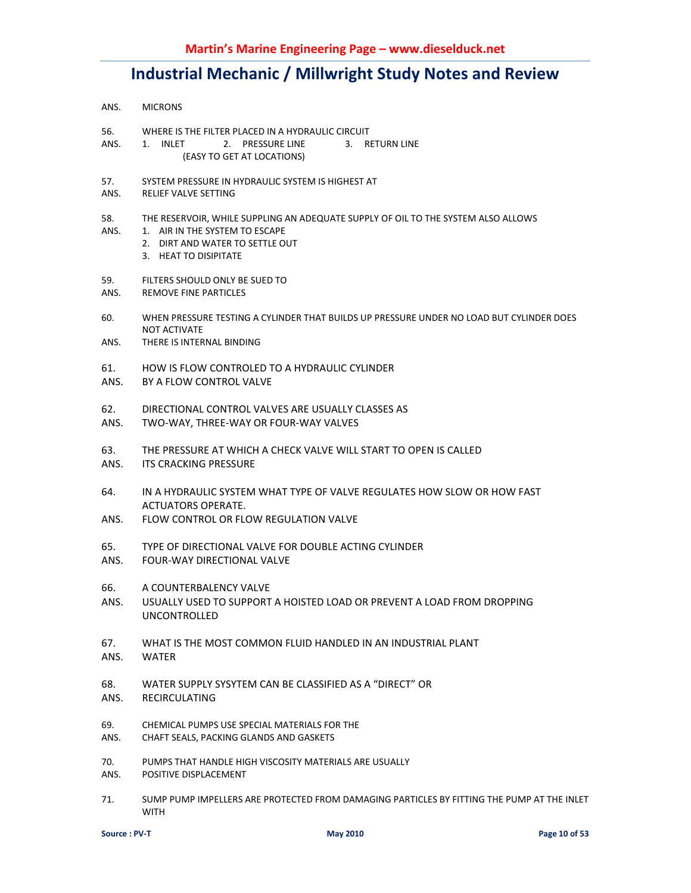- ANS. MICRONS
- 56. WHERE IS THE FILTER PLACED IN A HYDRAULIC CIRCUIT
- ANS. 1. INLET 2. PRESSURE LINE 3. RETURN LINE (EASY TO GET AT LOCATIONS)
- 57. SYSTEM PRESSURE IN HYDRAULIC SYSTEM IS HIGHEST AT
- ANS. RELIEF VALVE SETTING
- 58. THE RESERVOIR, WHILE SUPPLING AN ADEQUATE SUPPLY OF OIL TO THE SYSTEM ALSO ALLOWS
- ANS. 1. AIR IN THE SYSTEM TO ESCAPE
	- 2. DIRT AND WATER TO SETTLE OUT
	- 3. HEAT TO DISIPITATE
- 59. FILTERS SHOULD ONLY BE SUED TO
- ANS. REMOVE FINE PARTICLES
- 60. WHEN PRESSURE TESTING A CYLINDER THAT BUILDS UP PRESSURE UNDER NO LOAD BUT CYLINDER DOES NOT ACTIVATE
- ANS. THERE IS INTERNAL BINDING
- 61. HOW IS FLOW CONTROLED TO A HYDRAULIC CYLINDER
- ANS. BY A FLOW CONTROL VALVE
- 62. DIRECTIONAL CONTROL VALVES ARE USUALLY CLASSES AS
- ANS. TWO-WAY, THREE-WAY OR FOUR-WAY VALVES
- 63. THE PRESSURE AT WHICH A CHECK VALVE WILL START TO OPEN IS CALLED
- ANS. ITS CRACKING PRESSURE
- 64. IN A HYDRAULIC SYSTEM WHAT TYPE OF VALVE REGULATES HOW SLOW OR HOW FAST ACTUATORS OPERATE.
- ANS. FLOW CONTROL OR FLOW REGULATION VALVE
- 65. TYPE OF DIRECTIONAL VALVE FOR DOUBLE ACTING CYLINDER
- ANS. FOUR-WAY DIRECTIONAL VALVE
- 66. A COUNTERBALENCY VALVE
- ANS. USUALLY USED TO SUPPORT A HOISTED LOAD OR PREVENT A LOAD FROM DROPPING UNCONTROLLED
- 67. WHAT IS THE MOST COMMON FLUID HANDLED IN AN INDUSTRIAL PLANT
- ANS. WATER
- 68. WATER SUPPLY SYSYTEM CAN BE CLASSIFIED AS A "DIRECT" OR
- ANS. RECIRCULATING
- 69. CHEMICAL PUMPS USE SPECIAL MATERIALS FOR THE
- ANS. CHAFT SEALS, PACKING GLANDS AND GASKETS
- 70. PUMPS THAT HANDLE HIGH VISCOSITY MATERIALS ARE USUALLY
- ANS. POSITIVE DISPLACEMENT
- 71. SUMP PUMP IMPELLERS ARE PROTECTED FROM DAMAGING PARTICLES BY FITTING THE PUMP AT THE INLET WITH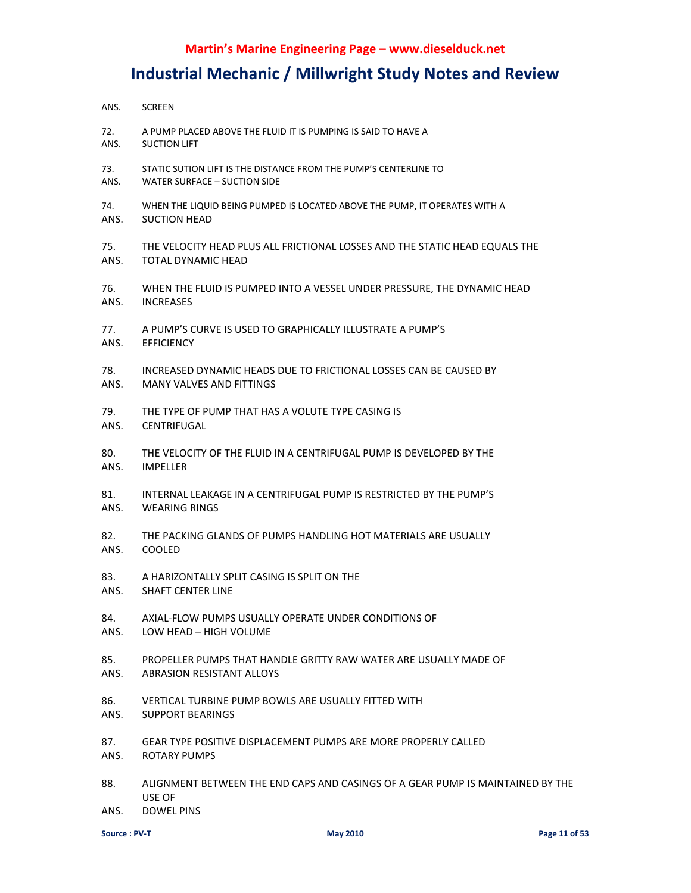- ANS. SCREEN
- 72. A PUMP PLACED ABOVE THE FLUID IT IS PUMPING IS SAID TO HAVE A ANS. SUCTION LIFT
- 73. STATIC SUTION LIFT IS THE DISTANCE FROM THE PUMP'S CENTERLINE TO ANS. WATER SURFACE – SUCTION SIDE
- 74. WHEN THE LIQUID BEING PUMPED IS LOCATED ABOVE THE PUMP, IT OPERATES WITH A ANS. SUCTION HEAD
- 75. THE VELOCITY HEAD PLUS ALL FRICTIONAL LOSSES AND THE STATIC HEAD EQUALS THE ANS. TOTAL DYNAMIC HEAD
- 76. WHEN THE FLUID IS PUMPED INTO A VESSEL UNDER PRESSURE, THE DYNAMIC HEAD ANS. INCREASES
- 77. A PUMP'S CURVE IS USED TO GRAPHICALLY ILLUSTRATE A PUMP'S
- ANS. EFFICIENCY
- 78. INCREASED DYNAMIC HEADS DUE TO FRICTIONAL LOSSES CAN BE CAUSED BY ANS. MANY VALVES AND FITTINGS
- 79. THE TYPE OF PUMP THAT HAS A VOLUTE TYPE CASING IS
- ANS. CENTRIFUGAL
- 80. THE VELOCITY OF THE FLUID IN A CENTRIFUGAL PUMP IS DEVELOPED BY THE ANS. IMPELLER
- 81. INTERNAL LEAKAGE IN A CENTRIFUGAL PUMP IS RESTRICTED BY THE PUMP'S ANS. WEARING RINGS
- 82. THE PACKING GLANDS OF PUMPS HANDLING HOT MATERIALS ARE USUALLY ANS. COOLED
- 83. A HARIZONTALLY SPLIT CASING IS SPLIT ON THE
- ANS. SHAFT CENTER LINE
- 84. AXIAL-FLOW PUMPS USUALLY OPERATE UNDER CONDITIONS OF
- ANS. LOW HEAD HIGH VOLUME
- 85. PROPELLER PUMPS THAT HANDLE GRITTY RAW WATER ARE USUALLY MADE OF
- ANS. ABRASION RESISTANT ALLOYS
- 86. VERTICAL TURBINE PUMP BOWLS ARE USUALLY FITTED WITH
- ANS. SUPPORT BEARINGS
- 87. GEAR TYPE POSITIVE DISPLACEMENT PUMPS ARE MORE PROPERLY CALLED
- ANS. ROTARY PUMPS
- 88. ALIGNMENT BETWEEN THE END CAPS AND CASINGS OF A GEAR PUMP IS MAINTAINED BY THE USE OF
- ANS. DOWEL PINS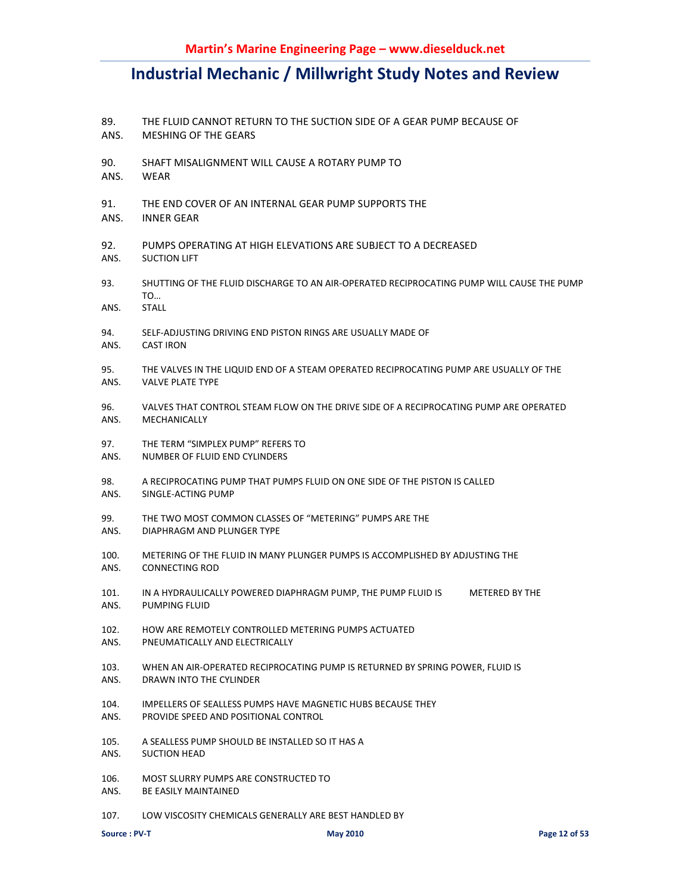- 89. THE FLUID CANNOT RETURN TO THE SUCTION SIDE OF A GEAR PUMP BECAUSE OF
- ANS. MESHING OF THE GEARS
- 90. SHAFT MISALIGNMENT WILL CAUSE A ROTARY PUMP TO
- ANS. WEAR
- 91. THE END COVER OF AN INTERNAL GEAR PUMP SUPPORTS THE
- ANS. INNER GEAR
- 92. PUMPS OPERATING AT HIGH ELEVATIONS ARE SUBJECT TO A DECREASED ANS. SUCTION LIFT
- 93. SHUTTING OF THE FLUID DISCHARGE TO AN AIR-OPERATED RECIPROCATING PUMP WILL CAUSE THE PUMP TO…
- ANS. STALL
- 94. SELF-ADJUSTING DRIVING END PISTON RINGS ARE USUALLY MADE OF
- ANS. CAST IRON
- 95. THE VALVES IN THE LIQUID END OF A STEAM OPERATED RECIPROCATING PUMP ARE USUALLY OF THE ANS. VALVE PLATE TYPE
- 96. VALVES THAT CONTROL STEAM FLOW ON THE DRIVE SIDE OF A RECIPROCATING PUMP ARE OPERATED ANS. MECHANICALLY
- 97. THE TERM "SIMPLEX PUMP" REFERS TO
- ANS. NUMBER OF FLUID END CYLINDERS
- 98. A RECIPROCATING PUMP THAT PUMPS FLUID ON ONE SIDE OF THE PISTON IS CALLED ANS. SINGLE-ACTING PUMP
- 99. THE TWO MOST COMMON CLASSES OF "METERING" PUMPS ARE THE
- ANS. DIAPHRAGM AND PLUNGER TYPE
- 100. METERING OF THE FLUID IN MANY PLUNGER PUMPS IS ACCOMPLISHED BY ADJUSTING THE ANS. CONNECTING ROD
- 101. IN A HYDRAULICALLY POWERED DIAPHRAGM PUMP, THE PUMP FLUID IS METERED BY THE ANS. PUMPING FLUID
- 102. HOW ARE REMOTELY CONTROLLED METERING PUMPS ACTUATED ANS. PNEUMATICALLY AND ELECTRICALLY
- 103. WHEN AN AIR-OPERATED RECIPROCATING PUMP IS RETURNED BY SPRING POWER, FLUID IS
- ANS. DRAWN INTO THE CYLINDER
- 104. IMPELLERS OF SEALLESS PUMPS HAVE MAGNETIC HUBS BECAUSE THEY
- ANS. PROVIDE SPEED AND POSITIONAL CONTROL
- 105. A SEALLESS PUMP SHOULD BE INSTALLED SO IT HAS A
- ANS. SUCTION HEAD
- 106. MOST SLURRY PUMPS ARE CONSTRUCTED TO
- ANS. BE EASILY MAINTAINED
- 107. LOW VISCOSITY CHEMICALS GENERALLY ARE BEST HANDLED BY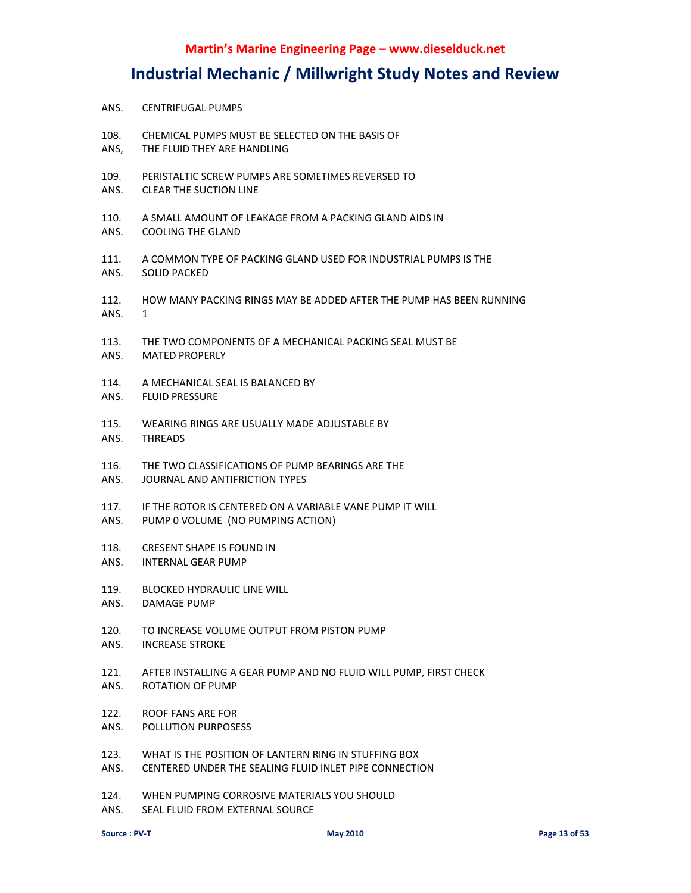- ANS. CENTRIFUGAL PUMPS
- 108. CHEMICAL PUMPS MUST BE SELECTED ON THE BASIS OF
- ANS, THE FLUID THEY ARE HANDLING
- 109. PERISTALTIC SCREW PUMPS ARE SOMETIMES REVERSED TO
- ANS. CLEAR THE SUCTION LINE
- 110. A SMALL AMOUNT OF LEAKAGE FROM A PACKING GLAND AIDS IN
- ANS. COOLING THE GLAND
- 111. A COMMON TYPE OF PACKING GLAND USED FOR INDUSTRIAL PUMPS IS THE ANS. SOLID PACKED
- 112. HOW MANY PACKING RINGS MAY BE ADDED AFTER THE PUMP HAS BEEN RUNNING
- ANS. 1
- 113. THE TWO COMPONENTS OF A MECHANICAL PACKING SEAL MUST BE
- ANS. MATED PROPERLY
- 114. A MECHANICAL SEAL IS BALANCED BY
- ANS. FLUID PRESSURE
- 115. WEARING RINGS ARE USUALLY MADE ADJUSTABLE BY
- ANS. THREADS
- 116. THE TWO CLASSIFICATIONS OF PUMP BEARINGS ARE THE
- ANS. JOURNAL AND ANTIFRICTION TYPES
- 117. IF THE ROTOR IS CENTERED ON A VARIABLE VANE PUMP IT WILL
- ANS. PUMP 0 VOLUME (NO PUMPING ACTION)
- 118. CRESENT SHAPE IS FOUND IN
- ANS. INTERNAL GEAR PUMP
- 119. BLOCKED HYDRAULIC LINE WILL
- ANS. DAMAGE PUMP
- 120. TO INCREASE VOLUME OUTPUT FROM PISTON PUMP
- ANS. INCREASE STROKE
- 121. AFTER INSTALLING A GEAR PUMP AND NO FLUID WILL PUMP, FIRST CHECK
- ANS. ROTATION OF PUMP
- 122. ROOF FANS ARE FOR
- ANS. POLLUTION PURPOSESS
- 123. WHAT IS THE POSITION OF LANTERN RING IN STUFFING BOX
- ANS. CENTERED UNDER THE SEALING FLUID INLET PIPE CONNECTION
- 124. WHEN PUMPING CORROSIVE MATERIALS YOU SHOULD
- ANS. SEAL FLUID FROM EXTERNAL SOURCE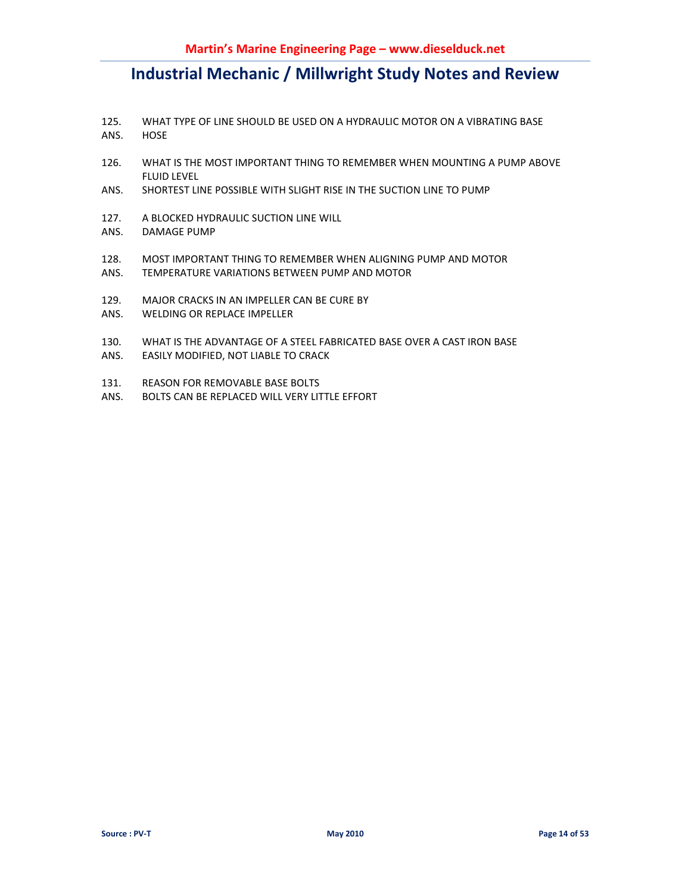- 125. WHAT TYPE OF LINE SHOULD BE USED ON A HYDRAULIC MOTOR ON A VIBRATING BASE ANS. HOSE
- 126. WHAT IS THE MOST IMPORTANT THING TO REMEMBER WHEN MOUNTING A PUMP ABOVE FLUID LEVEL
- ANS. SHORTEST LINE POSSIBLE WITH SLIGHT RISE IN THE SUCTION LINE TO PUMP
- 127. A BLOCKED HYDRAULIC SUCTION LINE WILL
- ANS. DAMAGE PUMP
- 128. MOST IMPORTANT THING TO REMEMBER WHEN ALIGNING PUMP AND MOTOR
- ANS. TEMPERATURE VARIATIONS BETWEEN PUMP AND MOTOR
- 129. MAJOR CRACKS IN AN IMPELLER CAN BE CURE BY
- ANS. WELDING OR REPLACE IMPELLER
- 130. WHAT IS THE ADVANTAGE OF A STEEL FABRICATED BASE OVER A CAST IRON BASE
- ANS. EASILY MODIFIED, NOT LIABLE TO CRACK
- 131. REASON FOR REMOVABLE BASE BOLTS
- ANS. BOLTS CAN BE REPLACED WILL VERY LITTLE EFFORT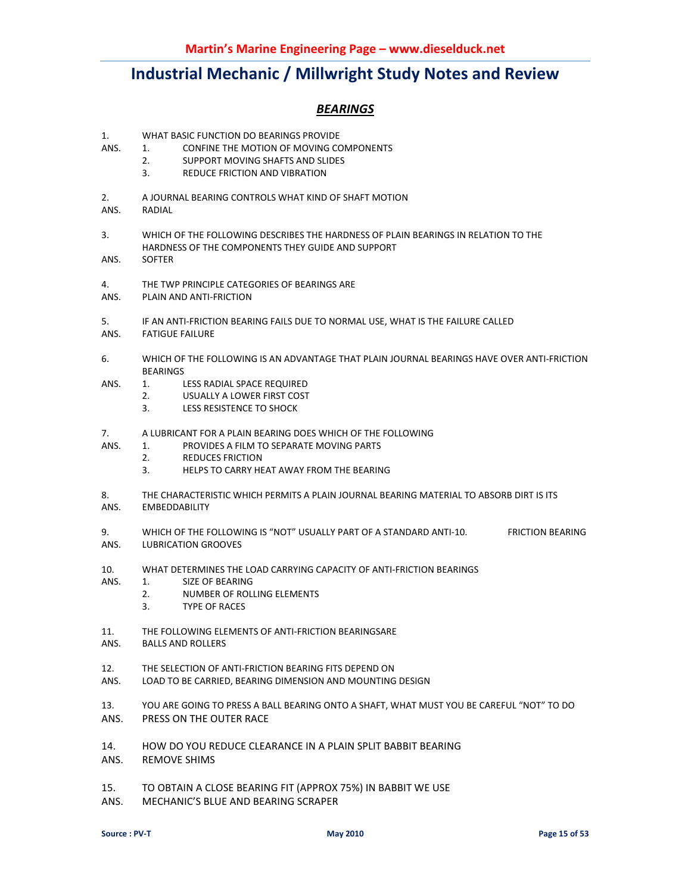### *BEARINGS*

- 1. WHAT BASIC FUNCTION DO BEARINGS PROVIDE<br>ANS. 1. CONFINE THE MOTION OF MOVING CO
	- 1. CONFINE THE MOTION OF MOVING COMPONENTS
		- 2. SUPPORT MOVING SHAFTS AND SLIDES
			- 3. REDUCE FRICTION AND VIBRATION
- 2. A JOURNAL BEARING CONTROLS WHAT KIND OF SHAFT MOTION
- ANS. RADIAL
- 3. WHICH OF THE FOLLOWING DESCRIBES THE HARDNESS OF PLAIN BEARINGS IN RELATION TO THE HARDNESS OF THE COMPONENTS THEY GUIDE AND SUPPORT
- ANS. SOFTER
- 4. THE TWP PRINCIPLE CATEGORIES OF BEARINGS ARE
- ANS. PLAIN AND ANTI-FRICTION
- 5. IF AN ANTI-FRICTION BEARING FAILS DUE TO NORMAL USE, WHAT IS THE FAILURE CALLED
- ANS. FATIGUE FAILURE
- 6. WHICH OF THE FOLLOWING IS AN ADVANTAGE THAT PLAIN JOURNAL BEARINGS HAVE OVER ANTI-FRICTION BEARINGS
- ANS. 1. LESS RADIAL SPACE REQUIRED
	- 2. USUALLY A LOWER FIRST COST
	- 3. LESS RESISTENCE TO SHOCK
- 7. A LUBRICANT FOR A PLAIN BEARING DOES WHICH OF THE FOLLOWING
- ANS. 1. PROVIDES A FILM TO SEPARATE MOVING PARTS
	- 2. REDUCES FRICTION
		- 3. HELPS TO CARRY HEAT AWAY FROM THE BEARING
- 8. THE CHARACTERISTIC WHICH PERMITS A PLAIN JOURNAL BEARING MATERIAL TO ABSORB DIRT IS ITS
- ANS. EMBEDDABILITY
- 9. WHICH OF THE FOLLOWING IS "NOT" USUALLY PART OF A STANDARD ANTI-10. FRICTION BEARING ANS. LUBRICATION GROOVES
- 10. WHAT DETERMINES THE LOAD CARRYING CAPACITY OF ANTI-FRICTION BEARINGS
- ANS. 1. SIZE OF BEARING
	- 2. NUMBER OF ROLLING ELEMENTS
	- 3. TYPE OF RACES
- 11. THE FOLLOWING ELEMENTS OF ANTI-FRICTION BEARINGSARE
- ANS. BALLS AND ROLLERS
- 12. THE SELECTION OF ANTI-FRICTION BEARING FITS DEPEND ON
- ANS. LOAD TO BE CARRIED, BEARING DIMENSION AND MOUNTING DESIGN
- 13. YOU ARE GOING TO PRESS A BALL BEARING ONTO A SHAFT, WHAT MUST YOU BE CAREFUL "NOT" TO DO
- ANS. PRESS ON THE OUTER RACE
- 14. HOW DO YOU REDUCE CLEARANCE IN A PLAIN SPLIT BABBIT BEARING
- ANS. REMOVE SHIMS
- 15. TO OBTAIN A CLOSE BEARING FIT (APPROX 75%) IN BABBIT WE USE
- ANS. MECHANIC'S BLUE AND BEARING SCRAPER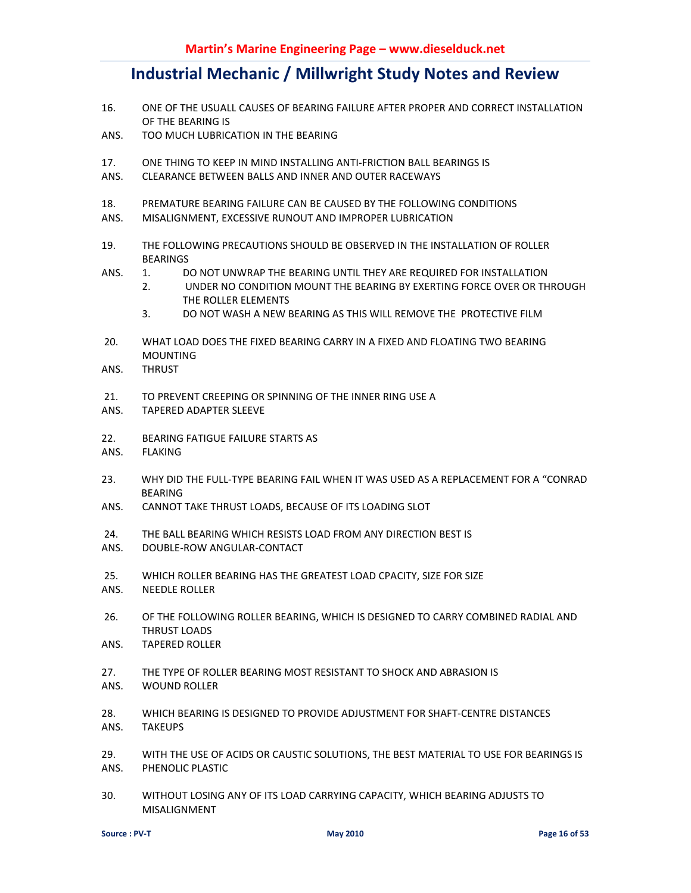- 16. ONE OF THE USUALL CAUSES OF BEARING FAILURE AFTER PROPER AND CORRECT INSTALLATION OF THE BEARING IS
- ANS. TOO MUCH LUBRICATION IN THE BEARING
- 17. ONE THING TO KEEP IN MIND INSTALLING ANTI-FRICTION BALL BEARINGS IS
- ANS. CLEARANCE BETWEEN BALLS AND INNER AND OUTER RACEWAYS
- 18. PREMATURE BEARING FAILURE CAN BE CAUSED BY THE FOLLOWING CONDITIONS
- ANS. MISALIGNMENT, EXCESSIVE RUNOUT AND IMPROPER LUBRICATION
- 19. THE FOLLOWING PRECAUTIONS SHOULD BE OBSERVED IN THE INSTALLATION OF ROLLER BEARINGS
- ANS. 1. DO NOT UNWRAP THE BEARING UNTIL THEY ARE REQUIRED FOR INSTALLATION
	- 2. UNDER NO CONDITION MOUNT THE BEARING BY EXERTING FORCE OVER OR THROUGH THE ROLLER ELEMENTS
	- 3. DO NOT WASH A NEW BEARING AS THIS WILL REMOVE THE PROTECTIVE FILM
- 20. WHAT LOAD DOES THE FIXED BEARING CARRY IN A FIXED AND FLOATING TWO BEARING MOUNTING
- ANS. THRUST
- 21. TO PREVENT CREEPING OR SPINNING OF THE INNER RING USE A
- ANS. TAPERED ADAPTER SLEEVE
- 22. BEARING FATIGUE FAILURE STARTS AS
- ANS. FLAKING
- 23. WHY DID THE FULL-TYPE BEARING FAIL WHEN IT WAS USED AS A REPLACEMENT FOR A "CONRAD BEARING
- ANS. CANNOT TAKE THRUST LOADS, BECAUSE OF ITS LOADING SLOT
- 24. THE BALL BEARING WHICH RESISTS LOAD FROM ANY DIRECTION BEST IS
- ANS. DOUBLE-ROW ANGULAR-CONTACT
- 25. WHICH ROLLER BEARING HAS THE GREATEST LOAD CPACITY, SIZE FOR SIZE
- ANS. NEEDLE ROLLER
- 26. OF THE FOLLOWING ROLLER BEARING, WHICH IS DESIGNED TO CARRY COMBINED RADIAL AND THRUST LOADS
- ANS. TAPERED ROLLER
- 27. THE TYPE OF ROLLER BEARING MOST RESISTANT TO SHOCK AND ABRASION IS ANS. WOUND ROLLER
- 28. WHICH BEARING IS DESIGNED TO PROVIDE ADJUSTMENT FOR SHAFT-CENTRE DISTANCES ANS. TAKEUPS
- 29. WITH THE USE OF ACIDS OR CAUSTIC SOLUTIONS, THE BEST MATERIAL TO USE FOR BEARINGS IS ANS. PHENOLIC PLASTIC
- 30. WITHOUT LOSING ANY OF ITS LOAD CARRYING CAPACITY, WHICH BEARING ADJUSTS TO MISALIGNMENT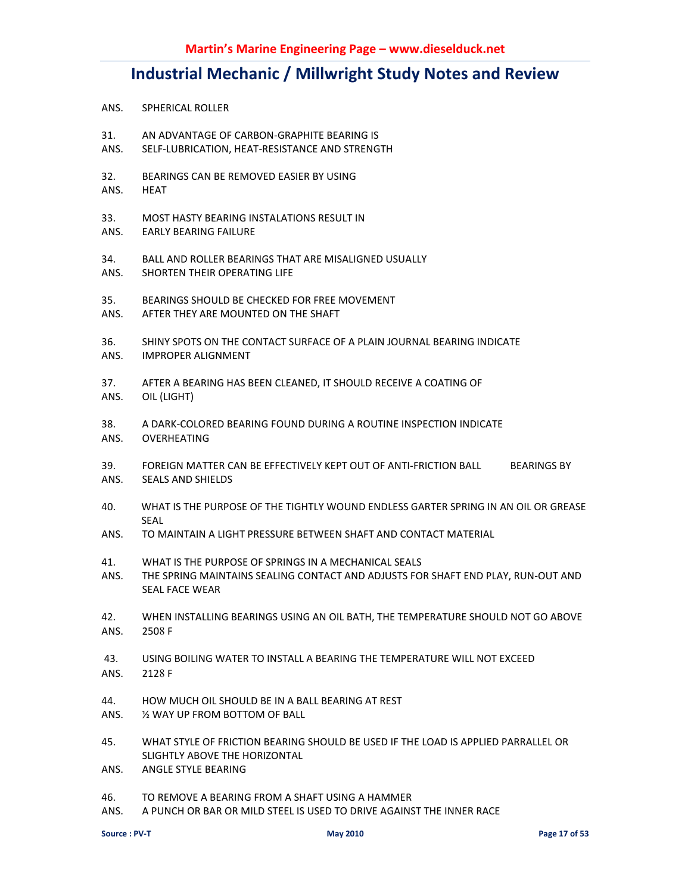- ANS. SPHERICAL ROLLER
- 31. AN ADVANTAGE OF CARBON-GRAPHITE BEARING IS
- ANS. SELF-LUBRICATION, HEAT-RESISTANCE AND STRENGTH
- 32. BEARINGS CAN BE REMOVED EASIER BY USING
- ANS. HEAT
- 33. MOST HASTY BEARING INSTALATIONS RESULT IN
- ANS. EARLY BEARING FAILURE
- 34. BALL AND ROLLER BEARINGS THAT ARE MISALIGNED USUALLY
- ANS. SHORTEN THEIR OPERATING LIFE
- 35. BEARINGS SHOULD BE CHECKED FOR FREE MOVEMENT
- ANS. AFTER THEY ARE MOUNTED ON THE SHAFT
- 36. SHINY SPOTS ON THE CONTACT SURFACE OF A PLAIN JOURNAL BEARING INDICATE
- ANS. IMPROPER ALIGNMENT
- 37. AFTER A BEARING HAS BEEN CLEANED, IT SHOULD RECEIVE A COATING OF
- ANS. OIL (LIGHT)
- 38. A DARK-COLORED BEARING FOUND DURING A ROUTINE INSPECTION INDICATE ANS. OVERHEATING
- 39. FOREIGN MATTER CAN BE EFFECTIVELY KEPT OUT OF ANTI-FRICTION BALL BEARINGS BY ANS. SEALS AND SHIELDS
- 40. WHAT IS THE PURPOSE OF THE TIGHTLY WOUND ENDLESS GARTER SPRING IN AN OIL OR GREASE **SEAL**
- ANS. TO MAINTAIN A LIGHT PRESSURE BETWEEN SHAFT AND CONTACT MATERIAL
- 41. WHAT IS THE PURPOSE OF SPRINGS IN A MECHANICAL SEALS
- ANS. THE SPRING MAINTAINS SEALING CONTACT AND ADJUSTS FOR SHAFT END PLAY, RUN-OUT AND SEAL FACE WEAR
- 42. WHEN INSTALLING BEARINGS USING AN OIL BATH, THE TEMPERATURE SHOULD NOT GO ABOVE ANS. 2508 F
- 43. USING BOILING WATER TO INSTALL A BEARING THE TEMPERATURE WILL NOT EXCEED
- ANS. 2128 F
- 44. HOW MUCH OIL SHOULD BE IN A BALL BEARING AT REST
- ANS. ½ WAY UP FROM BOTTOM OF BALL
- 45. WHAT STYLE OF FRICTION BEARING SHOULD BE USED IF THE LOAD IS APPLIED PARRALLEL OR SLIGHTLY ABOVE THE HORIZONTAL
- ANS. ANGLE STYLE BEARING
- 46. TO REMOVE A BEARING FROM A SHAFT USING A HAMMER
- ANS. A PUNCH OR BAR OR MILD STEEL IS USED TO DRIVE AGAINST THE INNER RACE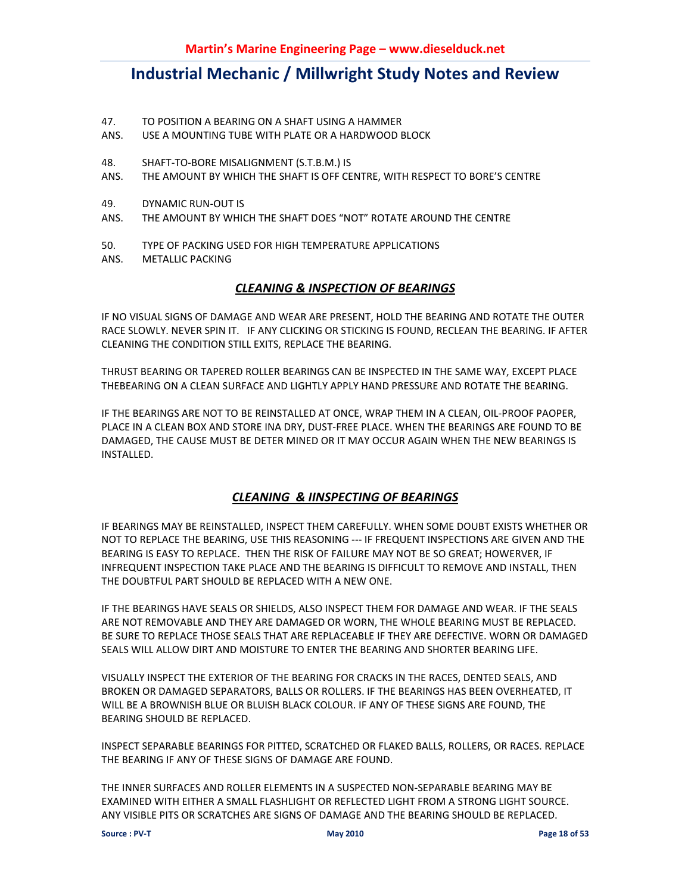- 47. TO POSITION A BEARING ON A SHAFT USING A HAMMER
- ANS. USE A MOUNTING TUBE WITH PLATE OR A HARDWOOD BLOCK
- 48. SHAFT-TO-BORE MISALIGNMENT (S.T.B.M.) IS
- ANS. THE AMOUNT BY WHICH THE SHAFT IS OFF CENTRE, WITH RESPECT TO BORE'S CENTRE
- 49. DYNAMIC RUN-OUT IS
- ANS. THE AMOUNT BY WHICH THE SHAFT DOES "NOT" ROTATE AROUND THE CENTRE
- 50. TYPE OF PACKING USED FOR HIGH TEMPERATURE APPLICATIONS
- ANS. METALLIC PACKING

### *CLEANING & INSPECTION OF BEARINGS*

IF NO VISUAL SIGNS OF DAMAGE AND WEAR ARE PRESENT, HOLD THE BEARING AND ROTATE THE OUTER RACE SLOWLY. NEVER SPIN IT. IF ANY CLICKING OR STICKING IS FOUND, RECLEAN THE BEARING. IF AFTER CLEANING THE CONDITION STILL EXITS, REPLACE THE BEARING.

THRUST BEARING OR TAPERED ROLLER BEARINGS CAN BE INSPECTED IN THE SAME WAY, EXCEPT PLACE THEBEARING ON A CLEAN SURFACE AND LIGHTLY APPLY HAND PRESSURE AND ROTATE THE BEARING.

IF THE BEARINGS ARE NOT TO BE REINSTALLED AT ONCE, WRAP THEM IN A CLEAN, OIL-PROOF PAOPER, PLACE IN A CLEAN BOX AND STORE INA DRY, DUST-FREE PLACE. WHEN THE BEARINGS ARE FOUND TO BE DAMAGED, THE CAUSE MUST BE DETER MINED OR IT MAY OCCUR AGAIN WHEN THE NEW BEARINGS IS INSTALLED.

### *CLEANING & IINSPECTING OF BEARINGS*

IF BEARINGS MAY BE REINSTALLED, INSPECT THEM CAREFULLY. WHEN SOME DOUBT EXISTS WHETHER OR NOT TO REPLACE THE BEARING, USE THIS REASONING --- IF FREQUENT INSPECTIONS ARE GIVEN AND THE BEARING IS EASY TO REPLACE. THEN THE RISK OF FAILURE MAY NOT BE SO GREAT; HOWERVER, IF INFREQUENT INSPECTION TAKE PLACE AND THE BEARING IS DIFFICULT TO REMOVE AND INSTALL, THEN THE DOUBTFUL PART SHOULD BE REPLACED WITH A NEW ONE.

IF THE BEARINGS HAVE SEALS OR SHIELDS, ALSO INSPECT THEM FOR DAMAGE AND WEAR. IF THE SEALS ARE NOT REMOVABLE AND THEY ARE DAMAGED OR WORN, THE WHOLE BEARING MUST BE REPLACED. BE SURE TO REPLACE THOSE SEALS THAT ARE REPLACEABLE IF THEY ARE DEFECTIVE. WORN OR DAMAGED SEALS WILL ALLOW DIRT AND MOISTURE TO ENTER THE BEARING AND SHORTER BEARING LIFE.

VISUALLY INSPECT THE EXTERIOR OF THE BEARING FOR CRACKS IN THE RACES, DENTED SEALS, AND BROKEN OR DAMAGED SEPARATORS, BALLS OR ROLLERS. IF THE BEARINGS HAS BEEN OVERHEATED, IT WILL BE A BROWNISH BLUE OR BLUISH BLACK COLOUR. IF ANY OF THESE SIGNS ARE FOUND, THE BEARING SHOULD BE REPLACED.

INSPECT SEPARABLE BEARINGS FOR PITTED, SCRATCHED OR FLAKED BALLS, ROLLERS, OR RACES. REPLACE THE BEARING IF ANY OF THESE SIGNS OF DAMAGE ARE FOUND.

THE INNER SURFACES AND ROLLER ELEMENTS IN A SUSPECTED NON-SEPARABLE BEARING MAY BE EXAMINED WITH EITHER A SMALL FLASHLIGHT OR REFLECTED LIGHT FROM A STRONG LIGHT SOURCE. ANY VISIBLE PITS OR SCRATCHES ARE SIGNS OF DAMAGE AND THE BEARING SHOULD BE REPLACED.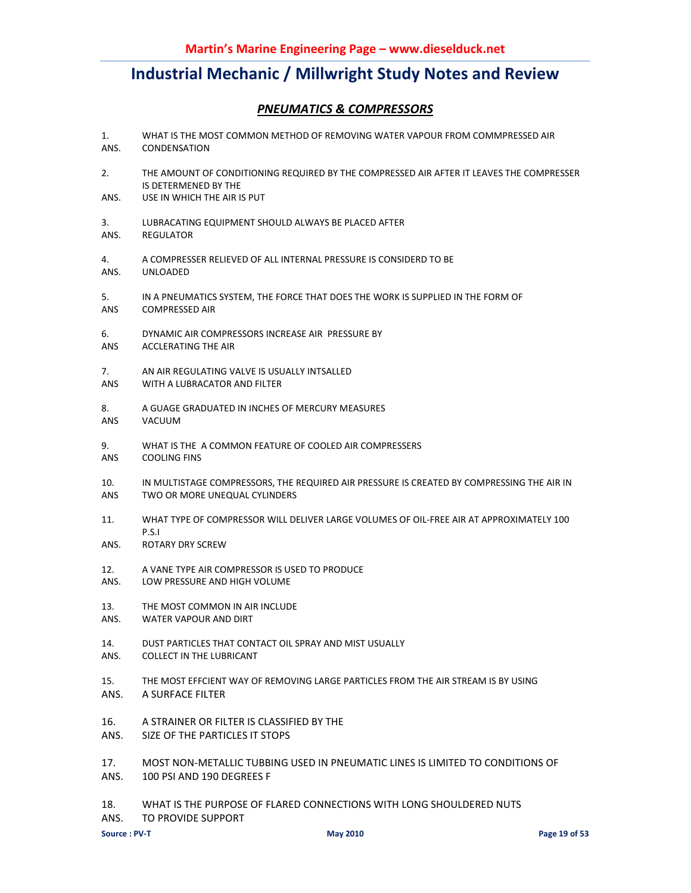### *PNEUMATICS & COMPRESSORS*

- 1. WHAT IS THE MOST COMMON METHOD OF REMOVING WATER VAPOUR FROM COMMPRESSED AIR ANS. CONDENSATION
- 2. THE AMOUNT OF CONDITIONING REQUIRED BY THE COMPRESSED AIR AFTER IT LEAVES THE COMPRESSER IS DETERMENED BY THE
- ANS. USE IN WHICH THE AIR IS PUT
- 3. LUBRACATING EQUIPMENT SHOULD ALWAYS BE PLACED AFTER ANS. REGULATOR
- 4. A COMPRESSER RELIEVED OF ALL INTERNAL PRESSURE IS CONSIDERD TO BE ANS. UNLOADED
- 5. IN A PNEUMATICS SYSTEM, THE FORCE THAT DOES THE WORK IS SUPPLIED IN THE FORM OF ANS COMPRESSED AIR
- 6. DYNAMIC AIR COMPRESSORS INCREASE AIR PRESSURE BY
- ANS ACCLERATING THE AIR
- 7. AN AIR REGULATING VALVE IS USUALLY INTSALLED
- ANS WITH A LUBRACATOR AND FILTER
- 8. A GUAGE GRADUATED IN INCHES OF MERCURY MEASURES ANS VACUUM
- 9. WHAT IS THE A COMMON FEATURE OF COOLED AIR COMPRESSERS ANS COOLING FINS
- 10. IN MULTISTAGE COMPRESSORS, THE REQUIRED AIR PRESSURE IS CREATED BY COMPRESSING THE AIR IN ANS TWO OR MORE UNEQUAL CYLINDERS
- 11. WHAT TYPE OF COMPRESSOR WILL DELIVER LARGE VOLUMES OF OIL-FREE AIR AT APPROXIMATELY 100 P.S.I
- ANS. ROTARY DRY SCREW
- 12. A VANE TYPE AIR COMPRESSOR IS USED TO PRODUCE
- ANS. LOW PRESSURE AND HIGH VOLUME
- 13. THE MOST COMMON IN AIR INCLUDE
- ANS. WATER VAPOUR AND DIRT
- 14. DUST PARTICLES THAT CONTACT OIL SPRAY AND MIST USUALLY
- ANS. COLLECT IN THE LUBRICANT
- 15. THE MOST EFFCIENT WAY OF REMOVING LARGE PARTICLES FROM THE AIR STREAM IS BY USING
- ANS. A SURFACE FILTER
- 16. A STRAINER OR FILTER IS CLASSIFIED BY THE
- ANS. SIZE OF THE PARTICLES IT STOPS

17. MOST NON-METALLIC TUBBING USED IN PNEUMATIC LINES IS LIMITED TO CONDITIONS OF

- ANS. 100 PSI AND 190 DEGREES F
- 18. WHAT IS THE PURPOSE OF FLARED CONNECTIONS WITH LONG SHOULDERED NUTS
- ANS. TO PROVIDE SUPPORT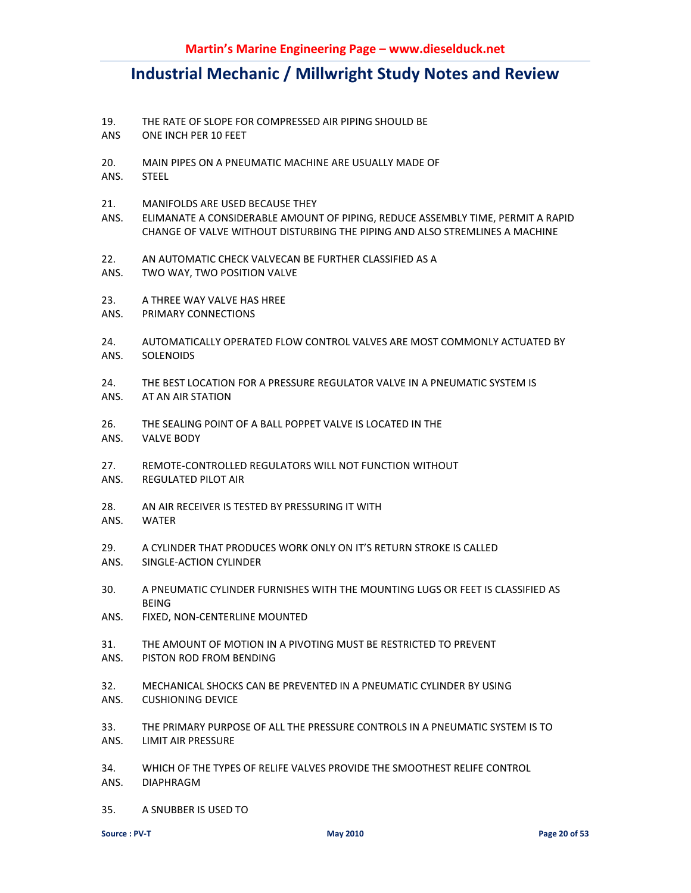- 19. THE RATE OF SLOPE FOR COMPRESSED AIR PIPING SHOULD BE
- ANS ONE INCH PER 10 FEET
- 20. MAIN PIPES ON A PNEUMATIC MACHINE ARE USUALLY MADE OF
- ANS. STEEL
- 21. MANIFOLDS ARE USED BECAUSE THEY
- ANS. ELIMANATE A CONSIDERABLE AMOUNT OF PIPING, REDUCE ASSEMBLY TIME, PERMIT A RAPID CHANGE OF VALVE WITHOUT DISTURBING THE PIPING AND ALSO STREMLINES A MACHINE
- 22. AN AUTOMATIC CHECK VALVECAN BE FURTHER CLASSIFIED AS A
- ANS. TWO WAY, TWO POSITION VALVE
- 23. A THREE WAY VALVE HAS HREE
- ANS. PRIMARY CONNECTIONS
- 24. AUTOMATICALLY OPERATED FLOW CONTROL VALVES ARE MOST COMMONLY ACTUATED BY ANS. SOLENOIDS
- 24. THE BEST LOCATION FOR A PRESSURE REGULATOR VALVE IN A PNEUMATIC SYSTEM IS
- ANS. AT AN AIR STATION
- 26. THE SEALING POINT OF A BALL POPPET VALVE IS LOCATED IN THE
- ANS. VALVE BODY
- 27. REMOTE-CONTROLLED REGULATORS WILL NOT FUNCTION WITHOUT
- ANS. REGULATED PILOT AIR
- 28. AN AIR RECEIVER IS TESTED BY PRESSURING IT WITH
- ANS. WATER
- 29. A CYLINDER THAT PRODUCES WORK ONLY ON IT'S RETURN STROKE IS CALLED
- ANS. SINGLE-ACTION CYLINDER
- 30. A PNEUMATIC CYLINDER FURNISHES WITH THE MOUNTING LUGS OR FEET IS CLASSIFIED AS BEING
- ANS. FIXED, NON-CENTERLINE MOUNTED
- 31. THE AMOUNT OF MOTION IN A PIVOTING MUST BE RESTRICTED TO PREVENT
- ANS. PISTON ROD FROM BENDING
- 32. MECHANICAL SHOCKS CAN BE PREVENTED IN A PNEUMATIC CYLINDER BY USING ANS. CUSHIONING DEVICE
- 33. THE PRIMARY PURPOSE OF ALL THE PRESSURE CONTROLS IN A PNEUMATIC SYSTEM IS TO ANS. LIMIT AIR PRESSURE
- 34. WHICH OF THE TYPES OF RELIFE VALVES PROVIDE THE SMOOTHEST RELIFE CONTROL ANS. DIAPHRAGM
- 35. A SNUBBER IS USED TO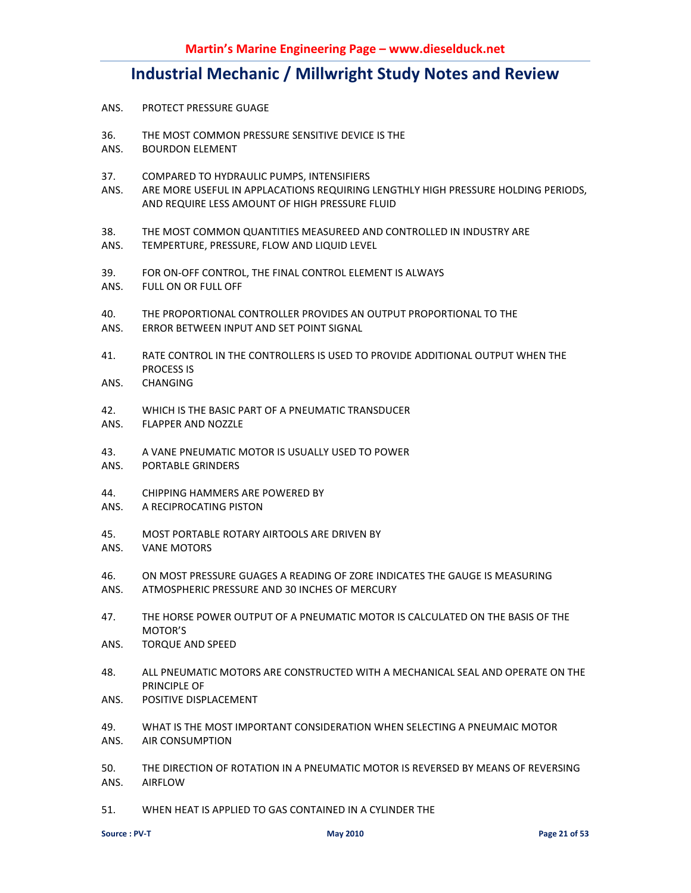- ANS. PROTECT PRESSURE GUAGE
- 36. THE MOST COMMON PRESSURE SENSITIVE DEVICE IS THE
- ANS. BOURDON ELEMENT
- 37. COMPARED TO HYDRAULIC PUMPS, INTENSIFIERS
- ANS. ARE MORE USEFUL IN APPLACATIONS REQUIRING LENGTHLY HIGH PRESSURE HOLDING PERIODS, AND REQUIRE LESS AMOUNT OF HIGH PRESSURE FLUID
- 38. THE MOST COMMON QUANTITIES MEASUREED AND CONTROLLED IN INDUSTRY ARE
- ANS. TEMPERTURE, PRESSURE, FLOW AND LIQUID LEVEL
- 39. FOR ON-OFF CONTROL, THE FINAL CONTROL ELEMENT IS ALWAYS
- ANS. FULL ON OR FULL OFF
- 40. THE PROPORTIONAL CONTROLLER PROVIDES AN OUTPUT PROPORTIONAL TO THE
- ANS. ERROR BETWEEN INPUT AND SET POINT SIGNAL
- 41. RATE CONTROL IN THE CONTROLLERS IS USED TO PROVIDE ADDITIONAL OUTPUT WHEN THE PROCESS IS
- ANS. CHANGING
- 42. WHICH IS THE BASIC PART OF A PNEUMATIC TRANSDUCER
- ANS. FLAPPER AND NOZZLE
- 43. A VANE PNEUMATIC MOTOR IS USUALLY USED TO POWER
- ANS. PORTABLE GRINDERS
- 44. CHIPPING HAMMERS ARE POWERED BY
- ANS. A RECIPROCATING PISTON
- 45. MOST PORTABLE ROTARY AIRTOOLS ARE DRIVEN BY
- ANS. VANE MOTORS
- 46. ON MOST PRESSURE GUAGES A READING OF ZORE INDICATES THE GAUGE IS MEASURING
- ANS. ATMOSPHERIC PRESSURE AND 30 INCHES OF MERCURY
- 47. THE HORSE POWER OUTPUT OF A PNEUMATIC MOTOR IS CALCULATED ON THE BASIS OF THE MOTOR'S
- ANS. TORQUE AND SPEED
- 48. ALL PNEUMATIC MOTORS ARE CONSTRUCTED WITH A MECHANICAL SEAL AND OPERATE ON THE PRINCIPLE OF
- ANS. POSITIVE DISPLACEMENT
- 49. WHAT IS THE MOST IMPORTANT CONSIDERATION WHEN SELECTING A PNEUMAIC MOTOR ANS. AIR CONSUMPTION
- 50. THE DIRECTION OF ROTATION IN A PNEUMATIC MOTOR IS REVERSED BY MEANS OF REVERSING ANS. AIRFLOW
- 51. WHEN HEAT IS APPLIED TO GAS CONTAINED IN A CYLINDER THE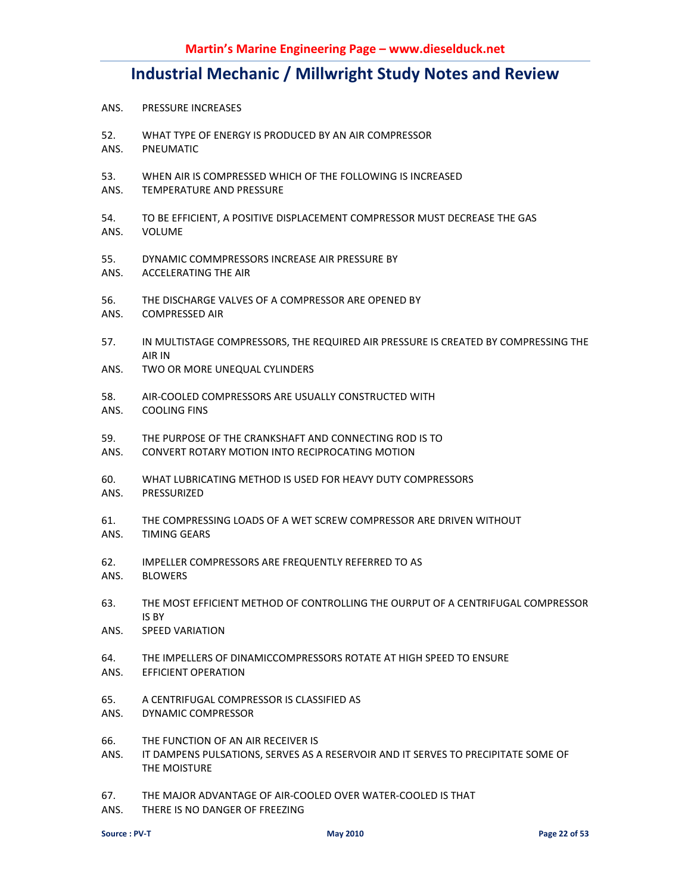- ANS. PRESSURE INCREASES
- 52. WHAT TYPE OF ENERGY IS PRODUCED BY AN AIR COMPRESSOR
- ANS. PNEUMATIC
- 53. WHEN AIR IS COMPRESSED WHICH OF THE FOLLOWING IS INCREASED
- ANS. TEMPERATURE AND PRESSURE
- 54. TO BE EFFICIENT, A POSITIVE DISPLACEMENT COMPRESSOR MUST DECREASE THE GAS
- ANS. VOLUME
- 55. DYNAMIC COMMPRESSORS INCREASE AIR PRESSURE BY
- ANS. ACCELERATING THE AIR
- 56. THE DISCHARGE VALVES OF A COMPRESSOR ARE OPENED BY
- ANS. COMPRESSED AIR
- 57. IN MULTISTAGE COMPRESSORS, THE REQUIRED AIR PRESSURE IS CREATED BY COMPRESSING THE AIR IN
- ANS. TWO OR MORE UNEQUAL CYLINDERS
- 58. AIR-COOLED COMPRESSORS ARE USUALLY CONSTRUCTED WITH
- ANS. COOLING FINS
- 59. THE PURPOSE OF THE CRANKSHAFT AND CONNECTING ROD IS TO
- ANS. CONVERT ROTARY MOTION INTO RECIPROCATING MOTION
- 60. WHAT LUBRICATING METHOD IS USED FOR HEAVY DUTY COMPRESSORS
- ANS. PRESSURIZED
- 61. THE COMPRESSING LOADS OF A WET SCREW COMPRESSOR ARE DRIVEN WITHOUT ANS. TIMING GEARS
- 62. IMPELLER COMPRESSORS ARE FREQUENTLY REFERRED TO AS
- ANS. BLOWERS
- 63. THE MOST EFFICIENT METHOD OF CONTROLLING THE OURPUT OF A CENTRIFUGAL COMPRESSOR IS BY
- ANS. SPEED VARIATION
- 64. THE IMPELLERS OF DINAMICCOMPRESSORS ROTATE AT HIGH SPEED TO ENSURE
- ANS. EFFICIENT OPERATION
- 65. A CENTRIFUGAL COMPRESSOR IS CLASSIFIED AS
- ANS. DYNAMIC COMPRESSOR
- 66. THE FUNCTION OF AN AIR RECEIVER IS
- ANS. IT DAMPENS PULSATIONS, SERVES AS A RESERVOIR AND IT SERVES TO PRECIPITATE SOME OF THE MOISTURE
- 67. THE MAJOR ADVANTAGE OF AIR-COOLED OVER WATER-COOLED IS THAT
- ANS. THERE IS NO DANGER OF FREEZING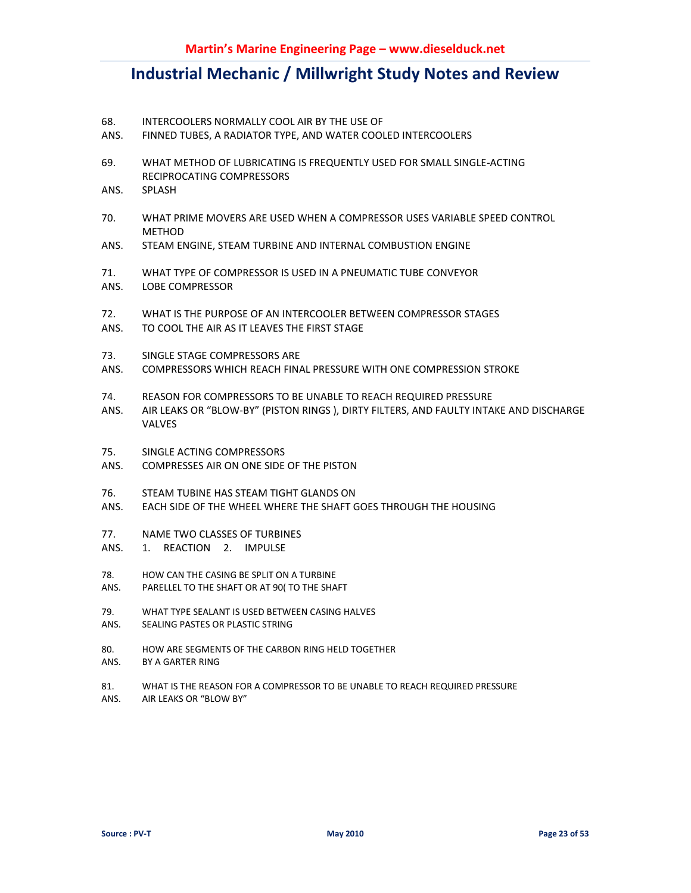- 68. INTERCOOLERS NORMALLY COOL AIR BY THE USE OF
- ANS. FINNED TUBES, A RADIATOR TYPE, AND WATER COOLED INTERCOOLERS
- 69. WHAT METHOD OF LUBRICATING IS FREQUENTLY USED FOR SMALL SINGLE-ACTING RECIPROCATING COMPRESSORS
- ANS. SPLASH
- 70. WHAT PRIME MOVERS ARE USED WHEN A COMPRESSOR USES VARIABLE SPEED CONTROL **METHOD**
- ANS. STEAM ENGINE, STEAM TURBINE AND INTERNAL COMBUSTION ENGINE
- 71. WHAT TYPE OF COMPRESSOR IS USED IN A PNEUMATIC TUBE CONVEYOR
- ANS. LOBE COMPRESSOR
- 72. WHAT IS THE PURPOSE OF AN INTERCOOLER BETWEEN COMPRESSOR STAGES
- ANS. TO COOL THE AIR AS IT LEAVES THE FIRST STAGE
- 73. SINGLE STAGE COMPRESSORS ARE
- ANS. COMPRESSORS WHICH REACH FINAL PRESSURE WITH ONE COMPRESSION STROKE
- 74. REASON FOR COMPRESSORS TO BE UNABLE TO REACH REQUIRED PRESSURE
- ANS. AIR LEAKS OR "BLOW-BY" (PISTON RINGS ), DIRTY FILTERS, AND FAULTY INTAKE AND DISCHARGE VALVES
- 75. SINGLE ACTING COMPRESSORS
- ANS. COMPRESSES AIR ON ONE SIDE OF THE PISTON
- 76. STEAM TUBINE HAS STEAM TIGHT GLANDS ON
- ANS. EACH SIDE OF THE WHEEL WHERE THE SHAFT GOES THROUGH THE HOUSING
- 77. NAME TWO CLASSES OF TURBINES
- ANS. 1. REACTION 2. IMPULSE
- 78. HOW CAN THE CASING BE SPLIT ON A TURBINE
- ANS. PARELLEL TO THE SHAFT OR AT 90( TO THE SHAFT
- 79. WHAT TYPE SEALANT IS USED BETWEEN CASING HALVES
- ANS. SEALING PASTES OR PLASTIC STRING
- 80. HOW ARE SEGMENTS OF THE CARBON RING HELD TOGETHER
- ANS. BY A GARTER RING
- 81. WHAT IS THE REASON FOR A COMPRESSOR TO BE UNABLE TO REACH REQUIRED PRESSURE
- ANS. AIR LEAKS OR "BLOW BY"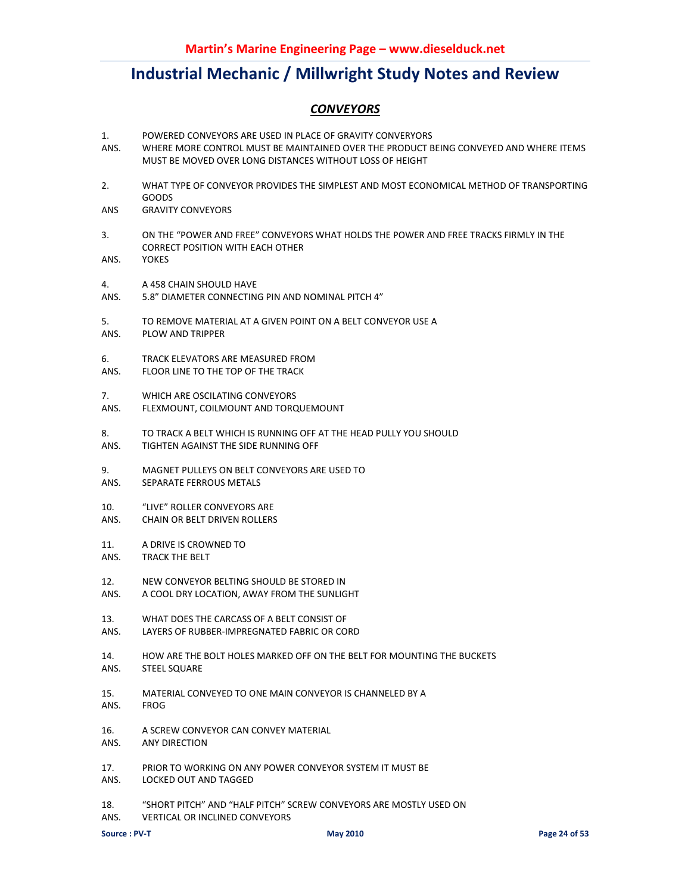### *CONVEYORS*

- 1. POWERED CONVEYORS ARE USED IN PLACE OF GRAVITY CONVERYORS
- ANS. WHERE MORE CONTROL MUST BE MAINTAINED OVER THE PRODUCT BEING CONVEYED AND WHERE ITEMS MUST BE MOVED OVER LONG DISTANCES WITHOUT LOSS OF HEIGHT
- 2. WHAT TYPE OF CONVEYOR PROVIDES THE SIMPLEST AND MOST ECONOMICAL METHOD OF TRANSPORTING GOODS
- ANS GRAVITY CONVEYORS
- 3. ON THE "POWER AND FREE" CONVEYORS WHAT HOLDS THE POWER AND FREE TRACKS FIRMLY IN THE CORRECT POSITION WITH EACH OTHER
- ANS. YOKES
- 4. A 458 CHAIN SHOULD HAVE
- ANS. 5.8" DIAMETER CONNECTING PIN AND NOMINAL PITCH 4"
- 5. TO REMOVE MATERIAL AT A GIVEN POINT ON A BELT CONVEYOR USE A
- ANS. PLOW AND TRIPPER
- 6. TRACK ELEVATORS ARE MEASURED FROM
- ANS. FLOOR LINE TO THE TOP OF THE TRACK
- 7. WHICH ARE OSCILATING CONVEYORS ANS. FLEXMOUNT, COILMOUNT AND TORQUEMOUNT
- 8. TO TRACK A BELT WHICH IS RUNNING OFF AT THE HEAD PULLY YOU SHOULD
- ANS. TIGHTEN AGAINST THE SIDE RUNNING OFF
- 9. MAGNET PULLEYS ON BELT CONVEYORS ARE USED TO
- ANS. SEPARATE FERROUS METALS
- 10. "LIVE" ROLLER CONVEYORS ARE
- ANS. CHAIN OR BELT DRIVEN ROLLERS
- 11. A DRIVE IS CROWNED TO
- ANS. TRACK THE BELT
- 12. NEW CONVEYOR BELTING SHOULD BE STORED IN
- ANS. A COOL DRY LOCATION, AWAY FROM THE SUNLIGHT
- 13. WHAT DOES THE CARCASS OF A BELT CONSIST OF
- ANS. LAYERS OF RUBBER-IMPREGNATED FABRIC OR CORD
- 14. HOW ARE THE BOLT HOLES MARKED OFF ON THE BELT FOR MOUNTING THE BUCKETS
- ANS. STEEL SQUARE
- 15. MATERIAL CONVEYED TO ONE MAIN CONVEYOR IS CHANNELED BY A ANS. FROG
- 16. A SCREW CONVEYOR CAN CONVEY MATERIAL
- ANS. ANY DIRECTION
- 17. PRIOR TO WORKING ON ANY POWER CONVEYOR SYSTEM IT MUST BE
- ANS. LOCKED OUT AND TAGGED
- 18. "SHORT PITCH" AND "HALF PITCH" SCREW CONVEYORS ARE MOSTLY USED ON
- ANS. VERTICAL OR INCLINED CONVEYORS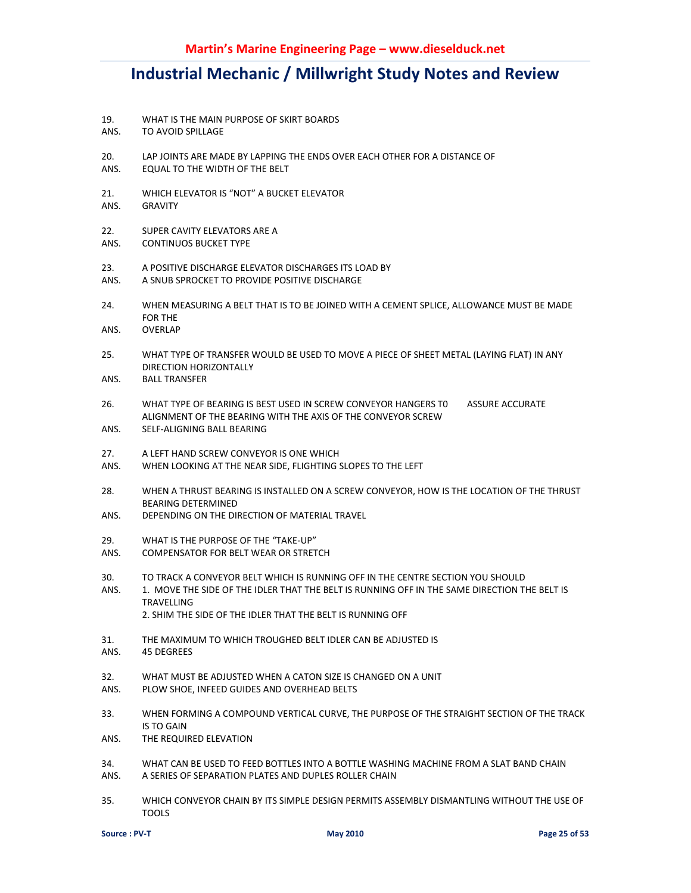- 19. WHAT IS THE MAIN PURPOSE OF SKIRT BOARDS
- ANS. TO AVOID SPILLAGE
- 20. LAP JOINTS ARE MADE BY LAPPING THE ENDS OVER EACH OTHER FOR A DISTANCE OF
- ANS. EQUAL TO THE WIDTH OF THE BELT
- 21. WHICH ELEVATOR IS "NOT" A BUCKET ELEVATOR
- ANS. GRAVITY
- 22. SUPER CAVITY ELEVATORS ARE A
- ANS. CONTINUOS BUCKET TYPE
- 23. A POSITIVE DISCHARGE ELEVATOR DISCHARGES ITS LOAD BY
- ANS. A SNUB SPROCKET TO PROVIDE POSITIVE DISCHARGE
- 24. WHEN MEASURING A BELT THAT IS TO BE JOINED WITH A CEMENT SPLICE, ALLOWANCE MUST BE MADE FOR THE
- ANS. OVERLAP
- 25. WHAT TYPE OF TRANSFER WOULD BE USED TO MOVE A PIECE OF SHEET METAL (LAYING FLAT) IN ANY DIRECTION HORIZONTALLY
- ANS. BALL TRANSFER
- 26. WHAT TYPE OF BEARING IS BEST USED IN SCREW CONVEYOR HANGERS T0 ASSURE ACCURATE ALIGNMENT OF THE BEARING WITH THE AXIS OF THE CONVEYOR SCREW
- ANS. SELF-ALIGNING BALL BEARING
- 27. A LEFT HAND SCREW CONVEYOR IS ONE WHICH
- ANS. WHEN LOOKING AT THE NEAR SIDE, FLIGHTING SLOPES TO THE LEFT
- 28. WHEN A THRUST BEARING IS INSTALLED ON A SCREW CONVEYOR, HOW IS THE LOCATION OF THE THRUST BEARING DETERMINED
- ANS. DEPENDING ON THE DIRECTION OF MATERIAL TRAVEL
- 29. WHAT IS THE PURPOSE OF THE "TAKE-UP"
- ANS. COMPENSATOR FOR BELT WEAR OR STRETCH
- 30. TO TRACK A CONVEYOR BELT WHICH IS RUNNING OFF IN THE CENTRE SECTION YOU SHOULD
- ANS. 1. MOVE THE SIDE OF THE IDLER THAT THE BELT IS RUNNING OFF IN THE SAME DIRECTION THE BELT IS TRAVELLING
	- 2. SHIM THE SIDE OF THE IDLER THAT THE BELT IS RUNNING OFF
- 31. THE MAXIMUM TO WHICH TROUGHED BELT IDLER CAN BE ADJUSTED IS
- ANS. 45 DEGREES
- 32. WHAT MUST BE ADJUSTED WHEN A CATON SIZE IS CHANGED ON A UNIT
- ANS. PLOW SHOE, INFEED GUIDES AND OVERHEAD BELTS
- 33. WHEN FORMING A COMPOUND VERTICAL CURVE, THE PURPOSE OF THE STRAIGHT SECTION OF THE TRACK IS TO GAIN
- ANS. THE REQUIRED ELEVATION
- 34. WHAT CAN BE USED TO FEED BOTTLES INTO A BOTTLE WASHING MACHINE FROM A SLAT BAND CHAIN ANS. A SERIES OF SEPARATION PLATES AND DUPLES ROLLER CHAIN
- 35. WHICH CONVEYOR CHAIN BY ITS SIMPLE DESIGN PERMITS ASSEMBLY DISMANTLING WITHOUT THE USE OF TOOLS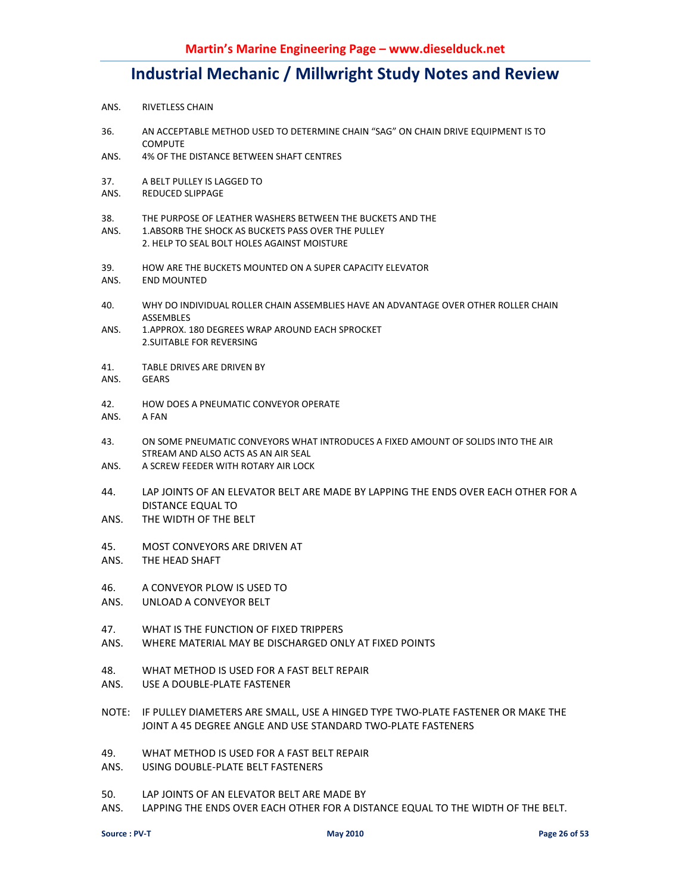- ANS. RIVETLESS CHAIN
- 36. AN ACCEPTABLE METHOD USED TO DETERMINE CHAIN "SAG" ON CHAIN DRIVE EQUIPMENT IS TO COMPUTE
- ANS. 4% OF THE DISTANCE BETWEEN SHAFT CENTRES
- 37. A BELT PULLEY IS LAGGED TO
- ANS. REDUCED SLIPPAGE
- 38. THE PURPOSE OF LEATHER WASHERS BETWEEN THE BUCKETS AND THE
- ANS. 1.ABSORB THE SHOCK AS BUCKETS PASS OVER THE PULLEY 2. HELP TO SEAL BOLT HOLES AGAINST MOISTURE
- 39. HOW ARE THE BUCKETS MOUNTED ON A SUPER CAPACITY ELEVATOR
- ANS. END MOUNTED
- 40. WHY DO INDIVIDUAL ROLLER CHAIN ASSEMBLIES HAVE AN ADVANTAGE OVER OTHER ROLLER CHAIN ASSEMBLES
- ANS. 1.APPROX. 180 DEGREES WRAP AROUND EACH SPROCKET 2.SUITABLE FOR REVERSING
- 41. TABLE DRIVES ARE DRIVEN BY
- ANS. GEARS
- 42. HOW DOES A PNEUMATIC CONVEYOR OPERATE
- ANS. A FAN
- 43. ON SOME PNEUMATIC CONVEYORS WHAT INTRODUCES A FIXED AMOUNT OF SOLIDS INTO THE AIR STREAM AND ALSO ACTS AS AN AIR SEAL
- ANS. A SCREW FEEDER WITH ROTARY AIR LOCK
- 44. LAP JOINTS OF AN ELEVATOR BELT ARE MADE BY LAPPING THE ENDS OVER EACH OTHER FOR A DISTANCE EQUAL TO
- ANS. THE WIDTH OF THE BELT
- 45. MOST CONVEYORS ARE DRIVEN AT
- ANS. THE HEAD SHAFT
- 46. A CONVEYOR PLOW IS USED TO
- ANS. UNLOAD A CONVEYOR BELT
- 47. WHAT IS THE FUNCTION OF FIXED TRIPPERS
- ANS. WHERE MATERIAL MAY BE DISCHARGED ONLY AT FIXED POINTS
- 48. WHAT METHOD IS USED FOR A FAST BELT REPAIR
- ANS. USE A DOUBLE-PLATE FASTENER
- NOTE: IF PULLEY DIAMETERS ARE SMALL, USE A HINGED TYPE TWO-PLATE FASTENER OR MAKE THE JOINT A 45 DEGREE ANGLE AND USE STANDARD TWO-PLATE FASTENERS
- 49. WHAT METHOD IS USED FOR A FAST BELT REPAIR
- ANS. USING DOUBLE-PLATE BELT FASTENERS
- 50. LAP JOINTS OF AN ELEVATOR BELT ARE MADE BY
- ANS. LAPPING THE ENDS OVER EACH OTHER FOR A DISTANCE EQUAL TO THE WIDTH OF THE BELT.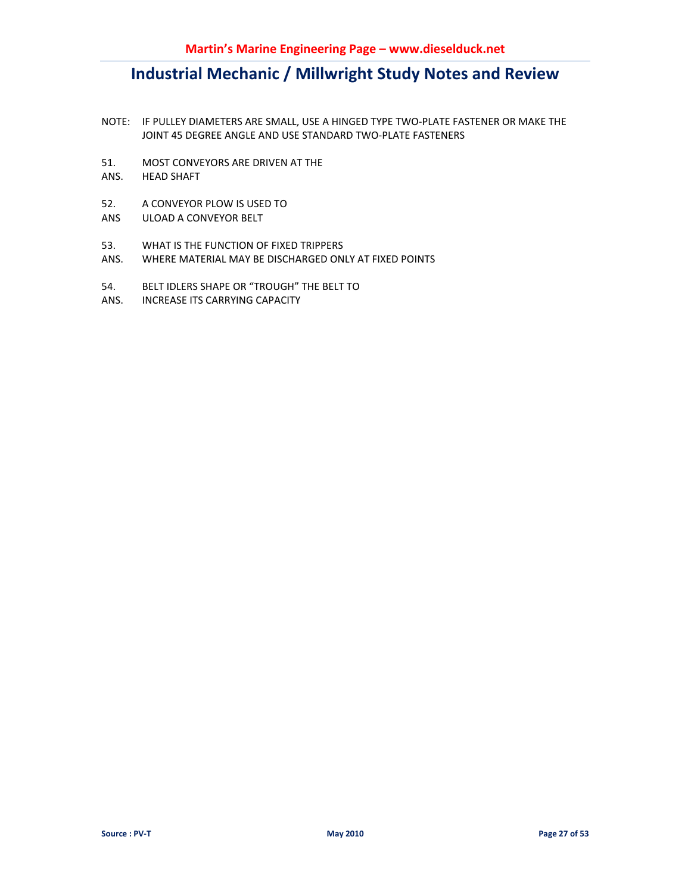- NOTE: IF PULLEY DIAMETERS ARE SMALL, USE A HINGED TYPE TWO-PLATE FASTENER OR MAKE THE JOINT 45 DEGREE ANGLE AND USE STANDARD TWO-PLATE FASTENERS
- 51. MOST CONVEYORS ARE DRIVEN AT THE
- ANS. HEAD SHAFT
- 52. A CONVEYOR PLOW IS USED TO
- ANS ULOAD A CONVEYOR BELT
- 53. WHAT IS THE FUNCTION OF FIXED TRIPPERS
- ANS. WHERE MATERIAL MAY BE DISCHARGED ONLY AT FIXED POINTS
- 54. BELT IDLERS SHAPE OR "TROUGH" THE BELT TO
- ANS. INCREASE ITS CARRYING CAPACITY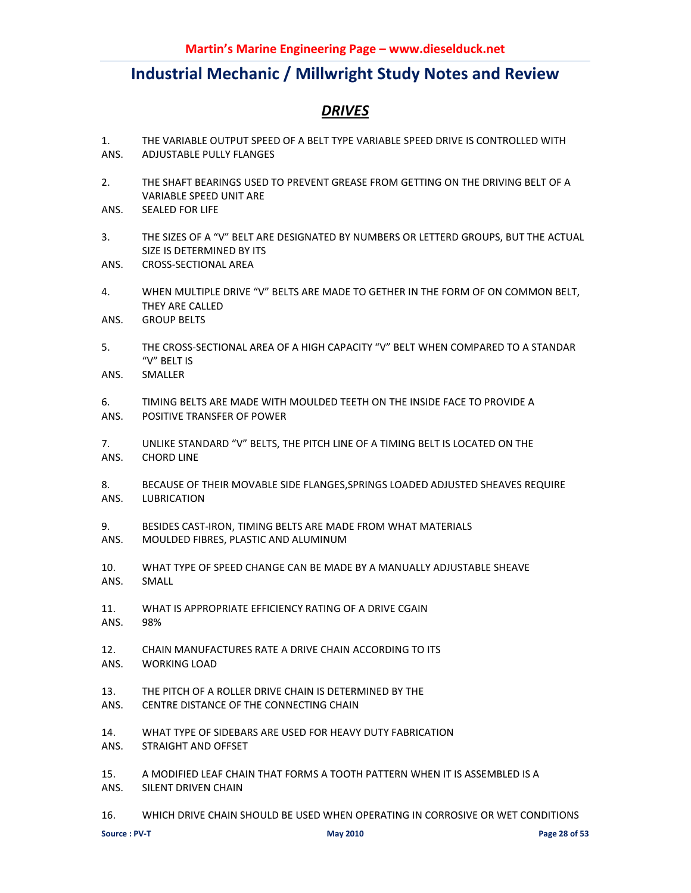### *DRIVES*

- 1. THE VARIABLE OUTPUT SPEED OF A BELT TYPE VARIABLE SPEED DRIVE IS CONTROLLED WITH ANS. ADJUSTABLE PULLY FLANGES
- 2. THE SHAFT BEARINGS USED TO PREVENT GREASE FROM GETTING ON THE DRIVING BELT OF A VARIABLE SPEED UNIT ARE
- ANS. SEALED FOR LIFE
- 3. THE SIZES OF A "V" BELT ARE DESIGNATED BY NUMBERS OR LETTERD GROUPS, BUT THE ACTUAL SIZE IS DETERMINED BY ITS
- ANS. CROSS-SECTIONAL AREA
- 4. WHEN MULTIPLE DRIVE "V" BELTS ARE MADE TO GETHER IN THE FORM OF ON COMMON BELT, THEY ARE CALLED
- ANS. GROUP BELTS
- 5. THE CROSS-SECTIONAL AREA OF A HIGH CAPACITY "V" BELT WHEN COMPARED TO A STANDAR "V" BELT IS
- ANS. SMALLER
- 6. TIMING BELTS ARE MADE WITH MOULDED TEETH ON THE INSIDE FACE TO PROVIDE A
- ANS. POSITIVE TRANSFER OF POWER
- 7. UNLIKE STANDARD "V" BELTS, THE PITCH LINE OF A TIMING BELT IS LOCATED ON THE ANS. CHORD LINE
- 8. BECAUSE OF THEIR MOVABLE SIDE FLANGES,SPRINGS LOADED ADJUSTED SHEAVES REQUIRE ANS. LUBRICATION
- 9. BESIDES CAST-IRON, TIMING BELTS ARE MADE FROM WHAT MATERIALS
- ANS. MOULDED FIBRES, PLASTIC AND ALUMINUM
- 10. WHAT TYPE OF SPEED CHANGE CAN BE MADE BY A MANUALLY ADJUSTABLE SHEAVE ANS. SMALL
- 11. WHAT IS APPROPRIATE EFFICIENCY RATING OF A DRIVE CGAIN
- ANS. 98%
- 12. CHAIN MANUFACTURES RATE A DRIVE CHAIN ACCORDING TO ITS ANS. WORKING LOAD
- 13. THE PITCH OF A ROLLER DRIVE CHAIN IS DETERMINED BY THE
- ANS. CENTRE DISTANCE OF THE CONNECTING CHAIN
- 14. WHAT TYPE OF SIDEBARS ARE USED FOR HEAVY DUTY FABRICATION
- ANS. STRAIGHT AND OFFSET
- 15. A MODIFIED LEAF CHAIN THAT FORMS A TOOTH PATTERN WHEN IT IS ASSEMBLED IS A
- ANS. SILENT DRIVEN CHAIN
- 16. WHICH DRIVE CHAIN SHOULD BE USED WHEN OPERATING IN CORROSIVE OR WET CONDITIONS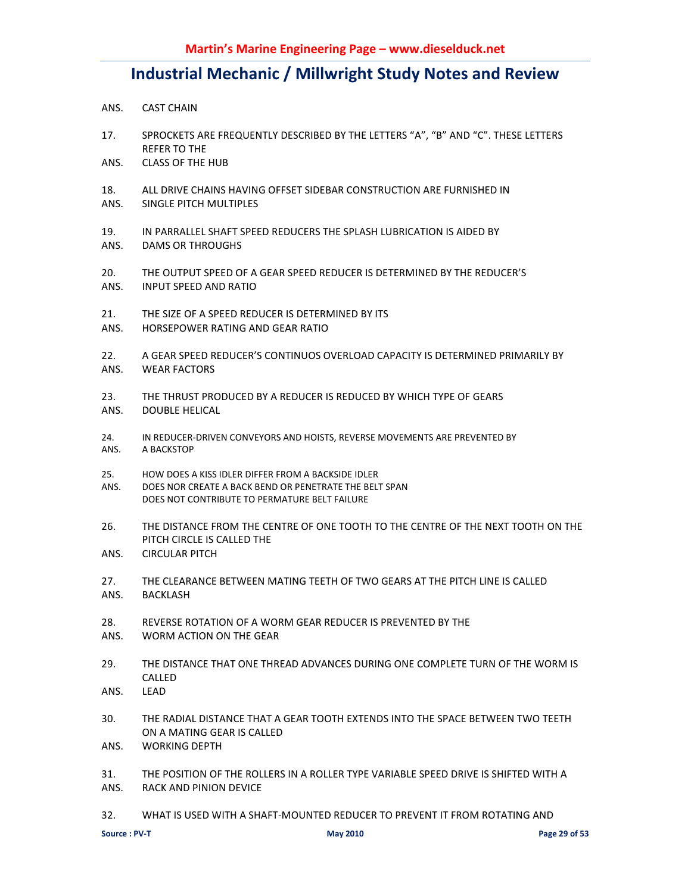- ANS. CAST CHAIN
- 17. SPROCKETS ARE FREQUENTLY DESCRIBED BY THE LETTERS "A", "B" AND "C". THESE LETTERS REFER TO THE
- ANS. CLASS OF THE HUB
- 18. ALL DRIVE CHAINS HAVING OFFSET SIDEBAR CONSTRUCTION ARE FURNISHED IN
- ANS. SINGLE PITCH MULTIPLES
- 19. IN PARRALLEL SHAFT SPEED REDUCERS THE SPLASH LUBRICATION IS AIDED BY
- ANS. DAMS OR THROUGHS
- 20. THE OUTPUT SPEED OF A GEAR SPEED REDUCER IS DETERMINED BY THE REDUCER'S ANS. INPUT SPEED AND RATIO
- 21. THE SIZE OF A SPEED REDUCER IS DETERMINED BY ITS
- ANS. HORSEPOWER RATING AND GEAR RATIO
- 22. A GEAR SPEED REDUCER'S CONTINUOS OVERLOAD CAPACITY IS DETERMINED PRIMARILY BY ANS. WEAR FACTORS
- 23. THE THRUST PRODUCED BY A REDUCER IS REDUCED BY WHICH TYPE OF GEARS ANS. DOUBLE HELICAL
- 24. IN REDUCER-DRIVEN CONVEYORS AND HOISTS, REVERSE MOVEMENTS ARE PREVENTED BY ANS. A BACKSTOP
- 25. HOW DOES A KISS IDLER DIFFER FROM A BACKSIDE IDLER
- ANS. DOES NOR CREATE A BACK BEND OR PENETRATE THE BELT SPAN DOES NOT CONTRIBUTE TO PERMATURE BELT FAILURE
- 26. THE DISTANCE FROM THE CENTRE OF ONE TOOTH TO THE CENTRE OF THE NEXT TOOTH ON THE PITCH CIRCLE IS CALLED THE
- ANS. CIRCULAR PITCH
- 27. THE CLEARANCE BETWEEN MATING TEETH OF TWO GEARS AT THE PITCH LINE IS CALLED ANS. BACKLASH
- 28. REVERSE ROTATION OF A WORM GEAR REDUCER IS PREVENTED BY THE
- ANS. WORM ACTION ON THE GEAR
- 29. THE DISTANCE THAT ONE THREAD ADVANCES DURING ONE COMPLETE TURN OF THE WORM IS CALLED
- ANS. LEAD
- 30. THE RADIAL DISTANCE THAT A GEAR TOOTH EXTENDS INTO THE SPACE BETWEEN TWO TEETH ON A MATING GEAR IS CALLED
- ANS. WORKING DEPTH
- 31. THE POSITION OF THE ROLLERS IN A ROLLER TYPE VARIABLE SPEED DRIVE IS SHIFTED WITH A ANS. RACK AND PINION DEVICE
- 32. WHAT IS USED WITH A SHAFT-MOUNTED REDUCER TO PREVENT IT FROM ROTATING AND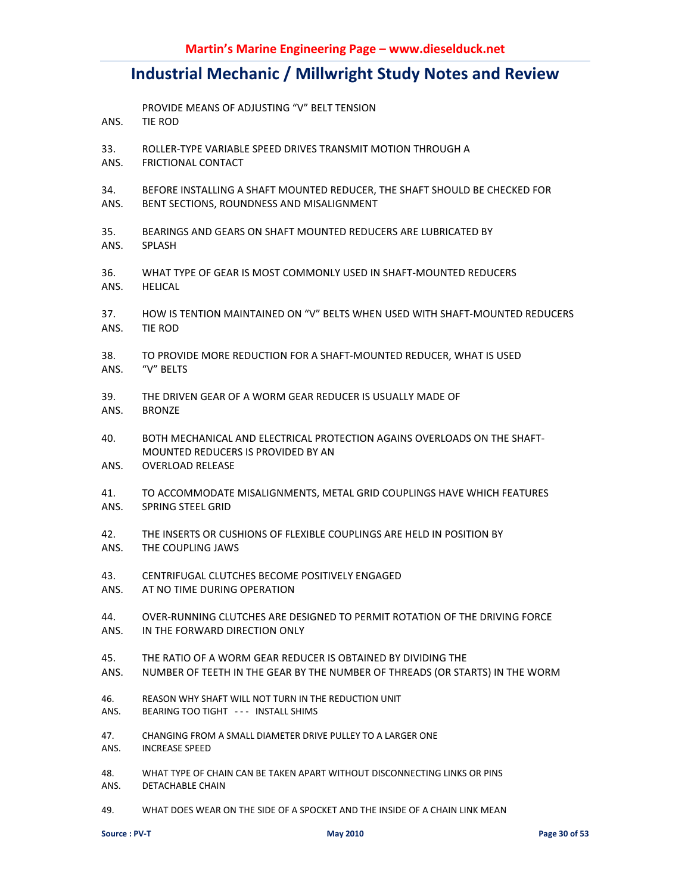- PROVIDE MEANS OF ADJUSTING "V" BELT TENSION
- ANS. TIE ROD
- 33. ROLLER-TYPE VARIABLE SPEED DRIVES TRANSMIT MOTION THROUGH A
- ANS. FRICTIONAL CONTACT
- 34. BEFORE INSTALLING A SHAFT MOUNTED REDUCER, THE SHAFT SHOULD BE CHECKED FOR ANS. BENT SECTIONS, ROUNDNESS AND MISALIGNMENT
- 35. BEARINGS AND GEARS ON SHAFT MOUNTED REDUCERS ARE LUBRICATED BY ANS. SPLASH
- 36. WHAT TYPE OF GEAR IS MOST COMMONLY USED IN SHAFT-MOUNTED REDUCERS ANS. HELICAL
- 37. HOW IS TENTION MAINTAINED ON "V" BELTS WHEN USED WITH SHAFT-MOUNTED REDUCERS ANS. TIE ROD
- 38. TO PROVIDE MORE REDUCTION FOR A SHAFT-MOUNTED REDUCER, WHAT IS USED ANS. "V" BELTS
- 39. THE DRIVEN GEAR OF A WORM GEAR REDUCER IS USUALLY MADE OF
- ANS. BRONZE
- 40. BOTH MECHANICAL AND ELECTRICAL PROTECTION AGAINS OVERLOADS ON THE SHAFT-MOUNTED REDUCERS IS PROVIDED BY AN
- ANS. OVERLOAD RELEASE
- 41. TO ACCOMMODATE MISALIGNMENTS, METAL GRID COUPLINGS HAVE WHICH FEATURES ANS. SPRING STEEL GRID
- 42. THE INSERTS OR CUSHIONS OF FLEXIBLE COUPLINGS ARE HELD IN POSITION BY ANS. THE COUPLING JAWS
- 43. CENTRIFUGAL CLUTCHES BECOME POSITIVELY ENGAGED
- ANS. AT NO TIME DURING OPERATION
- 44. OVER-RUNNING CLUTCHES ARE DESIGNED TO PERMIT ROTATION OF THE DRIVING FORCE ANS. IN THE FORWARD DIRECTION ONLY
- 45. THE RATIO OF A WORM GEAR REDUCER IS OBTAINED BY DIVIDING THE
- ANS. NUMBER OF TEETH IN THE GEAR BY THE NUMBER OF THREADS (OR STARTS) IN THE WORM
- 46. REASON WHY SHAFT WILL NOT TURN IN THE REDUCTION UNIT
- ANS. BEARING TOO TIGHT - INSTALL SHIMS
- 47. CHANGING FROM A SMALL DIAMETER DRIVE PULLEY TO A LARGER ONE
- ANS. INCREASE SPEED
- 48. WHAT TYPE OF CHAIN CAN BE TAKEN APART WITHOUT DISCONNECTING LINKS OR PINS ANS. DETACHABLE CHAIN
- 49. WHAT DOES WEAR ON THE SIDE OF A SPOCKET AND THE INSIDE OF A CHAIN LINK MEAN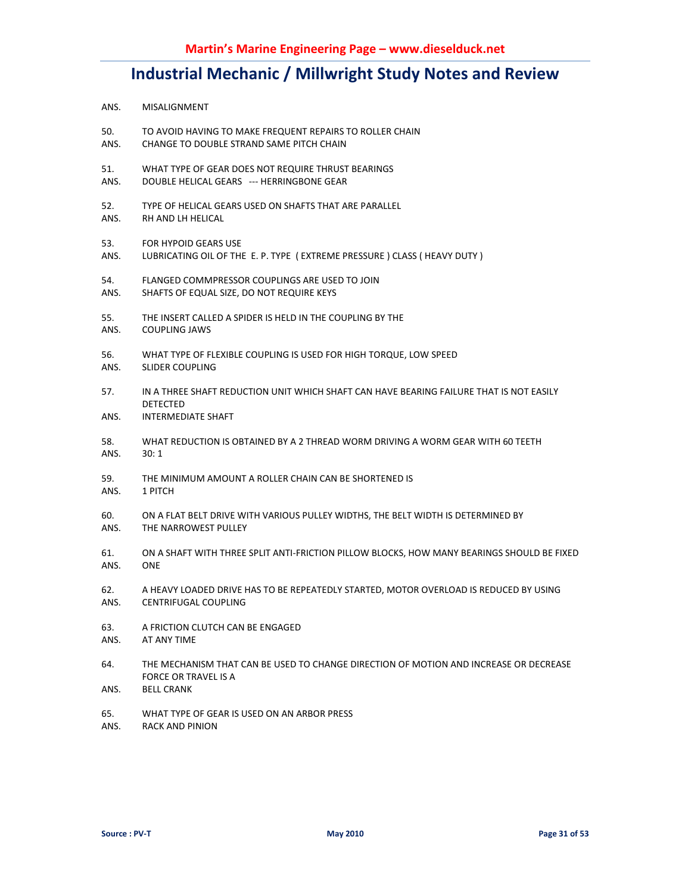- ANS. MISALIGNMENT
- 50. TO AVOID HAVING TO MAKE FREQUENT REPAIRS TO ROLLER CHAIN
- ANS. CHANGE TO DOUBLE STRAND SAME PITCH CHAIN
- 51. WHAT TYPE OF GEAR DOES NOT REQUIRE THRUST BEARINGS
- ANS. DOUBLE HELICAL GEARS --- HERRINGBONE GEAR
- 52. TYPE OF HELICAL GEARS USED ON SHAFTS THAT ARE PARALLEL
- ANS. RH AND LH HELICAL
- 53. FOR HYPOID GEARS USE
- ANS. LUBRICATING OIL OF THE E. P. TYPE ( EXTREME PRESSURE ) CLASS ( HEAVY DUTY )
- 54. FLANGED COMMPRESSOR COUPLINGS ARE USED TO JOIN
- ANS. SHAFTS OF EQUAL SIZE, DO NOT REQUIRE KEYS
- 55. THE INSERT CALLED A SPIDER IS HELD IN THE COUPLING BY THE ANS. COUPLING JAWS
- 56. WHAT TYPE OF FLEXIBLE COUPLING IS USED FOR HIGH TORQUE, LOW SPEED ANS. SLIDER COUPLING
- 57. IN A THREE SHAFT REDUCTION UNIT WHICH SHAFT CAN HAVE BEARING FAILURE THAT IS NOT EASILY **DETECTED**
- ANS. INTERMEDIATE SHAFT
- 58. WHAT REDUCTION IS OBTAINED BY A 2 THREAD WORM DRIVING A WORM GEAR WITH 60 TEETH ANS. 30: 1
- 59. THE MINIMUM AMOUNT A ROLLER CHAIN CAN BE SHORTENED IS
- ANS. 1 PITCH
- 60. ON A FLAT BELT DRIVE WITH VARIOUS PULLEY WIDTHS, THE BELT WIDTH IS DETERMINED BY ANS. THE NARROWEST PULLEY
- 61. ON A SHAFT WITH THREE SPLIT ANTI-FRICTION PILLOW BLOCKS, HOW MANY BEARINGS SHOULD BE FIXED ANS. ONE
- 62. A HEAVY LOADED DRIVE HAS TO BE REPEATEDLY STARTED, MOTOR OVERLOAD IS REDUCED BY USING ANS. CENTRIFUGAL COUPLING
- 63. A FRICTION CLUTCH CAN BE ENGAGED ANS. AT ANY TIME
- 64. THE MECHANISM THAT CAN BE USED TO CHANGE DIRECTION OF MOTION AND INCREASE OR DECREASE FORCE OR TRAVEL IS A
- ANS. BELL CRANK
- 65. WHAT TYPE OF GEAR IS USED ON AN ARBOR PRESS
- ANS. RACK AND PINION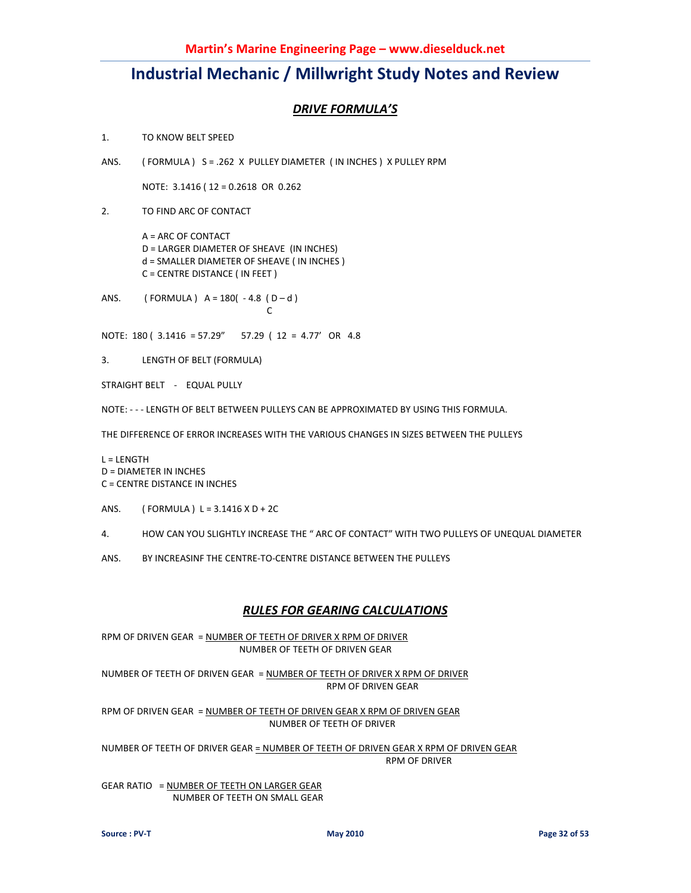### *DRIVE FORMULA'S*

1. TO KNOW BELT SPEED

ANS. ( FORMULA ) S = .262 X PULLEY DIAMETER ( IN INCHES ) X PULLEY RPM

NOTE: 3.1416 ( 12 = 0.2618 OR 0.262

2. TO FIND ARC OF CONTACT

 A = ARC OF CONTACT D = LARGER DIAMETER OF SHEAVE (IN INCHES) d = SMALLER DIAMETER OF SHEAVE ( IN INCHES ) C = CENTRE DISTANCE ( IN FEET )

ANS. (FORMULA)  $A = 180(-4.8(D-d))$ **C C C** 

NOTE: 180 ( 3.1416 = 57.29" 57.29 ( 12 = 4.77' OR 4.8

3. LENGTH OF BELT (FORMULA)

STRAIGHT BELT - EQUAL PULLY

NOTE: - - - LENGTH OF BELT BETWEEN PULLEYS CAN BE APPROXIMATED BY USING THIS FORMULA.

THE DIFFERENCE OF ERROR INCREASES WITH THE VARIOUS CHANGES IN SIZES BETWEEN THE PULLEYS

L = LENGTH D = DIAMETER IN INCHES C = CENTRE DISTANCE IN INCHES

ANS. (FORMULA)  $L = 3.1416 \times D + 2C$ 

4. HOW CAN YOU SLIGHTLY INCREASE THE " ARC OF CONTACT" WITH TWO PULLEYS OF UNEQUAL DIAMETER

ANS. BY INCREASINF THE CENTRE-TO-CENTRE DISTANCE BETWEEN THE PULLEYS

### *RULES FOR GEARING CALCULATIONS*

RPM OF DRIVEN GEAR = NUMBER OF TEETH OF DRIVER X RPM OF DRIVER NUMBER OF TEETH OF DRIVEN GEAR

NUMBER OF TEETH OF DRIVEN GEAR = NUMBER OF TEETH OF DRIVER X RPM OF DRIVER RPM OF DRIVEN GEAR

RPM OF DRIVEN GEAR = NUMBER OF TEETH OF DRIVEN GEAR X RPM OF DRIVEN GEAR NUMBER OF TEETH OF DRIVER

NUMBER OF TEETH OF DRIVER GEAR = NUMBER OF TEETH OF DRIVEN GEAR X RPM OF DRIVEN GEAR RPM OF DRIVER

GEAR RATIO = NUMBER OF TEETH ON LARGER GEAR NUMBER OF TEETH ON SMALL GEAR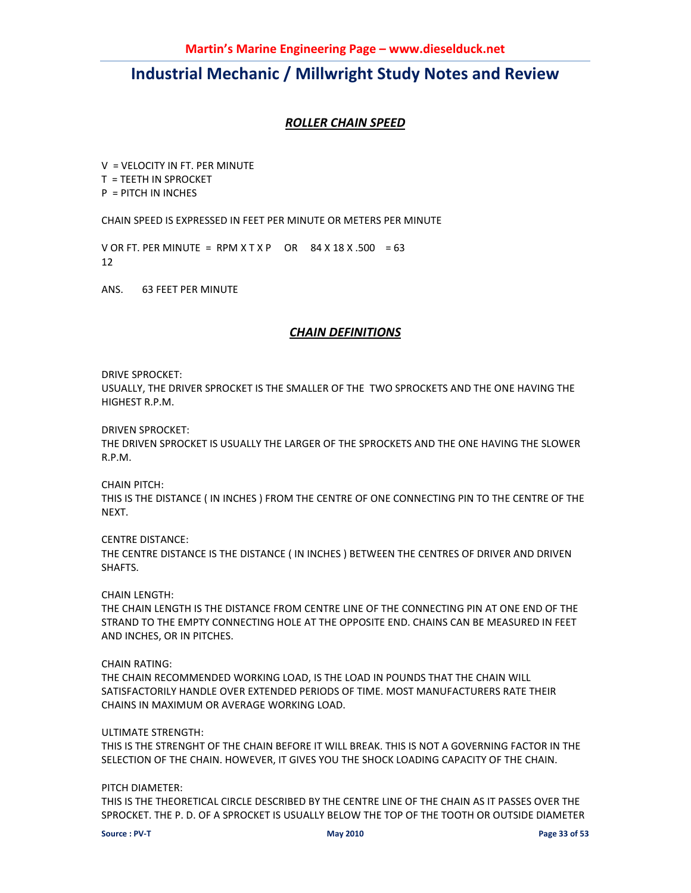### *ROLLER CHAIN SPEED*

V = VELOCITY IN FT. PER MINUTE T = TEETH IN SPROCKET P = PITCH IN INCHES

CHAIN SPEED IS EXPRESSED IN FEET PER MINUTE OR METERS PER MINUTE

V OR FT. PER MINUTE = RPM  $X$  T  $X$  P OR  $84$  X  $18$  X  $.500 = 63$ 12

ANS. 63 FEET PER MINUTE

### *CHAIN DEFINITIONS*

DRIVE SPROCKET:

USUALLY, THE DRIVER SPROCKET IS THE SMALLER OF THE TWO SPROCKETS AND THE ONE HAVING THE HIGHEST R.P.M.

DRIVEN SPROCKET:

THE DRIVEN SPROCKET IS USUALLY THE LARGER OF THE SPROCKETS AND THE ONE HAVING THE SLOWER R.P.M.

CHAIN PITCH: THIS IS THE DISTANCE ( IN INCHES ) FROM THE CENTRE OF ONE CONNECTING PIN TO THE CENTRE OF THE **NEXT.** 

CENTRE DISTANCE: THE CENTRE DISTANCE IS THE DISTANCE ( IN INCHES ) BETWEEN THE CENTRES OF DRIVER AND DRIVEN SHAFTS.

CHAIN LENGTH:

THE CHAIN LENGTH IS THE DISTANCE FROM CENTRE LINE OF THE CONNECTING PIN AT ONE END OF THE STRAND TO THE EMPTY CONNECTING HOLE AT THE OPPOSITE END. CHAINS CAN BE MEASURED IN FEET AND INCHES, OR IN PITCHES.

CHAIN RATING:

THE CHAIN RECOMMENDED WORKING LOAD, IS THE LOAD IN POUNDS THAT THE CHAIN WILL SATISFACTORILY HANDLE OVER EXTENDED PERIODS OF TIME. MOST MANUFACTURERS RATE THEIR CHAINS IN MAXIMUM OR AVERAGE WORKING LOAD.

#### ULTIMATE STRENGTH:

THIS IS THE STRENGHT OF THE CHAIN BEFORE IT WILL BREAK. THIS IS NOT A GOVERNING FACTOR IN THE SELECTION OF THE CHAIN. HOWEVER, IT GIVES YOU THE SHOCK LOADING CAPACITY OF THE CHAIN.

PITCH DIAMETER:

THIS IS THE THEORETICAL CIRCLE DESCRIBED BY THE CENTRE LINE OF THE CHAIN AS IT PASSES OVER THE SPROCKET. THE P. D. OF A SPROCKET IS USUALLY BELOW THE TOP OF THE TOOTH OR OUTSIDE DIAMETER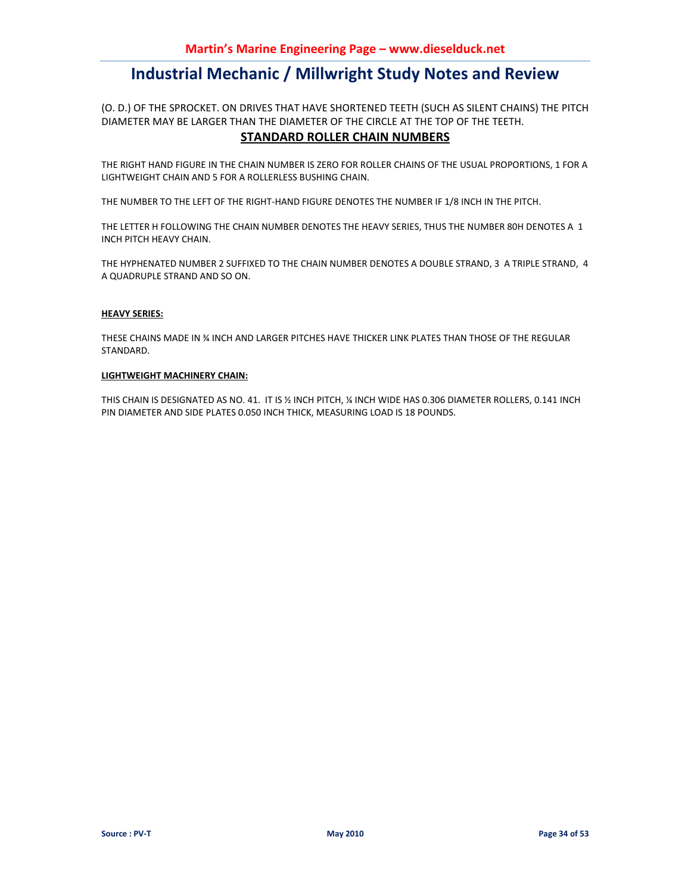(O. D.) OF THE SPROCKET. ON DRIVES THAT HAVE SHORTENED TEETH (SUCH AS SILENT CHAINS) THE PITCH DIAMETER MAY BE LARGER THAN THE DIAMETER OF THE CIRCLE AT THE TOP OF THE TEETH.

#### **STANDARD ROLLER CHAIN NUMBERS**

THE RIGHT HAND FIGURE IN THE CHAIN NUMBER IS ZERO FOR ROLLER CHAINS OF THE USUAL PROPORTIONS, 1 FOR A LIGHTWEIGHT CHAIN AND 5 FOR A ROLLERLESS BUSHING CHAIN.

THE NUMBER TO THE LEFT OF THE RIGHT-HAND FIGURE DENOTES THE NUMBER IF 1/8 INCH IN THE PITCH.

THE LETTER H FOLLOWING THE CHAIN NUMBER DENOTES THE HEAVY SERIES, THUS THE NUMBER 80H DENOTES A 1 INCH PITCH HEAVY CHAIN.

THE HYPHENATED NUMBER 2 SUFFIXED TO THE CHAIN NUMBER DENOTES A DOUBLE STRAND, 3 A TRIPLE STRAND, 4 A QUADRUPLE STRAND AND SO ON.

#### **HEAVY SERIES:**

THESE CHAINS MADE IN ¾ INCH AND LARGER PITCHES HAVE THICKER LINK PLATES THAN THOSE OF THE REGULAR STANDARD.

#### **LIGHTWEIGHT MACHINERY CHAIN:**

THIS CHAIN IS DESIGNATED AS NO. 41. IT IS ½ INCH PITCH, ¼ INCH WIDE HAS 0.306 DIAMETER ROLLERS, 0.141 INCH PIN DIAMETER AND SIDE PLATES 0.050 INCH THICK, MEASURING LOAD IS 18 POUNDS.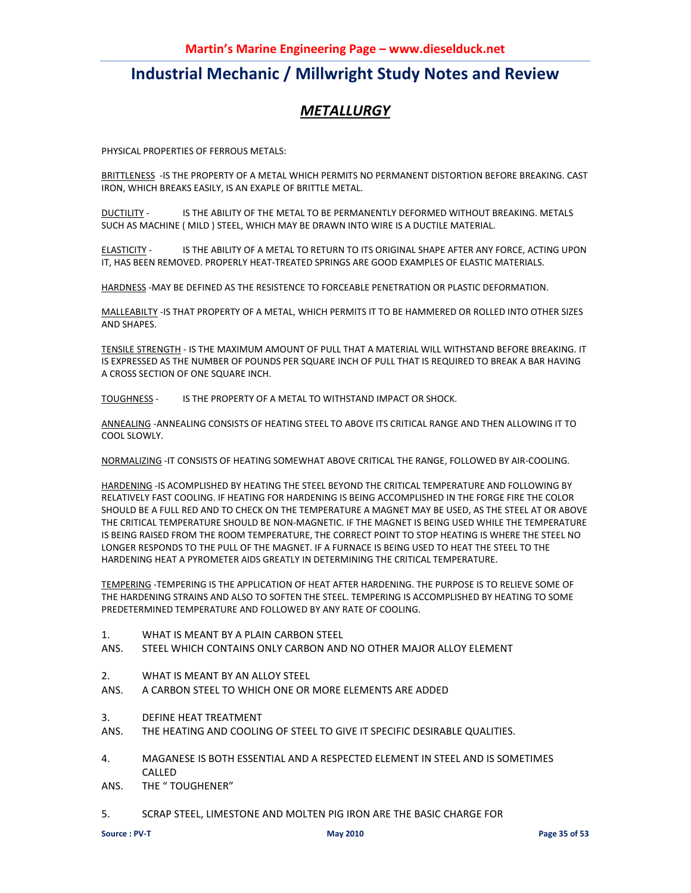### *METALLURGY*

PHYSICAL PROPERTIES OF FERROUS METALS:

BRITTLENESS -IS THE PROPERTY OF A METAL WHICH PERMITS NO PERMANENT DISTORTION BEFORE BREAKING. CAST IRON, WHICH BREAKS EASILY, IS AN EXAPLE OF BRITTLE METAL.

DUCTILITY - IS THE ABILITY OF THE METAL TO BE PERMANENTLY DEFORMED WITHOUT BREAKING. METALS SUCH AS MACHINE ( MILD ) STEEL, WHICH MAY BE DRAWN INTO WIRE IS A DUCTILE MATERIAL.

ELASTICITY - IS THE ABILITY OF A METAL TO RETURN TO ITS ORIGINAL SHAPE AFTER ANY FORCE, ACTING UPON IT, HAS BEEN REMOVED. PROPERLY HEAT-TREATED SPRINGS ARE GOOD EXAMPLES OF ELASTIC MATERIALS.

HARDNESS -MAY BE DEFINED AS THE RESISTENCE TO FORCEABLE PENETRATION OR PLASTIC DEFORMATION.

MALLEABILTY -IS THAT PROPERTY OF A METAL, WHICH PERMITS IT TO BE HAMMERED OR ROLLED INTO OTHER SIZES AND SHAPES.

TENSILE STRENGTH - IS THE MAXIMUM AMOUNT OF PULL THAT A MATERIAL WILL WITHSTAND BEFORE BREAKING. IT IS EXPRESSED AS THE NUMBER OF POUNDS PER SQUARE INCH OF PULL THAT IS REQUIRED TO BREAK A BAR HAVING A CROSS SECTION OF ONE SQUARE INCH.

TOUGHNESS - IS THE PROPERTY OF A METAL TO WITHSTAND IMPACT OR SHOCK.

ANNEALING -ANNEALING CONSISTS OF HEATING STEEL TO ABOVE ITS CRITICAL RANGE AND THEN ALLOWING IT TO COOL SLOWLY.

NORMALIZING -IT CONSISTS OF HEATING SOMEWHAT ABOVE CRITICAL THE RANGE, FOLLOWED BY AIR-COOLING.

HARDENING -IS ACOMPLISHED BY HEATING THE STEEL BEYOND THE CRITICAL TEMPERATURE AND FOLLOWING BY RELATIVELY FAST COOLING. IF HEATING FOR HARDENING IS BEING ACCOMPLISHED IN THE FORGE FIRE THE COLOR SHOULD BE A FULL RED AND TO CHECK ON THE TEMPERATURE A MAGNET MAY BE USED, AS THE STEEL AT OR ABOVE THE CRITICAL TEMPERATURE SHOULD BE NON-MAGNETIC. IF THE MAGNET IS BEING USED WHILE THE TEMPERATURE IS BEING RAISED FROM THE ROOM TEMPERATURE, THE CORRECT POINT TO STOP HEATING IS WHERE THE STEEL NO LONGER RESPONDS TO THE PULL OF THE MAGNET. IF A FURNACE IS BEING USED TO HEAT THE STEEL TO THE HARDENING HEAT A PYROMETER AIDS GREATLY IN DETERMINING THE CRITICAL TEMPERATURE.

TEMPERING -TEMPERING IS THE APPLICATION OF HEAT AFTER HARDENING. THE PURPOSE IS TO RELIEVE SOME OF THE HARDENING STRAINS AND ALSO TO SOFTEN THE STEEL. TEMPERING IS ACCOMPLISHED BY HEATING TO SOME PREDETERMINED TEMPERATURE AND FOLLOWED BY ANY RATE OF COOLING.

- 1. WHAT IS MEANT BY A PLAIN CARBON STEEL
- ANS. STEEL WHICH CONTAINS ONLY CARBON AND NO OTHER MAJOR ALLOY ELEMENT
- 2. WHAT IS MEANT BY AN ALLOY STEEL
- ANS. A CARBON STEEL TO WHICH ONE OR MORE ELEMENTS ARE ADDED
- 3. DEFINE HEAT TREATMENT
- ANS. THE HEATING AND COOLING OF STEEL TO GIVE IT SPECIFIC DESIRABLE QUALITIES.
- 4. MAGANESE IS BOTH ESSENTIAL AND A RESPECTED ELEMENT IN STEEL AND IS SOMETIMES CALLED
- ANS. THE " TOUGHENER"
- 5. SCRAP STEEL, LIMESTONE AND MOLTEN PIG IRON ARE THE BASIC CHARGE FOR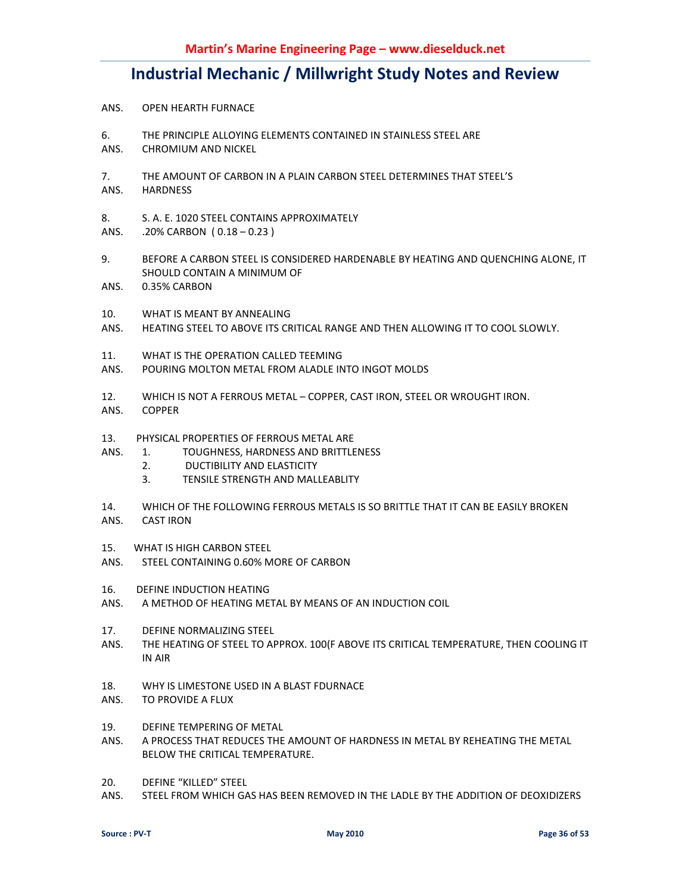- ANS. OPEN HEARTH FURNACE
- 6. THE PRINCIPLE ALLOYING ELEMENTS CONTAINED IN STAINLESS STEEL ARE
- ANS. CHROMIUM AND NICKEL
- 7. THE AMOUNT OF CARBON IN A PLAIN CARBON STEEL DETERMINES THAT STEEL'S ANS. HARDNESS
- 8. S. A. E. 1020 STEEL CONTAINS APPROXIMATELY
- ANS. .20% CARBON ( 0.18 0.23 )
- 9. BEFORE A CARBON STEEL IS CONSIDERED HARDENABLE BY HEATING AND QUENCHING ALONE, IT SHOULD CONTAIN A MINIMUM OF
- ANS. 0.35% CARBON
- 10. WHAT IS MEANT BY ANNEALING
- ANS. HEATING STEEL TO ABOVE ITS CRITICAL RANGE AND THEN ALLOWING IT TO COOL SLOWLY.
- 11. WHAT IS THE OPERATION CALLED TEEMING
- ANS. POURING MOLTON METAL FROM ALADLE INTO INGOT MOLDS
- 12. WHICH IS NOT A FERROUS METAL COPPER, CAST IRON, STEEL OR WROUGHT IRON.
- ANS. COPPER
- 13. PHYSICAL PROPERTIES OF FERROUS METAL ARE
- ANS. 1. TOUGHNESS, HARDNESS AND BRITTLENESS
	- 2. DUCTIBILITY AND ELASTICITY
	- 3. TENSILE STRENGTH AND MALLEABLITY
- 14. WHICH OF THE FOLLOWING FERROUS METALS IS SO BRITTLE THAT IT CAN BE EASILY BROKEN
- ANS. CAST IRON
- 15. WHAT IS HIGH CARBON STEEL
- ANS. STEEL CONTAINING 0.60% MORE OF CARBON
- 16. DEFINE INDUCTION HEATING
- ANS. A METHOD OF HEATING METAL BY MEANS OF AN INDUCTION COIL
- 17. DEFINE NORMALIZING STEEL
- ANS. THE HEATING OF STEEL TO APPROX. 100(F ABOVE ITS CRITICAL TEMPERATURE, THEN COOLING IT IN AIR
- 18. WHY IS LIMESTONE USED IN A BLAST FDURNACE
- ANS. TO PROVIDE A FLUX
- 19. DEFINE TEMPERING OF METAL
- ANS. A PROCESS THAT REDUCES THE AMOUNT OF HARDNESS IN METAL BY REHEATING THE METAL BELOW THE CRITICAL TEMPERATURE.
- 20. DEFINE "KILLED" STEEL
- ANS. STEEL FROM WHICH GAS HAS BEEN REMOVED IN THE LADLE BY THE ADDITION OF DEOXIDIZERS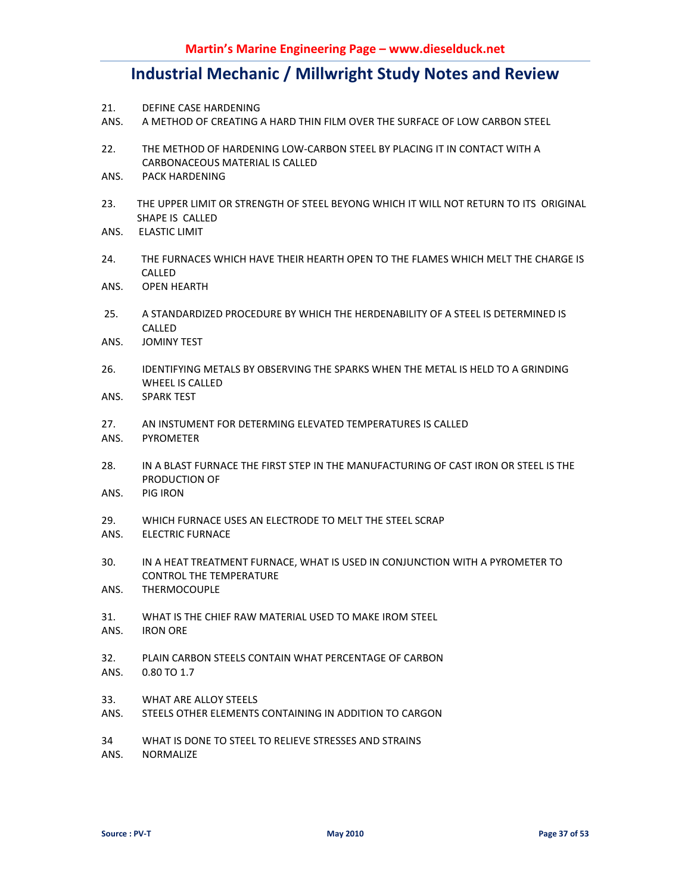- 21. DEFINE CASE HARDENING
- ANS. A METHOD OF CREATING A HARD THIN FILM OVER THE SURFACE OF LOW CARBON STEEL
- 22. THE METHOD OF HARDENING LOW-CARBON STEEL BY PLACING IT IN CONTACT WITH A CARBONACEOUS MATERIAL IS CALLED
- ANS. PACK HARDENING
- 23. THE UPPER LIMIT OR STRENGTH OF STEEL BEYONG WHICH IT WILL NOT RETURN TO ITS ORIGINAL SHAPE IS CALLED
- ANS. ELASTIC LIMIT
- 24. THE FURNACES WHICH HAVE THEIR HEARTH OPEN TO THE FLAMES WHICH MELT THE CHARGE IS CALLED
- ANS. OPEN HEARTH
- 25. A STANDARDIZED PROCEDURE BY WHICH THE HERDENABILITY OF A STEEL IS DETERMINED IS CALLED
- ANS. JOMINY TEST
- 26. IDENTIFYING METALS BY OBSERVING THE SPARKS WHEN THE METAL IS HELD TO A GRINDING WHEEL IS CALLED
- ANS. SPARK TEST
- 27. AN INSTUMENT FOR DETERMING ELEVATED TEMPERATURES IS CALLED
- ANS. PYROMETER
- 28. IN A BLAST FURNACE THE FIRST STEP IN THE MANUFACTURING OF CAST IRON OR STEEL IS THE PRODUCTION OF
- ANS. PIG IRON
- 29. WHICH FURNACE USES AN ELECTRODE TO MELT THE STEEL SCRAP
- ANS. ELECTRIC FURNACE
- 30. IN A HEAT TREATMENT FURNACE, WHAT IS USED IN CONJUNCTION WITH A PYROMETER TO CONTROL THE TEMPERATURE
- ANS. THERMOCOUPLE
- 31. WHAT IS THE CHIEF RAW MATERIAL USED TO MAKE IROM STEEL
- ANS. IRON ORE
- 32. PLAIN CARBON STEELS CONTAIN WHAT PERCENTAGE OF CARBON ANS. 0.80 TO 1.7
- 33. WHAT ARE ALLOY STEELS
- ANS. STEELS OTHER ELEMENTS CONTAINING IN ADDITION TO CARGON

34 WHAT IS DONE TO STEEL TO RELIEVE STRESSES AND STRAINS

ANS. NORMALIZE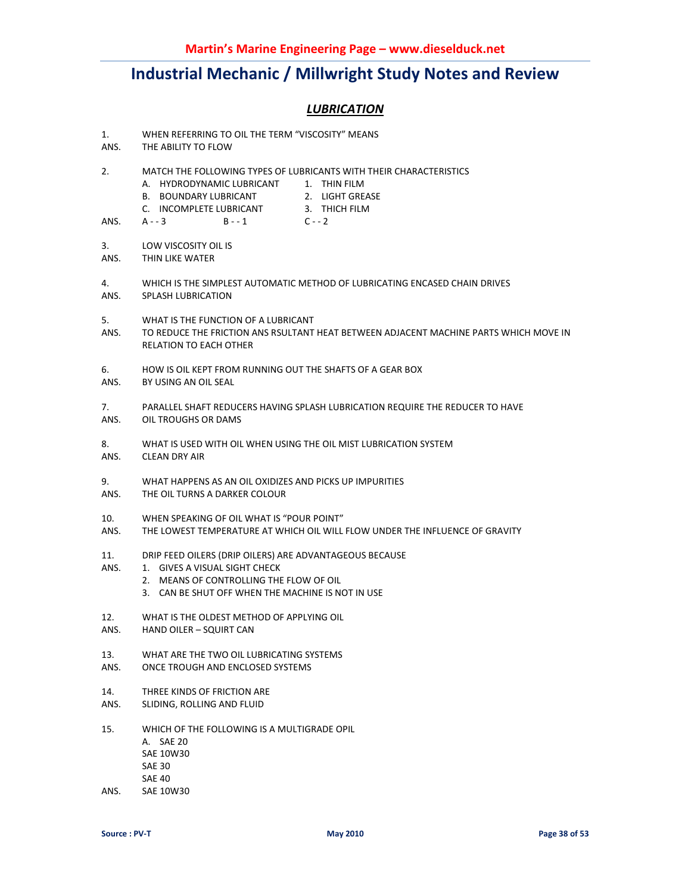### *LUBRICATION*

- 1. WHEN REFERRING TO OIL THE TERM "VISCOSITY" MEANS
- ANS. THE ABILITY TO FLOW
- 2. MATCH THE FOLLOWING TYPES OF LUBRICANTS WITH THEIR CHARACTERISTICS
	- A. HYDRODYNAMIC LUBRICANT 1. THIN FILM
		- B. BOUNDARY LUBRICANT 2. LIGHT GREASE
			-
		- C. INCOMPLETE LUBRICANT 3. THICH FILM
			-
- ANS. A - 3 B - 1 C - 2
- 3. LOW VISCOSITY OIL IS
- ANS. THIN LIKE WATER
- 4. WHICH IS THE SIMPLEST AUTOMATIC METHOD OF LUBRICATING ENCASED CHAIN DRIVES ANS. SPLASH LUBRICATION
- 5. WHAT IS THE FUNCTION OF A LUBRICANT
- ANS. TO REDUCE THE FRICTION ANS RSULTANT HEAT BETWEEN ADJACENT MACHINE PARTS WHICH MOVE IN RELATION TO EACH OTHER
- 6. HOW IS OIL KEPT FROM RUNNING OUT THE SHAFTS OF A GEAR BOX
- ANS. BY USING AN OIL SEAL
- 7. PARALLEL SHAFT REDUCERS HAVING SPLASH LUBRICATION REQUIRE THE REDUCER TO HAVE ANS. OIL TROUGHS OR DAMS
- 
- 8. WHAT IS USED WITH OIL WHEN USING THE OIL MIST LUBRICATION SYSTEM
- ANS. CLEAN DRY AIR
- 9. WHAT HAPPENS AS AN OIL OXIDIZES AND PICKS UP IMPURITIES
- ANS. THE OIL TURNS A DARKER COLOUR
- 10. WHEN SPEAKING OF OIL WHAT IS "POUR POINT"
- ANS. THE LOWEST TEMPERATURE AT WHICH OIL WILL FLOW UNDER THE INFLUENCE OF GRAVITY
- 11. DRIP FEED OILERS (DRIP OILERS) ARE ADVANTAGEOUS BECAUSE
- ANS. 1. GIVES A VISUAL SIGHT CHECK
	- 2. MEANS OF CONTROLLING THE FLOW OF OIL
	- 3. CAN BE SHUT OFF WHEN THE MACHINE IS NOT IN USE
- 12. WHAT IS THE OLDEST METHOD OF APPLYING OIL
- ANS. HAND OILER SQUIRT CAN
- 13. WHAT ARE THE TWO OIL LUBRICATING SYSTEMS
- ANS. ONCE TROUGH AND ENCLOSED SYSTEMS
- 14. THREE KINDS OF FRICTION ARE
- ANS. SLIDING, ROLLING AND FLUID
- 15. WHICH OF THE FOLLOWING IS A MULTIGRADE OPIL A. SAE 20 SAE 10W30 SAE 30 SAE 40
- ANS. SAE 10W30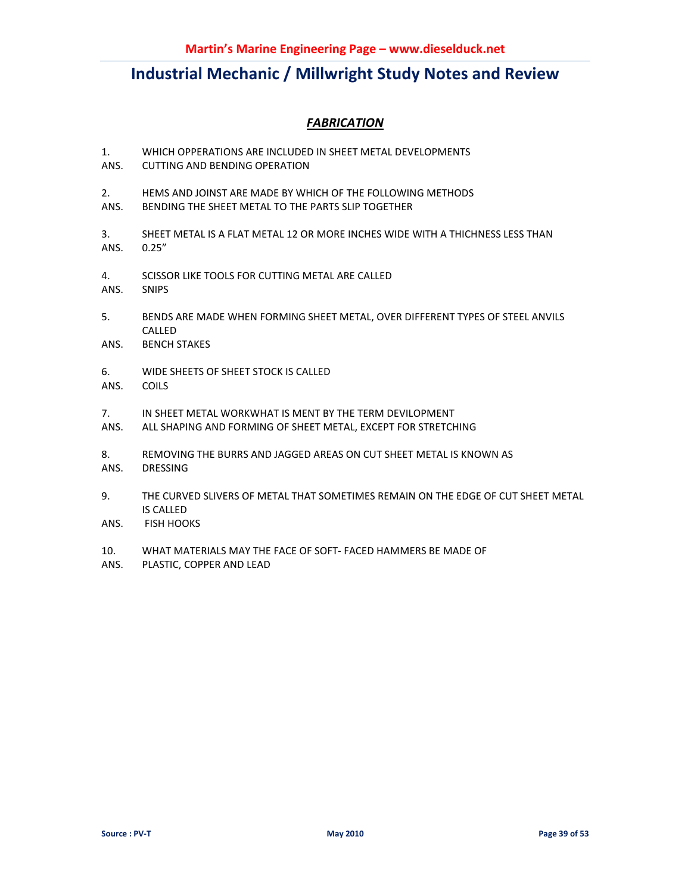### *FABRICATION*

- 1. WHICH OPPERATIONS ARE INCLUDED IN SHEET METAL DEVELOPMENTS
- ANS. CUTTING AND BENDING OPERATION
- 2. HEMS AND JOINST ARE MADE BY WHICH OF THE FOLLOWING METHODS
- ANS. BENDING THE SHEET METAL TO THE PARTS SLIP TOGETHER
- 3. SHEET METAL IS A FLAT METAL 12 OR MORE INCHES WIDE WITH A THICHNESS LESS THAN ANS. 0.25"
- 4. SCISSOR LIKE TOOLS FOR CUTTING METAL ARE CALLED
- ANS. SNIPS
- 5. BENDS ARE MADE WHEN FORMING SHEET METAL, OVER DIFFERENT TYPES OF STEEL ANVILS CALLED
- ANS. BENCH STAKES
- 6. WIDE SHEETS OF SHEET STOCK IS CALLED
- ANS. COILS
- 7. IN SHEET METAL WORKWHAT IS MENT BY THE TERM DEVILOPMENT
- ANS. ALL SHAPING AND FORMING OF SHEET METAL, EXCEPT FOR STRETCHING
- 8. REMOVING THE BURRS AND JAGGED AREAS ON CUT SHEET METAL IS KNOWN AS
- ANS. DRESSING
- 9. THE CURVED SLIVERS OF METAL THAT SOMETIMES REMAIN ON THE EDGE OF CUT SHEET METAL IS CALLED
- ANS. FISH HOOKS
- 10. WHAT MATERIALS MAY THE FACE OF SOFT- FACED HAMMERS BE MADE OF
- ANS. PLASTIC, COPPER AND LEAD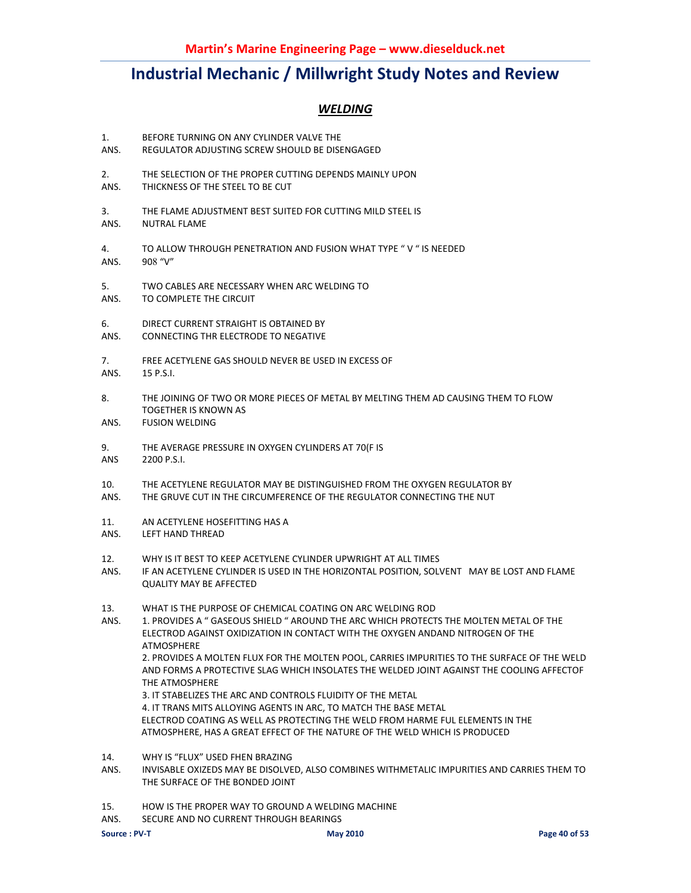### *WELDING*

- 1. BEFORE TURNING ON ANY CYLINDER VALVE THE
- ANS. REGULATOR ADJUSTING SCREW SHOULD BE DISENGAGED
- 2. THE SELECTION OF THE PROPER CUTTING DEPENDS MAINLY UPON
- ANS. THICKNESS OF THE STEEL TO BE CUT
- 3. THE FLAME ADJUSTMENT BEST SUITED FOR CUTTING MILD STEEL IS
- ANS. NUTRAL FLAME
- 4. TO ALLOW THROUGH PENETRATION AND FUSION WHAT TYPE " V " IS NEEDED ANS. 908 "V"
- 5. TWO CABLES ARE NECESSARY WHEN ARC WELDING TO THAS. TO COMPLETE THE CIRCUIT
- TO COMPLETE THE CIRCUIT
- 6. DIRECT CURRENT STRAIGHT IS OBTAINED BY
- ANS. CONNECTING THR ELECTRODE TO NEGATIVE
- 7. FREE ACETYLENE GAS SHOULD NEVER BE USED IN EXCESS OF
- ANS. 15 P.S.I.
- 8. THE JOINING OF TWO OR MORE PIECES OF METAL BY MELTING THEM AD CAUSING THEM TO FLOW TOGETHER IS KNOWN AS
- ANS. FUSION WELDING
- 9. THE AVERAGE PRESSURE IN OXYGEN CYLINDERS AT 70(F IS
- ANS 2200 P.S.I.
- 10. THE ACETYLENE REGULATOR MAY BE DISTINGUISHED FROM THE OXYGEN REGULATOR BY
- ANS. THE GRUVE CUT IN THE CIRCUMFERENCE OF THE REGULATOR CONNECTING THE NUT
- 11. AN ACETYLENE HOSEFITTING HAS A
- ANS. LEFT HAND THREAD
- 12. WHY IS IT BEST TO KEEP ACETYLENE CYLINDER UPWRIGHT AT ALL TIMES
- ANS. IF AN ACETYLENE CYLINDER IS USED IN THE HORIZONTAL POSITION, SOLVENT MAY BE LOST AND FLAME QUALITY MAY BE AFFECTED
- 13. WHAT IS THE PURPOSE OF CHEMICAL COATING ON ARC WELDING ROD
- ANS. 1. PROVIDES A " GASEOUS SHIELD " AROUND THE ARC WHICH PROTECTS THE MOLTEN METAL OF THE ELECTROD AGAINST OXIDIZATION IN CONTACT WITH THE OXYGEN ANDAND NITROGEN OF THE ATMOSPHERE 2. PROVIDES A MOLTEN FLUX FOR THE MOLTEN POOL, CARRIES IMPURITIES TO THE SURFACE OF THE WELD AND FORMS A PROTECTIVE SLAG WHICH INSOLATES THE WELDED JOINT AGAINST THE COOLING AFFECTOF THE ATMOSPHERE 3. IT STABELIZES THE ARC AND CONTROLS FLUIDITY OF THE METAL 4. IT TRANS MITS ALLOYING AGENTS IN ARC, TO MATCH THE BASE METAL ELECTROD COATING AS WELL AS PROTECTING THE WELD FROM HARME FUL ELEMENTS IN THE ATMOSPHERE, HAS A GREAT EFFECT OF THE NATURE OF THE WELD WHICH IS PRODUCED
- 14. WHY IS "FLUX" USED FHEN BRAZING
- ANS. INVISABLE OXIZEDS MAY BE DISOLVED, ALSO COMBINES WITHMETALIC IMPURITIES AND CARRIES THEM TO THE SURFACE OF THE BONDED JOINT
- 15. HOW IS THE PROPER WAY TO GROUND A WELDING MACHINE
- ANS. SECURE AND NO CURRENT THROUGH BEARINGS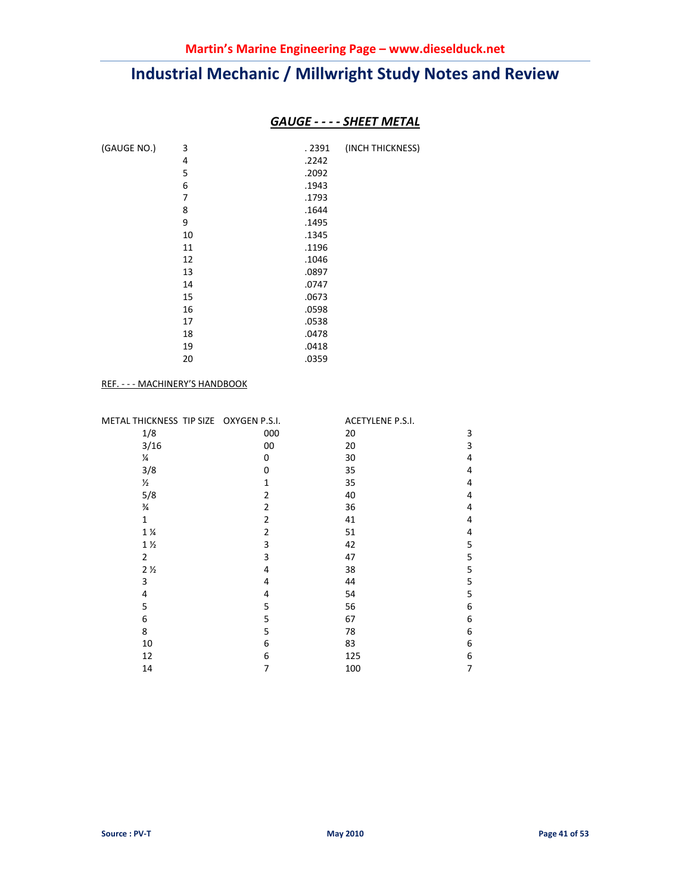### *GAUGE - - - - SHEET METAL*

| (GAUGE NO.) | 3  | . 2391 | (INCH THICKNESS) |
|-------------|----|--------|------------------|
|             | 4  | .2242  |                  |
|             | 5  | .2092  |                  |
|             | 6  | .1943  |                  |
|             | 7  | .1793  |                  |
|             | 8  | .1644  |                  |
|             | 9  | .1495  |                  |
|             | 10 | .1345  |                  |
|             | 11 | .1196  |                  |
|             | 12 | .1046  |                  |
|             | 13 | .0897  |                  |
|             | 14 | .0747  |                  |
|             | 15 | .0673  |                  |
|             | 16 | .0598  |                  |
|             | 17 | .0538  |                  |
|             | 18 | .0478  |                  |
|             | 19 | .0418  |                  |
|             | 20 | .0359  |                  |
|             |    |        |                  |

#### REF. - - - MACHINERY'S HANDBOOK

| METAL THICKNESS TIP SIZE OXYGEN P.S.I. |                | ACETYLENE P.S.I. |   |
|----------------------------------------|----------------|------------------|---|
| 1/8                                    | 000            | 20               | 3 |
| 3/16                                   | 00             | 20               | 3 |
| ¼                                      | 0              | 30               | 4 |
| 3/8                                    | 0              | 35               | 4 |
| $\frac{1}{2}$                          | 1              | 35               | 4 |
| 5/8                                    | 2              | 40               | 4 |
| $\frac{3}{4}$                          | $\overline{2}$ | 36               | 4 |
| $\mathbf{1}$                           | 2              | 41               | 4 |
| $1\frac{1}{4}$                         | $\overline{2}$ | 51               | 4 |
| $1\frac{1}{2}$                         | 3              | 42               | 5 |
| $\overline{2}$                         | 3              | 47               | 5 |
| 2 <sub>2</sub>                         | 4              | 38               | 5 |
| 3                                      | 4              | 44               | 5 |
| 4                                      | 4              | 54               | 5 |
| 5                                      | 5              | 56               | 6 |
| 6                                      | 5              | 67               | 6 |
| 8                                      | 5              | 78               | 6 |
| 10                                     | 6              | 83               | 6 |
| 12                                     | 6              | 125              | 6 |
| 14                                     | 7              | 100              | 7 |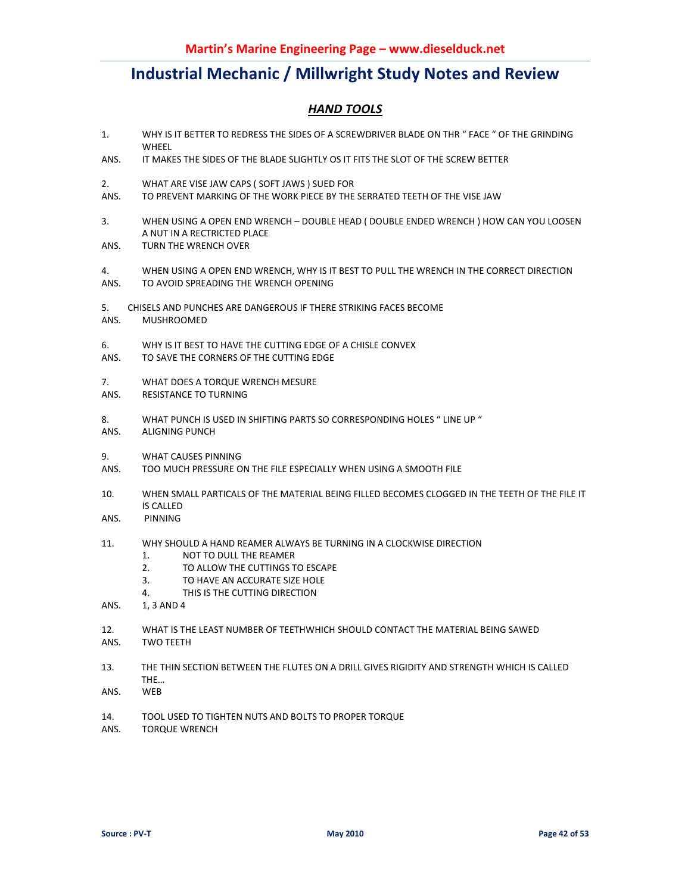### *HAND TOOLS*

- 1. WHY IS IT BETTER TO REDRESS THE SIDES OF A SCREWDRIVER BLADE ON THR " FACE " OF THE GRINDING WHEEL
- ANS. IT MAKES THE SIDES OF THE BLADE SLIGHTLY OS IT FITS THE SLOT OF THE SCREW BETTER
- 2. WHAT ARE VISE JAW CAPS ( SOFT JAWS ) SUED FOR
- ANS. TO PREVENT MARKING OF THE WORK PIECE BY THE SERRATED TEETH OF THE VISE JAW
- 3. WHEN USING A OPEN END WRENCH DOUBLE HEAD ( DOUBLE ENDED WRENCH ) HOW CAN YOU LOOSEN A NUT IN A RECTRICTED PLACE
- ANS. TURN THE WRENCH OVER
- 4. WHEN USING A OPEN END WRENCH, WHY IS IT BEST TO PULL THE WRENCH IN THE CORRECT DIRECTION
- ANS. TO AVOID SPREADING THE WRENCH OPENING
- 5. CHISELS AND PUNCHES ARE DANGEROUS IF THERE STRIKING FACES BECOME
- ANS. MUSHROOMED
- 6. WHY IS IT BEST TO HAVE THE CUTTING EDGE OF A CHISLE CONVEX
- ANS. TO SAVE THE CORNERS OF THE CUTTING EDGE
- 7. WHAT DOES A TORQUE WRENCH MESURE
- ANS. RESISTANCE TO TURNING
- 8. WHAT PUNCH IS USED IN SHIFTING PARTS SO CORRESPONDING HOLES " LINE UP "
- ANS. ALIGNING PUNCH
- 9. WHAT CAUSES PINNING
- ANS. TOO MUCH PRESSURE ON THE FILE ESPECIALLY WHEN USING A SMOOTH FILE
- 10. WHEN SMALL PARTICALS OF THE MATERIAL BEING FILLED BECOMES CLOGGED IN THE TEETH OF THE FILE IT IS CALLED
- ANS. PINNING
- 11. WHY SHOULD A HAND REAMER ALWAYS BE TURNING IN A CLOCKWISE DIRECTION
	- 1. NOT TO DULL THE REAMER
	- 2. TO ALLOW THE CUTTINGS TO ESCAPE
	- 3. TO HAVE AN ACCURATE SIZE HOLE
	- 4. THIS IS THE CUTTING DIRECTION
- ANS. 1, 3 AND 4
- 12. WHAT IS THE LEAST NUMBER OF TEETHWHICH SHOULD CONTACT THE MATERIAL BEING SAWED
- ANS. TWO TEETH
- 13. THE THIN SECTION BETWEEN THE FLUTES ON A DRILL GIVES RIGIDITY AND STRENGTH WHICH IS CALLED THE…
- ANS. WEB
- 14. TOOL USED TO TIGHTEN NUTS AND BOLTS TO PROPER TORQUE
- ANS. TORQUE WRENCH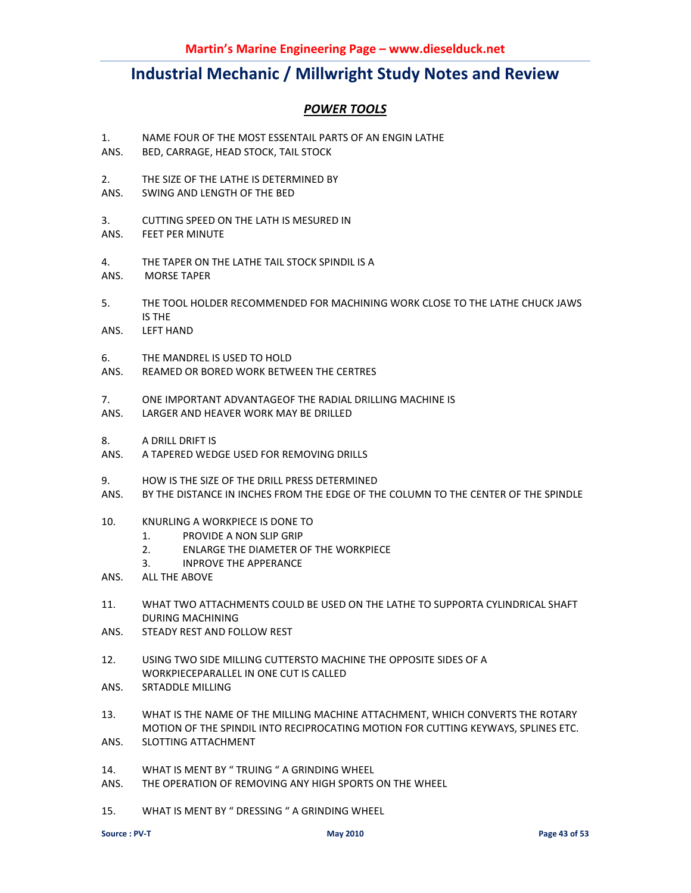### *POWER TOOLS*

- 1. NAME FOUR OF THE MOST ESSENTAIL PARTS OF AN ENGIN LATHE
- ANS. BED, CARRAGE, HEAD STOCK, TAIL STOCK
- 2. THE SIZE OF THE LATHE IS DETERMINED BY
- ANS. SWING AND LENGTH OF THE BED
- 3. CUTTING SPEED ON THE LATH IS MESURED IN
- ANS. FEET PER MINUTE
- 4. THE TAPER ON THE LATHE TAIL STOCK SPINDIL IS A
- ANS. MORSE TAPER
- 5. THE TOOL HOLDER RECOMMENDED FOR MACHINING WORK CLOSE TO THE LATHE CHUCK JAWS IS THE
- ANS. LEFT HAND
- 6. THE MANDREL IS USED TO HOLD
- ANS. REAMED OR BORED WORK BETWEEN THE CERTRES
- 7. ONE IMPORTANT ADVANTAGEOF THE RADIAL DRILLING MACHINE IS
- ANS. LARGER AND HEAVER WORK MAY BE DRILLED
- 8. A DRILL DRIFT IS
- ANS. A TAPERED WEDGE USED FOR REMOVING DRILLS
- 9. HOW IS THE SIZE OF THE DRILL PRESS DETERMINED
- ANS. BY THE DISTANCE IN INCHES FROM THE EDGE OF THE COLUMN TO THE CENTER OF THE SPINDLE
- 10. KNURLING A WORKPIECE IS DONE TO
	- 1. PROVIDE A NON SLIP GRIP
	- 2. ENLARGE THE DIAMETER OF THE WORKPIECE
	- 3. INPROVE THE APPERANCE
- ANS. ALL THE ABOVE
- 11. WHAT TWO ATTACHMENTS COULD BE USED ON THE LATHE TO SUPPORTA CYLINDRICAL SHAFT DURING MACHINING
- ANS. STEADY REST AND FOLLOW REST
- 12. USING TWO SIDE MILLING CUTTERSTO MACHINE THE OPPOSITE SIDES OF A WORKPIECEPARALLEL IN ONE CUT IS CALLED
- ANS. SRTADDLE MILLING
- 13. WHAT IS THE NAME OF THE MILLING MACHINE ATTACHMENT, WHICH CONVERTS THE ROTARY MOTION OF THE SPINDIL INTO RECIPROCATING MOTION FOR CUTTING KEYWAYS, SPLINES ETC. ANS. SLOTTING ATTACHMENT
- 14. WHAT IS MENT BY " TRUING " A GRINDING WHEEL
- ANS. THE OPERATION OF REMOVING ANY HIGH SPORTS ON THE WHEEL
- 15. WHAT IS MENT BY " DRESSING " A GRINDING WHEEL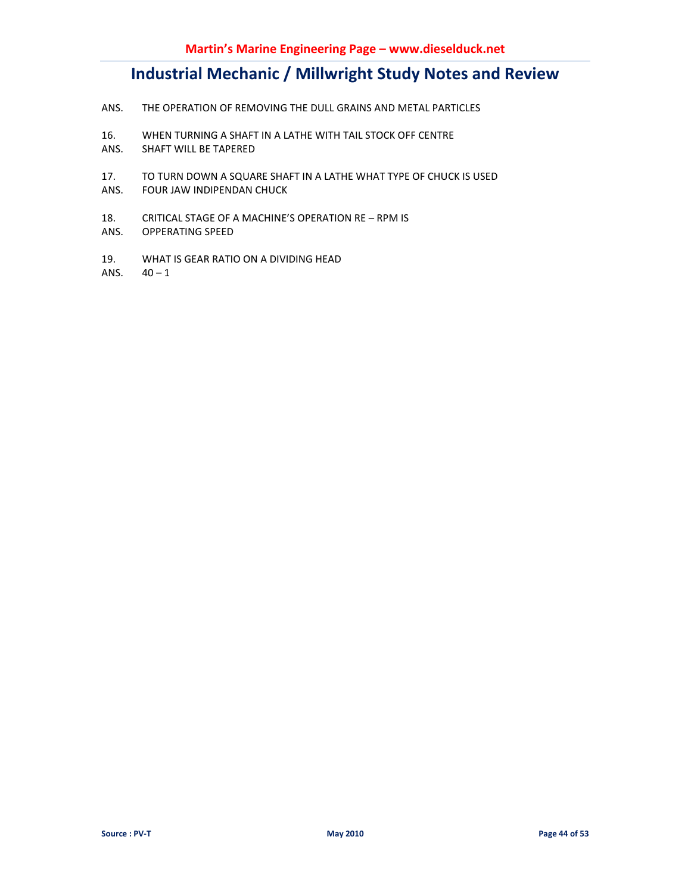- ANS. THE OPERATION OF REMOVING THE DULL GRAINS AND METAL PARTICLES
- 16. WHEN TURNING A SHAFT IN A LATHE WITH TAIL STOCK OFF CENTRE
- ANS. SHAFT WILL BE TAPERED
- 17. TO TURN DOWN A SQUARE SHAFT IN A LATHE WHAT TYPE OF CHUCK IS USED
- ANS. FOUR JAW INDIPENDAN CHUCK
- 18. CRITICAL STAGE OF A MACHINE'S OPERATION RE RPM IS
- ANS. OPPERATING SPEED
- 19. WHAT IS GEAR RATIO ON A DIVIDING HEAD

ANS.  $40 - 1$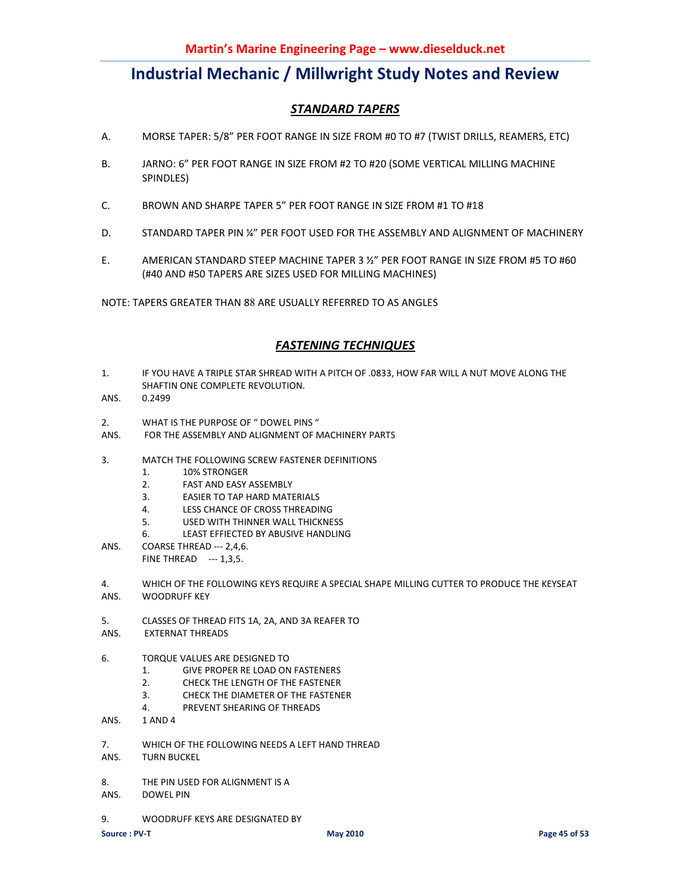### *STANDARD TAPERS*

- A. MORSE TAPER: 5/8" PER FOOT RANGE IN SIZE FROM #0 TO #7 (TWIST DRILLS, REAMERS, ETC)
- B. JARNO: 6" PER FOOT RANGE IN SIZE FROM #2 TO #20 (SOME VERTICAL MILLING MACHINE SPINDLES)
- C. BROWN AND SHARPE TAPER 5" PER FOOT RANGE IN SIZE FROM #1 TO #18
- D. STANDARD TAPER PIN ¼" PER FOOT USED FOR THE ASSEMBLY AND ALIGNMENT OF MACHINERY
- E. AMERICAN STANDARD STEEP MACHINE TAPER 3 ½" PER FOOT RANGE IN SIZE FROM #5 TO #60 (#40 AND #50 TAPERS ARE SIZES USED FOR MILLING MACHINES)

NOTE: TAPERS GREATER THAN 88 ARE USUALLY REFERRED TO AS ANGLES

### *FASTENING TECHNIQUES*

- 1. IF YOU HAVE A TRIPLE STAR SHREAD WITH A PITCH OF .0833, HOW FAR WILL A NUT MOVE ALONG THE SHAFTIN ONE COMPLETE REVOLUTION.
- ANS. 0.2499
- 2. WHAT IS THE PURPOSE OF " DOWEL PINS "
- ANS. FOR THE ASSEMBLY AND ALIGNMENT OF MACHINERY PARTS
- 3. MATCH THE FOLLOWING SCREW FASTENER DEFINITIONS
	- 1. 10% STRONGER
	- 2. FAST AND EASY ASSEMBLY
	- 3. EASIER TO TAP HARD MATERIALS
	- 4. LESS CHANCE OF CROSS THREADING
	- 5. USED WITH THINNER WALL THICKNESS
	- 6. LEAST EFFIECTED BY ABUSIVE HANDLING
- ANS. COARSE THREAD --- 2,4,6. FINE THREAD --- 1,3,5.
- 4. WHICH OF THE FOLLOWING KEYS REQUIRE A SPECIAL SHAPE MILLING CUTTER TO PRODUCE THE KEYSEAT ANS. WOODRUFF KEY
- 5. CLASSES OF THREAD FITS 1A, 2A, AND 3A REAFER TO
- ANS. EXTERNAT THREADS
- 6. TORQUE VALUES ARE DESIGNED TO
	- 1. GIVE PROPER RE LOAD ON FASTENERS
	- 2. CHECK THE LENGTH OF THE FASTENER
	- 3. CHECK THE DIAMETER OF THE FASTENER
	- 4. PREVENT SHEARING OF THREADS
- ANS. 1 AND 4
- 7. WHICH OF THE FOLLOWING NEEDS A LEFT HAND THREAD
- ANS. TURN BUCKEL
- 8. THE PIN USED FOR ALIGNMENT IS A
- ANS. DOWEL PIN
- 9. WOODRUFF KEYS ARE DESIGNATED BY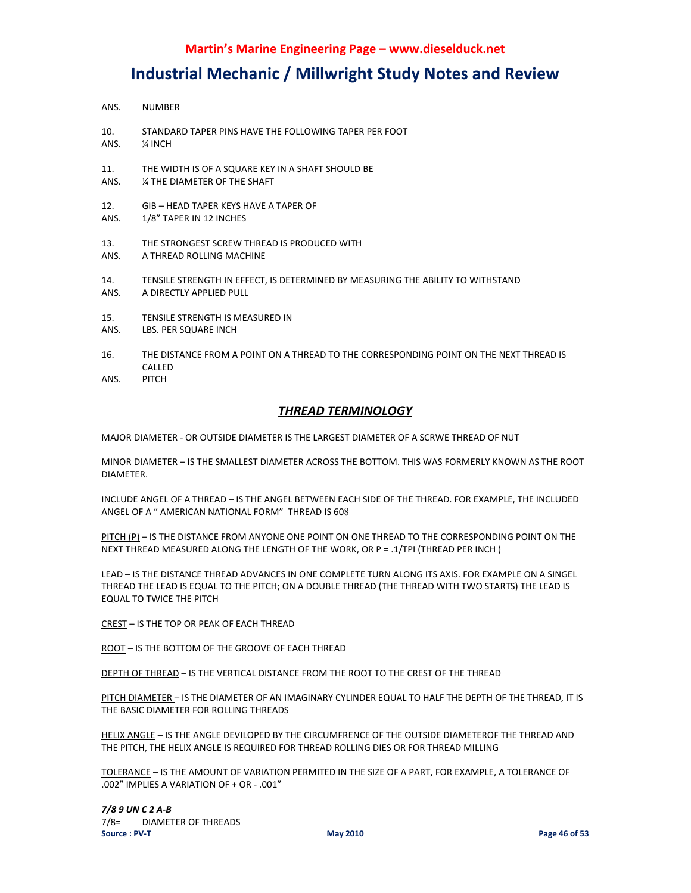- ANS. NUMBER
- 10. STANDARD TAPER PINS HAVE THE FOLLOWING TAPER PER FOOT
- ANS. ¼ INCH
- 11. THE WIDTH IS OF A SQUARE KEY IN A SHAFT SHOULD BE
- ANS. ¼ THE DIAMETER OF THE SHAFT
- 12. GIB HEAD TAPER KEYS HAVE A TAPER OF
- ANS. 1/8" TAPER IN 12 INCHES
- 13. THE STRONGEST SCREW THREAD IS PRODUCED WITH ANS. A THREAD ROLLING MACHINE
- 14. TENSILE STRENGTH IN EFFECT, IS DETERMINED BY MEASURING THE ABILITY TO WITHSTAND ANS. A DIRECTLY APPLIED PULL
- 15. TENSILE STRENGTH IS MEASURED IN
- ANS. LBS. PER SQUARE INCH
- 16. THE DISTANCE FROM A POINT ON A THREAD TO THE CORRESPONDING POINT ON THE NEXT THREAD IS CALLED
- ANS. PITCH

#### *THREAD TERMINOLOGY*

MAJOR DIAMETER - OR OUTSIDE DIAMETER IS THE LARGEST DIAMETER OF A SCRWE THREAD OF NUT

MINOR DIAMETER – IS THE SMALLEST DIAMETER ACROSS THE BOTTOM. THIS WAS FORMERLY KNOWN AS THE ROOT DIAMETER.

INCLUDE ANGEL OF A THREAD – IS THE ANGEL BETWEEN EACH SIDE OF THE THREAD. FOR EXAMPLE, THE INCLUDED ANGEL OF A " AMERICAN NATIONAL FORM" THREAD IS 608

PITCH (P) – IS THE DISTANCE FROM ANYONE ONE POINT ON ONE THREAD TO THE CORRESPONDING POINT ON THE NEXT THREAD MEASURED ALONG THE LENGTH OF THE WORK, OR P = .1/TPI (THREAD PER INCH )

LEAD – IS THE DISTANCE THREAD ADVANCES IN ONE COMPLETE TURN ALONG ITS AXIS. FOR EXAMPLE ON A SINGEL THREAD THE LEAD IS EQUAL TO THE PITCH; ON A DOUBLE THREAD (THE THREAD WITH TWO STARTS) THE LEAD IS EQUAL TO TWICE THE PITCH

CREST – IS THE TOP OR PEAK OF EACH THREAD

ROOT – IS THE BOTTOM OF THE GROOVE OF EACH THREAD

DEPTH OF THREAD – IS THE VERTICAL DISTANCE FROM THE ROOT TO THE CREST OF THE THREAD

PITCH DIAMETER – IS THE DIAMETER OF AN IMAGINARY CYLINDER EQUAL TO HALF THE DEPTH OF THE THREAD, IT IS THE BASIC DIAMETER FOR ROLLING THREADS

HELIX ANGLE - IS THE ANGLE DEVILOPED BY THE CIRCUMFRENCE OF THE OUTSIDE DIAMETEROF THE THREAD AND THE PITCH, THE HELIX ANGLE IS REQUIRED FOR THREAD ROLLING DIES OR FOR THREAD MILLING

TOLERANCE – IS THE AMOUNT OF VARIATION PERMITED IN THE SIZE OF A PART, FOR EXAMPLE, A TOLERANCE OF .002" IMPLIES A VARIATION OF + OR - .001"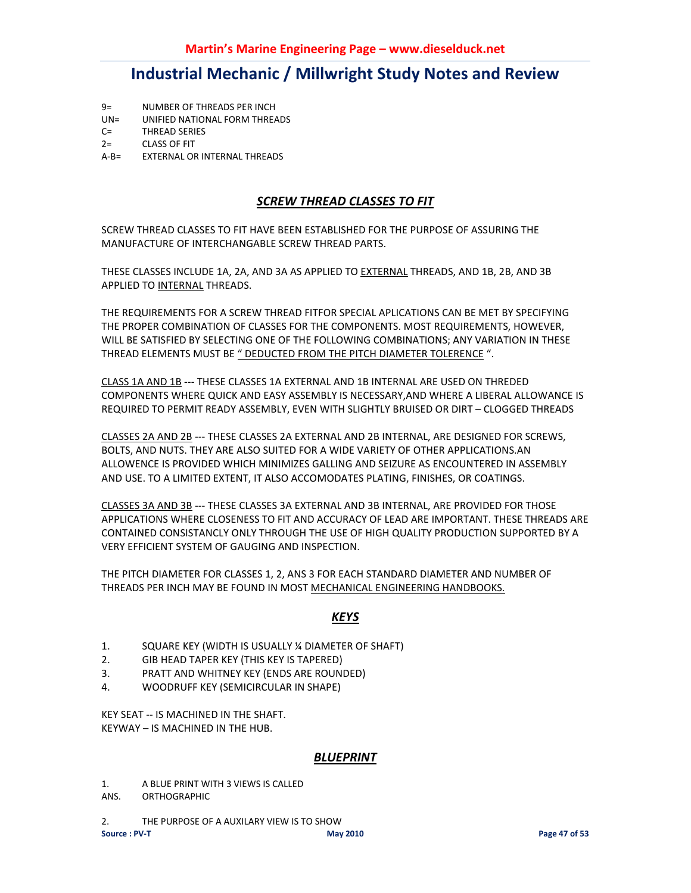- 9= NUMBER OF THREADS PER INCH
- UN= UNIFIED NATIONAL FORM THREADS
- C= THREAD SERIES
- 2= CLASS OF FIT
- A-B= EXTERNAL OR INTERNAL THREADS

### *SCREW THREAD CLASSES TO FIT*

SCREW THREAD CLASSES TO FIT HAVE BEEN ESTABLISHED FOR THE PURPOSE OF ASSURING THE MANUFACTURE OF INTERCHANGABLE SCREW THREAD PARTS.

THESE CLASSES INCLUDE 1A, 2A, AND 3A AS APPLIED TO EXTERNAL THREADS, AND 1B, 2B, AND 3B APPLIED TO INTERNAL THREADS.

THE REQUIREMENTS FOR A SCREW THREAD FITFOR SPECIAL APLICATIONS CAN BE MET BY SPECIFYING THE PROPER COMBINATION OF CLASSES FOR THE COMPONENTS. MOST REQUIREMENTS, HOWEVER, WILL BE SATISFIED BY SELECTING ONE OF THE FOLLOWING COMBINATIONS; ANY VARIATION IN THESE THREAD ELEMENTS MUST BE " DEDUCTED FROM THE PITCH DIAMETER TOLERENCE ".

CLASS 1A AND 1B --- THESE CLASSES 1A EXTERNAL AND 1B INTERNAL ARE USED ON THREDED COMPONENTS WHERE QUICK AND EASY ASSEMBLY IS NECESSARY,AND WHERE A LIBERAL ALLOWANCE IS REQUIRED TO PERMIT READY ASSEMBLY, EVEN WITH SLIGHTLY BRUISED OR DIRT – CLOGGED THREADS

CLASSES 2A AND 2B --- THESE CLASSES 2A EXTERNAL AND 2B INTERNAL, ARE DESIGNED FOR SCREWS, BOLTS, AND NUTS. THEY ARE ALSO SUITED FOR A WIDE VARIETY OF OTHER APPLICATIONS.AN ALLOWENCE IS PROVIDED WHICH MINIMIZES GALLING AND SEIZURE AS ENCOUNTERED IN ASSEMBLY AND USE. TO A LIMITED EXTENT, IT ALSO ACCOMODATES PLATING, FINISHES, OR COATINGS.

CLASSES 3A AND 3B --- THESE CLASSES 3A EXTERNAL AND 3B INTERNAL, ARE PROVIDED FOR THOSE APPLICATIONS WHERE CLOSENESS TO FIT AND ACCURACY OF LEAD ARE IMPORTANT. THESE THREADS ARE CONTAINED CONSISTANCLY ONLY THROUGH THE USE OF HIGH QUALITY PRODUCTION SUPPORTED BY A VERY EFFICIENT SYSTEM OF GAUGING AND INSPECTION.

THE PITCH DIAMETER FOR CLASSES 1, 2, ANS 3 FOR EACH STANDARD DIAMETER AND NUMBER OF THREADS PER INCH MAY BE FOUND IN MOST MECHANICAL ENGINEERING HANDBOOKS.

### *KEYS*

- 1. SQUARE KEY (WIDTH IS USUALLY ¼ DIAMETER OF SHAFT)
- 2. GIB HEAD TAPER KEY (THIS KEY IS TAPERED)
- 3. PRATT AND WHITNEY KEY (ENDS ARE ROUNDED)
- 4. WOODRUFF KEY (SEMICIRCULAR IN SHAPE)

KEY SEAT -- IS MACHINED IN THE SHAFT. KEYWAY – IS MACHINED IN THE HUB.

#### *BLUEPRINT*

- 1. A BLUE PRINT WITH 3 VIEWS IS CALLED
- ANS. ORTHOGRAPHIC
- 2. THE PURPOSE OF A AUXILARY VIEW IS TO SHOW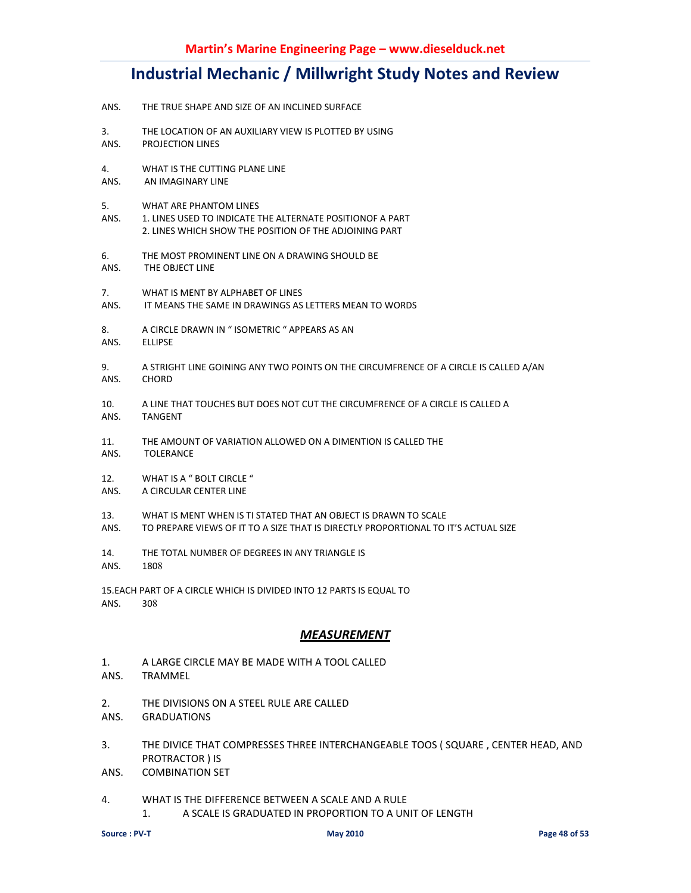- ANS. THE TRUE SHAPE AND SIZE OF AN INCLINED SURFACE
- 3. THE LOCATION OF AN AUXILIARY VIEW IS PLOTTED BY USING<br>ANS. PROJECTION LINES PROJECTION LINES
- 4. WHAT IS THE CUTTING PLANE LINE ANS. AN IMAGINARY LINE
- 5. WHAT ARE PHANTOM LINES
- ANS. 1. LINES USED TO INDICATE THE ALTERNATE POSITIONOF A PART 2. LINES WHICH SHOW THE POSITION OF THE ADJOINING PART
- 6. THE MOST PROMINENT LINE ON A DRAWING SHOULD BE
- ANS. THE OBJECT LINE
- 7. WHAT IS MENT BY ALPHABET OF LINES
- ANS. IT MEANS THE SAME IN DRAWINGS AS LETTERS MEAN TO WORDS
- 8. A CIRCLE DRAWN IN " ISOMETRIC " APPEARS AS AN
- ANS. ELLIPSE
- 9. A STRIGHT LINE GOINING ANY TWO POINTS ON THE CIRCUMFRENCE OF A CIRCLE IS CALLED A/AN ANS. CHORD
- 10. A LINE THAT TOUCHES BUT DOES NOT CUT THE CIRCUMFRENCE OF A CIRCLE IS CALLED A ANS. TANGENT
- 11. THE AMOUNT OF VARIATION ALLOWED ON A DIMENTION IS CALLED THE
- ANS. TOLERANCE
- 12. WHAT IS A " BOLT CIRCLE "
- ANS. A CIRCULAR CENTER LINE
- 13. WHAT IS MENT WHEN IS TI STATED THAT AN OBJECT IS DRAWN TO SCALE
- ANS. TO PREPARE VIEWS OF IT TO A SIZE THAT IS DIRECTLY PROPORTIONAL TO IT'S ACTUAL SIZE
- 14. THE TOTAL NUMBER OF DEGREES IN ANY TRIANGLE IS
- ANS. 1808

15.EACH PART OF A CIRCLE WHICH IS DIVIDED INTO 12 PARTS IS EQUAL TO ANS. 308

#### *MEASUREMENT*

- 1. A LARGE CIRCLE MAY BE MADE WITH A TOOL CALLED
- ANS. TRAMMEL
- 2. THE DIVISIONS ON A STEEL RULE ARE CALLED
- ANS. GRADUATIONS
- 3. THE DIVICE THAT COMPRESSES THREE INTERCHANGEABLE TOOS ( SQUARE , CENTER HEAD, AND PROTRACTOR ) IS
- ANS. COMBINATION SET
- 4. WHAT IS THE DIFFERENCE BETWEEN A SCALE AND A RULE 1. A SCALE IS GRADUATED IN PROPORTION TO A UNIT OF LENGTH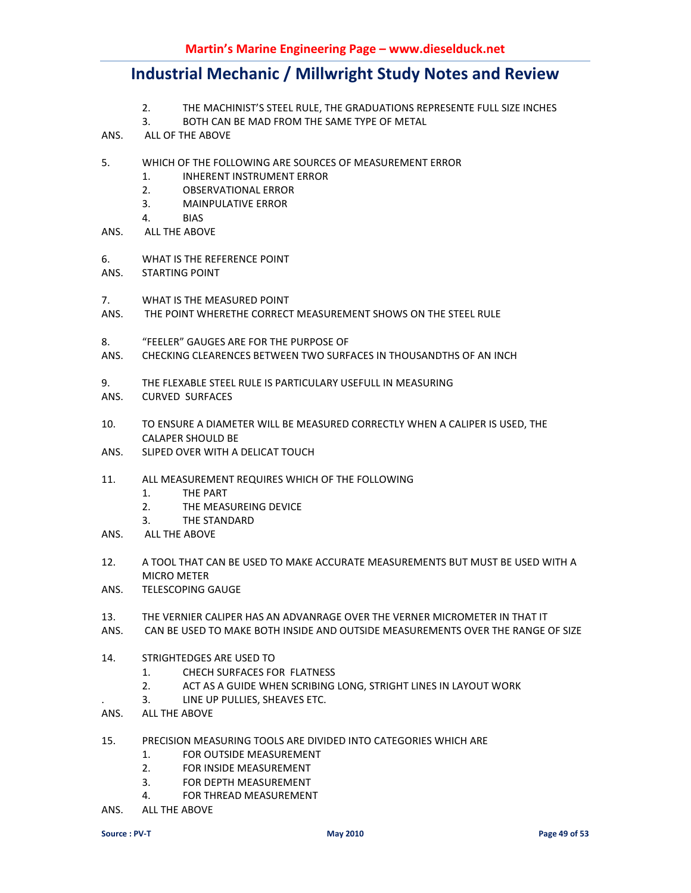- 2. THE MACHINIST'S STEEL RULE, THE GRADUATIONS REPRESENTE FULL SIZE INCHES
- 3. BOTH CAN BE MAD FROM THE SAME TYPE OF METAL
- ANS. ALL OF THE ABOVE
- 5. WHICH OF THE FOLLOWING ARE SOURCES OF MEASUREMENT ERROR
	- 1. INHERENT INSTRUMENT ERROR
	- 2. OBSERVATIONAL ERROR
	- 3. MAINPULATIVE ERROR
	- 4. BIAS
- ANS. ALL THE ABOVE
- 6. WHAT IS THE REFERENCE POINT
- ANS. STARTING POINT
- 7. WHAT IS THE MEASURED POINT
- ANS. THE POINT WHERETHE CORRECT MEASUREMENT SHOWS ON THE STEEL RULE
- 8. "FEELER" GAUGES ARE FOR THE PURPOSE OF
- ANS. CHECKING CLEARENCES BETWEEN TWO SURFACES IN THOUSANDTHS OF AN INCH
- 9. THE FLEXABLE STEEL RULE IS PARTICULARY USEFULL IN MEASURING
- ANS. CURVED SURFACES
- 10. TO ENSURE A DIAMETER WILL BE MEASURED CORRECTLY WHEN A CALIPER IS USED, THE CALAPER SHOULD BE
- ANS. SLIPED OVER WITH A DELICAT TOUCH
- 11. ALL MEASUREMENT REQUIRES WHICH OF THE FOLLOWING
	- 1. THE PART
	- 2. THE MEASUREING DEVICE
	- 3. THE STANDARD
- ANS. ALL THE ABOVE
- 12. A TOOL THAT CAN BE USED TO MAKE ACCURATE MEASUREMENTS BUT MUST BE USED WITH A MICRO METER
- ANS. TELESCOPING GAUGE
- 13. THE VERNIER CALIPER HAS AN ADVANRAGE OVER THE VERNER MICROMETER IN THAT IT
- ANS. CAN BE USED TO MAKE BOTH INSIDE AND OUTSIDE MEASUREMENTS OVER THE RANGE OF SIZE
- 14. STRIGHTEDGES ARE USED TO
	- 1. CHECH SURFACES FOR FLATNESS
	- 2. ACT AS A GUIDE WHEN SCRIBING LONG, STRIGHT LINES IN LAYOUT WORK
	- . 3. LINE UP PULLIES, SHEAVES ETC.
- ANS. ALL THE ABOVE
- 15. PRECISION MEASURING TOOLS ARE DIVIDED INTO CATEGORIES WHICH ARE
	- 1. FOR OUTSIDE MEASUREMENT
	- 2. FOR INSIDE MEASUREMENT
	- 3. FOR DEPTH MEASUREMENT
	- 4. FOR THREAD MEASUREMENT
- ANS. ALL THE ABOVE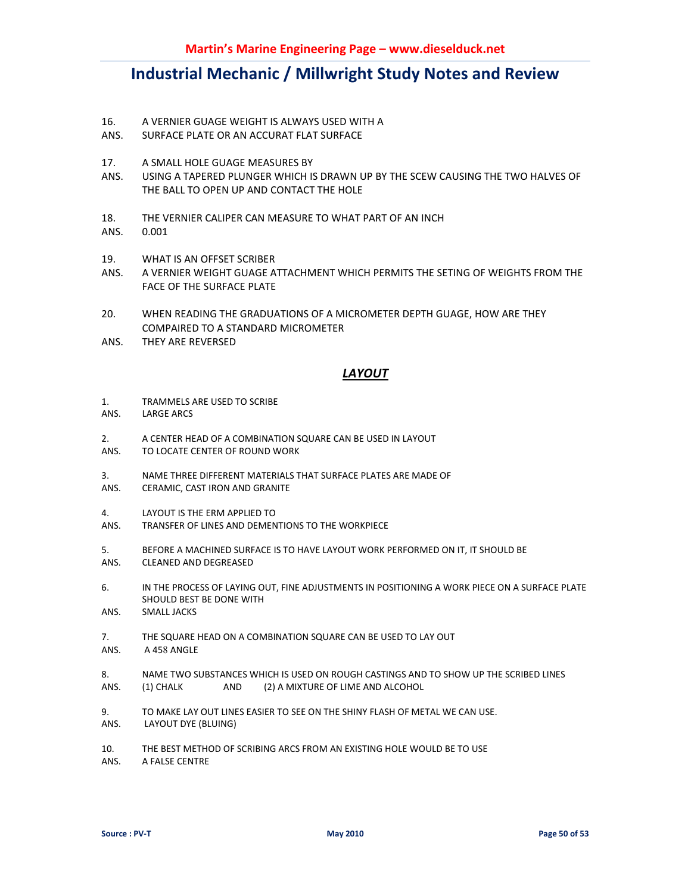- 16. A VERNIER GUAGE WEIGHT IS ALWAYS USED WITH A
- ANS. SURFACE PLATE OR AN ACCURAT FLAT SURFACE
- 17. A SMALL HOLE GUAGE MEASURES BY
- ANS. USING A TAPERED PLUNGER WHICH IS DRAWN UP BY THE SCEW CAUSING THE TWO HALVES OF THE BALL TO OPEN UP AND CONTACT THE HOLE
- 18. THE VERNIER CALIPER CAN MEASURE TO WHAT PART OF AN INCH
- ANS. 0.001
- 19. WHAT IS AN OFFSET SCRIBER
- ANS. A VERNIER WEIGHT GUAGE ATTACHMENT WHICH PERMITS THE SETING OF WEIGHTS FROM THE FACE OF THE SURFACE PLATE
- 20. WHEN READING THE GRADUATIONS OF A MICROMETER DEPTH GUAGE, HOW ARE THEY COMPAIRED TO A STANDARD MICROMETER
- ANS. THEY ARE REVERSED

### *LAYOUT*

- 1. TRAMMELS ARE USED TO SCRIBE
- ANS. LARGE ARCS
- 2. A CENTER HEAD OF A COMBINATION SQUARE CAN BE USED IN LAYOUT
- ANS. TO LOCATE CENTER OF ROUND WORK
- 3. NAME THREE DIFFERENT MATERIALS THAT SURFACE PLATES ARE MADE OF
- ANS. CERAMIC, CAST IRON AND GRANITE
- 4. LAYOUT IS THE ERM APPLIED TO
- ANS. TRANSFER OF LINES AND DEMENTIONS TO THE WORKPIECE
- 5. BEFORE A MACHINED SURFACE IS TO HAVE LAYOUT WORK PERFORMED ON IT, IT SHOULD BE ANS. CLEANED AND DEGREASED
- 6. IN THE PROCESS OF LAYING OUT, FINE ADJUSTMENTS IN POSITIONING A WORK PIECE ON A SURFACE PLATE SHOULD BEST BE DONE WITH
- ANS. SMALL JACKS
- 7. THE SQUARE HEAD ON A COMBINATION SQUARE CAN BE USED TO LAY OUT ANS. A 458 ANGLE
- 8. NAME TWO SUBSTANCES WHICH IS USED ON ROUGH CASTINGS AND TO SHOW UP THE SCRIBED LINES ANS. (1) CHALK AND (2) A MIXTURE OF LIME AND ALCOHOL
- 9. TO MAKE LAY OUT LINES EASIER TO SEE ON THE SHINY FLASH OF METAL WE CAN USE.
- ANS. LAYOUT DYE (BLUING)
- 10. THE BEST METHOD OF SCRIBING ARCS FROM AN EXISTING HOLE WOULD BE TO USE
- ANS. A FALSE CENTRE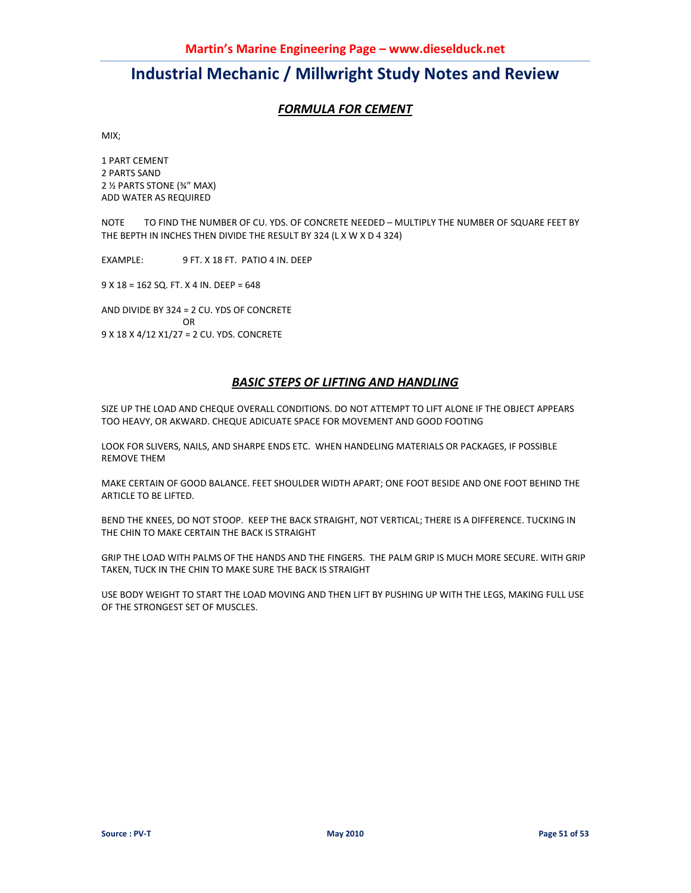### *FORMULA FOR CEMENT*

MIX;

1 PART CEMENT 2 PARTS SAND 2 ½ PARTS STONE (¾" MAX) ADD WATER AS REQUIRED

NOTE TO FIND THE NUMBER OF CU. YDS. OF CONCRETE NEEDED – MULTIPLY THE NUMBER OF SQUARE FEET BY THE BEPTH IN INCHES THEN DIVIDE THE RESULT BY 324 (L X W X D 4 324)

EXAMPLE: 9 FT. X 18 FT. PATIO 4 IN. DEEP

9 X 18 = 162 SQ. FT. X 4 IN. DEEP = 648

AND DIVIDE BY 324 = 2 CU. YDS OF CONCRETE OR 9 X 18 X 4/12 X1/27 = 2 CU. YDS. CONCRETE

### *BASIC STEPS OF LIFTING AND HANDLING*

SIZE UP THE LOAD AND CHEQUE OVERALL CONDITIONS. DO NOT ATTEMPT TO LIFT ALONE IF THE OBJECT APPEARS TOO HEAVY, OR AKWARD. CHEQUE ADICUATE SPACE FOR MOVEMENT AND GOOD FOOTING

LOOK FOR SLIVERS, NAILS, AND SHARPE ENDS ETC. WHEN HANDELING MATERIALS OR PACKAGES, IF POSSIBLE REMOVE THEM

MAKE CERTAIN OF GOOD BALANCE. FEET SHOULDER WIDTH APART; ONE FOOT BESIDE AND ONE FOOT BEHIND THE ARTICLE TO BE LIFTED.

BEND THE KNEES, DO NOT STOOP. KEEP THE BACK STRAIGHT, NOT VERTICAL; THERE IS A DIFFERENCE. TUCKING IN THE CHIN TO MAKE CERTAIN THE BACK IS STRAIGHT

GRIP THE LOAD WITH PALMS OF THE HANDS AND THE FINGERS. THE PALM GRIP IS MUCH MORE SECURE. WITH GRIP TAKEN, TUCK IN THE CHIN TO MAKE SURE THE BACK IS STRAIGHT

USE BODY WEIGHT TO START THE LOAD MOVING AND THEN LIFT BY PUSHING UP WITH THE LEGS, MAKING FULL USE OF THE STRONGEST SET OF MUSCLES.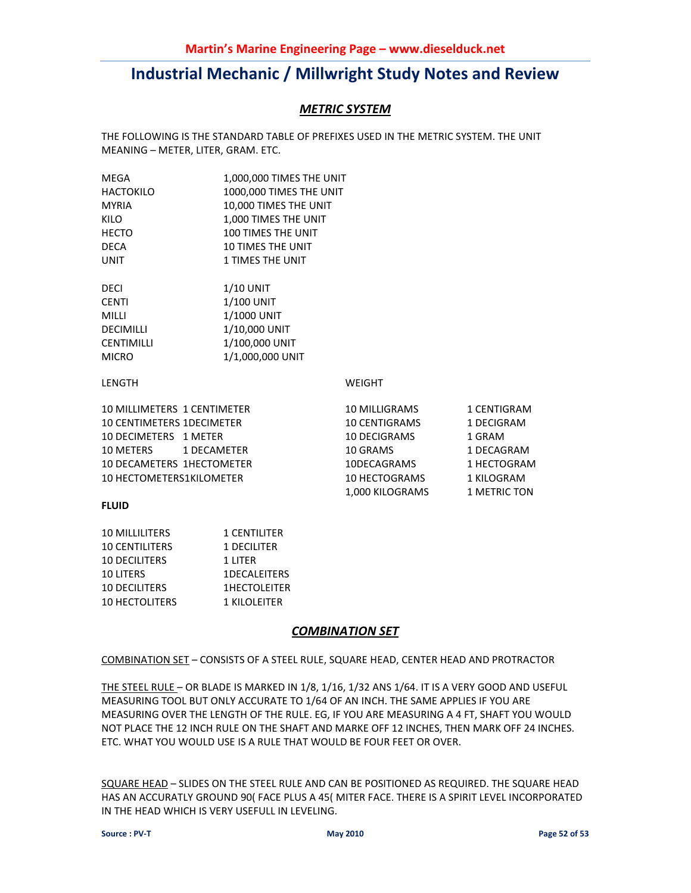### *METRIC SYSTEM*

THE FOLLOWING IS THE STANDARD TABLE OF PREFIXES USED IN THE METRIC SYSTEM. THE UNIT MEANING – METER, LITER, GRAM. ETC.

| MEGA                             | 1,000,000 TIMES THE UNIT  |                      |              |
|----------------------------------|---------------------------|----------------------|--------------|
| HACTOKILO                        | 1000,000 TIMES THE UNIT   |                      |              |
| <b>MYRIA</b>                     | 10,000 TIMES THE UNIT     |                      |              |
| KILO                             | 1,000 TIMES THE UNIT      |                      |              |
| HECTO                            | <b>100 TIMES THE UNIT</b> |                      |              |
| DECA                             | <b>10 TIMES THE UNIT</b>  |                      |              |
| UNIT                             | <b>1 TIMES THE UNIT</b>   |                      |              |
| DECI                             | 1/10 UNIT                 |                      |              |
| CENTI                            | $1/100$ UNIT              |                      |              |
| Milli                            | 1/1000 UNIT               |                      |              |
| DECIMILLI                        | 1/10,000 UNIT             |                      |              |
| CENTIMILLI                       | 1/100,000 UNIT            |                      |              |
| MICRO                            | 1/1,000,000 UNIT          |                      |              |
| LENGTH                           |                           | <b>WEIGHT</b>        |              |
| 10 MILLIMETERS 1 CENTIMETER      |                           | 10 MILLIGRAMS        | 1 CENTIGRAM  |
| <b>10 CENTIMETERS 1DECIMETER</b> |                           | <b>10 CENTIGRAMS</b> | 1 DECIGRAM   |
| 10 DECIMETERS 1 METER            |                           | 10 DECIGRAMS         | 1 GRAM       |
| 10 METERS<br>1 DECAMETER         |                           | 10 GRAMS             | 1 DECAGRAM   |
| <b>10 DECAMETERS 1HECTOMETER</b> |                           | 10DECAGRAMS          | 1 HECTOGRAM  |
| <b>10 HECTOMETERS1KILOMETER</b>  |                           | 10 HECTOGRAMS        | 1 KILOGRAM   |
|                                  |                           | 1,000 KILOGRAMS      | 1 METRIC TON |
|                                  |                           |                      |              |

#### **FLUID**

| <b>10 MILLILITERS</b> | <b>1 CENTILITER</b> |
|-----------------------|---------------------|
| <b>10 CENTILITERS</b> | 1 DECILITER         |
| <b>10 DECILITERS</b>  | 1 LITER             |
| <b>10 LITERS</b>      | <b>1DECALEITERS</b> |
| <b>10 DECILITERS</b>  | <b>1HECTOLEITER</b> |
| <b>10 HECTOLITERS</b> | 1 KILOLEITER        |

#### *COMBINATION SET*

#### COMBINATION SET – CONSISTS OF A STEEL RULE, SQUARE HEAD, CENTER HEAD AND PROTRACTOR

THE STEEL RULE – OR BLADE IS MARKED IN 1/8, 1/16, 1/32 ANS 1/64. IT IS A VERY GOOD AND USEFUL MEASURING TOOL BUT ONLY ACCURATE TO 1/64 OF AN INCH. THE SAME APPLIES IF YOU ARE MEASURING OVER THE LENGTH OF THE RULE. EG, IF YOU ARE MEASURING A 4 FT, SHAFT YOU WOULD NOT PLACE THE 12 INCH RULE ON THE SHAFT AND MARKE OFF 12 INCHES, THEN MARK OFF 24 INCHES. ETC. WHAT YOU WOULD USE IS A RULE THAT WOULD BE FOUR FEET OR OVER.

SQUARE HEAD – SLIDES ON THE STEEL RULE AND CAN BE POSITIONED AS REQUIRED. THE SQUARE HEAD HAS AN ACCURATLY GROUND 90( FACE PLUS A 45( MITER FACE. THERE IS A SPIRIT LEVEL INCORPORATED IN THE HEAD WHICH IS VERY USEFULL IN LEVELING.